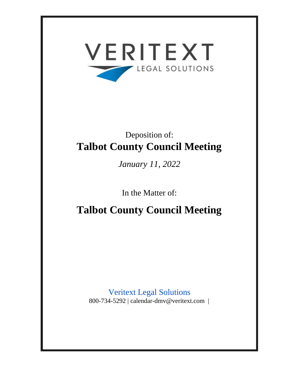

# Deposition of: **Talbot County Council Meeting**

*January 11, 2022*

In the Matter of:

**Talbot County Council Meeting**

Veritext Legal Solutions 800-734-5292 | calendar-dmv@veritext.com |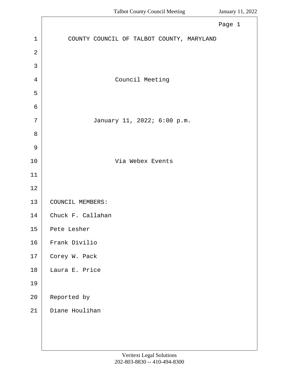<span id="page-1-0"></span>

|                | Page 1                                    |
|----------------|-------------------------------------------|
| $\mathbf{1}$   | COUNTY COUNCIL OF TALBOT COUNTY, MARYLAND |
| $\overline{2}$ |                                           |
| 3              |                                           |
| 4              | Council Meeting                           |
| 5              |                                           |
| $\epsilon$     |                                           |
| 7              | January 11, 2022; 6:00 p.m.               |
| 8              |                                           |
| $\overline{9}$ |                                           |
| 10             | Via Webex Events                          |
| 11             |                                           |
| 12             |                                           |
| 13             | COUNCIL MEMBERS:                          |
| 14             | Chuck F. Callahan                         |
| 15             | Pete Lesher                               |
| 16             | Frank Divilio                             |
| $17\,$         | Corey W. Pack                             |
| 18             | Laura E. Price                            |
| 19             |                                           |
| 20             | Reported by                               |
| 21             | Diane Houlihan                            |
|                |                                           |
|                |                                           |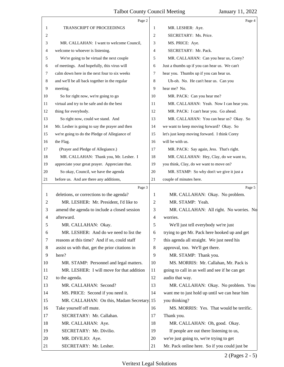<span id="page-2-0"></span>

|                | Page 2                                          |                | Page 4                                         |
|----------------|-------------------------------------------------|----------------|------------------------------------------------|
| 1              | <b>TRANSCRIPT OF PROCEEDINGS</b>                | 1              | MR. LESHER: Aye.                               |
| 2              |                                                 | 2              | SECRETARY: Ms. Price.                          |
| 3              | MR. CALLAHAN: I want to welcome Council,        | 3              | MS. PRICE: Aye.                                |
| 4              | welcome to whoever is listening.                | 4              | SECRETARY: Mr. Pack.                           |
| 5              | We're going to be virtual the next couple       | 5              | MR. CALLAHAN: Can you hear us, Corey?          |
| 6              | of meetings. And hopefully, this virus will     | 6              | Just a thumbs up if you can hear us. We can't  |
| 7              | calm down here in the next four to six weeks    | 7              | hear you. Thumbs up if you can hear us.        |
| 8              | and we'll be all back together in the regular   | 8              | Uh-oh. No. He can't hear us. Can you           |
| 9              | meeting.                                        | 9              | hear me? No.                                   |
| 10             | So for right now, we're going to go             | 10             | MR. PACK: Can you hear me?                     |
| 11             | virtual and try to be safe and do the best      | 11             | MR. CALLAHAN: Yeah. Now I can hear you.        |
| 12             | thing for everybody.                            | 12             | MR. PACK: I can't hear you. Go ahead.          |
| 13             | So right now, could we stand. And               | 13             | MR. CALLAHAN: You can hear us? Okay. So        |
| 14             | Mr. Lesher is going to say the prayer and then  | 14             | we want to keep moving forward? Okay. So       |
| 15             | we're going to do the Pledge of Allegiance of   | 15             | let's just keep moving forward. I think Corey  |
| 16             | the Flag.                                       | 16             | will be with us.                               |
| 17             | (Prayer and Pledge of Allegiance.)              | 17             | MR. PACK: Say again, Jess. That's right.       |
| 18             | MR. CALLAHAN: Thank you, Mr. Lesher. I          | 18             | MR. CALLAHAN: Hey, Clay, do we want to,        |
| 19             | appreciate your great prayer. Appreciate that.  | 19             | you think, Clay, do we want to move on?        |
| 20             | So okay, Council, we have the agenda            | 20             | MR. STAMP: So why don't we give it just a      |
| 21             | before us. And are there any additions,         | 21             | couple of minutes here.                        |
|                | Page 3                                          |                | Page 5                                         |
| 1              | deletions, or corrections to the agenda?        | 1              | MR. CALLAHAN: Okay. No problem.                |
| 2              | MR. LESHER: Mr. President, I'd like to          | 2              | MR. STAMP: Yeah.                               |
| 3              | amend the agenda to include a closed session    | 3              | MR. CALLAHAN: All right. No worries. No        |
| $\overline{4}$ | afterward.                                      | $\overline{4}$ | worries.                                       |
| 5              | MR. CALLAHAN: Okay.                             | 5              | We'll just tell everybody we're just           |
| 6              | MR. LESHER: And do we need to list the          | 6              | trying to get Mr. Pack here hooked up and get  |
| 7              | reasons at this time? And if so, could staff    | 7              | this agenda all straight. We just need his     |
| 8              | assist us with that, get the prior citations in | 8              | approval, too. We'll get there.                |
| 9              | here?                                           | 9              | MR. STAMP: Thank you.                          |
| 10             | MR. STAMP: Personnel and legal matters.         | 10             | MS. MORRIS: Mr. Callahan, Mr. Pack is          |
| 11             | MR. LESHER: I will move for that addition       | 11             | going to call in as well and see if he can get |
| 12             | to the agenda.                                  | 12             | audio that way.                                |
| 13             | MR. CALLAHAN: Second?                           | 13             | MR. CALLAHAN: Okay. No problem. You            |
| 14             | MS. PRICE: Second if you need it.               | 14             | want me to just hold up until we can hear him  |
| 15             | MR. CALLAHAN: On this, Madam Secretary. 15      |                | you thinking?                                  |
| 16             | Take yourself off mute.                         | 16             | MS. MORRIS: Yes. That would be terrific.       |
| 17             | SECRETARY: Mr. Callahan.                        | 17             | Thank you.                                     |
| 18             | MR. CALLAHAN: Aye.                              | 18             | MR. CALLAHAN: Oh, good. Okay.                  |
| 19             | SECRETARY: Mr. Divilio.                         | 19             | If people are out there listening to us,       |
| 20             | MR. DIVILIO: Aye.                               | 20             | we're just going to, we're trying to get       |
|                |                                                 |                |                                                |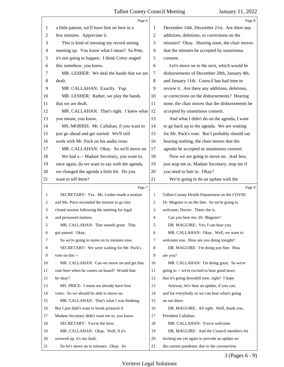<span id="page-3-0"></span>

|                | Page 6                                         |                | Page 8                                          |
|----------------|------------------------------------------------|----------------|-------------------------------------------------|
| 1              | a little patient, we'll have him on here in a  | 1              | December 14th, December 21st. Are there any     |
| $\overline{c}$ | few minutes. Appreciate it.                    | $\overline{2}$ | additions, deletions, or corrections on the     |
| 3              | This is kind of messing my record setting      | 3              | minutes? Okay. Hearing none, the chair moves    |
| 4              | meeting up. You know what I mean? So Pete,     | $\overline{4}$ | that the minutes be accepted by unanimous       |
| 5              | it's not going to happen. I think Corey staged | 5              | consent.                                        |
| 6              | this somehow, you know.                        | 6              | Let's move on to the next, which would be       |
| 7              | MR. LESHER: We deal the hands that we are      | 7              | disbursements of December 28th, January 4th,    |
| 8              | dealt.                                         | 8              | and January 11th. Council has had time to       |
| 9              | MR. CALLAHAN: Exactly. Yup.                    | 9              | review it. Are there any additions, deletions,  |
| 10             | MR. LESHER: Rather, we play the hands          | 10             | or corrections on the disbursements? Hearing    |
| 11             | that we are dealt.                             | 11             | none, the chair moves that the disbursements be |
| 12             | MR. CALLAHAN: That's right. I knew what        | 12             | accepted by unanimous consent.                  |
| 13             | you meant, you know.                           | 13             | And what I didn't do on the agenda, I want      |
| 14             | MS. MORRIS: Mr. Callahan, if you want to       | 14             | to go back up to the agenda. We are waiting     |
| 15             | just go ahead and get started. We'll still     | 15             | for Mr. Pack's vote. But I probably should say  |
| 16             | work with Mr. Pack on his audio issue.         | 16             | hearing nothing, the chair moves that the       |
| 17             | MR. CALLAHAN: Okay. So we'll move on.          | 17             | agenda be accepted as unanimous consent.        |
| 18             | We had a -- Madam Secretary, you want to,      | 18             | Now we are going to move on. And Jess,          |
| 19             | once again, do we want to say with the agenda, | 19             | just stop me or, Madam Secretary, stop me if    |
| 20             | we changed the agenda a little bit. Do you     | 20             | you need to butt in. Okay?                      |
| 21             | want to tell them?                             | 21             | We're going to do an update with the            |
|                |                                                |                |                                                 |
|                | Page 7                                         |                | Page 9                                          |
| 1              | SECRETARY: Yes. Mr. Lesher made a motion       | 1              | Talbot County Health Department on the COVID.   |
| 2              | and Ms. Price seconded the motion to go into   | 2              | Dr. Maguire is on the line. So we're going to   |
| 3              | closed session following the meeting for legal | 3              | welcome, Doctor. There she is.                  |
| 4              | and personnel matters.                         | 4              | Can you hear me, Dr. Maguire?                   |
| 5              | MR. CALLAHAN: That sounds great. That          | 5              | DR. MAGUIRE: Yes, I can hear you.               |
| 6              | got passed. Okay.                              | 6              | MR. CALLAHAN: Okay. Well, we want to            |
| 7              | So we're going to move on to minutes now.      | 7              | welcome you. How are you doing tonight?         |
| 8              | SECRETARY: We were waiting for Mr. Pack's      | 8              | DR. MAGUIRE: I'm doing just fine. How           |
| 9              | vote on this --                                | 9              | are you?                                        |
| 10             | MR. CALLAHAN: Can we move on and get that      | 10             | MR. CALLAHAN: I'm doing great. So we're         |
| 11             | vote here when he comes on board? Would that   | 11             | going to -- we're excited to hear good news     |
| 12             | be okay?                                       | 12             | that it's going downhill now, right? I hope.    |
| 13             | MS. PRICE: I mean we already have four         | 13             | Anyway, let's hear an update, if you can,       |
| 14             | votes. So we should be able to move on.        | 14             | and for everybody so we can hear what's going   |
| 15             | MR. CALLAHAN: That's what I was thinking.      | 15             | on out there.                                   |
| 16             | But I just didn't want to break protocol if    | 16             | DR. MAGUIRE: All right. Well, thank you,        |
| 17             | Madam Secretary didn't want me to, you know.   | 17             | President Callahan.                             |
| 18             | SECRETARY: You're the boss.                    | 18             | MR. CALLAHAN: You're welcome.                   |
| 19             | MR. CALLAHAN: Okay. Well, if it's              | 19             | DR. MAGUIRE: And the Council members for        |
| 20             | screwed up, it's my fault.                     | 20             | inviting me yet again to provide an update on   |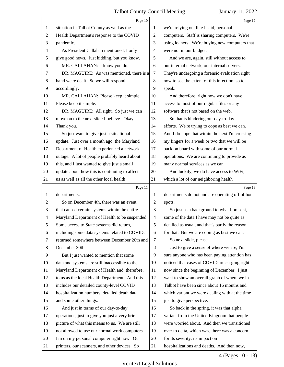<span id="page-4-0"></span>

|    | Page 10                                        |    | Page 12                                         |
|----|------------------------------------------------|----|-------------------------------------------------|
| 1  | situation in Talbot County as well as the      | 1  | we're relying on, like I said, personal         |
| 2  | Health Department's response to the COVID      | 2  | computers. Staff is sharing computers. We're    |
| 3  | pandemic.                                      | 3  | using loaners. We're buying new computers that  |
| 4  | As President Callahan mentioned, I only        | 4  | were not in our budget.                         |
| 5  | give good news. Just kidding, but you know.    | 5  | And we are, again, still without access to      |
| 6  | MR. CALLAHAN: I know you do.                   | 6  | our internal network, our internal servers.     |
| 7  | DR. MAGUIRE: As was mentioned, there is a      | 7  | They're undergoing a forensic evaluation right  |
| 8  | hand we're dealt. So we will respond           | 8  | now to see the extent of this infection, so to  |
| 9  | accordingly.                                   | 9  | speak.                                          |
| 10 | MR. CALLAHAN: Please keep it simple.           | 10 | And therefore, right now we don't have          |
| 11 | Please keep it simple.                         | 11 | access to most of our regular files or any      |
| 12 | DR. MAGUIRE: All right. So just we can         | 12 | software that's not based on the web.           |
| 13 | move on to the next slide I believe. Okay.     | 13 | So that is hindering our day-to-day             |
| 14 | Thank you.                                     | 14 | efforts. We're trying to cope as best we can.   |
| 15 | So just want to give just a situational        | 15 | And I do hope that within the next I'm crossing |
| 16 | update. Just over a month ago, the Maryland    | 16 | my fingers for a week or two that we will be    |
| 17 | Department of Health experienced a network     | 17 | back on board with some of our normal           |
| 18 | outage. A lot of people probably heard about   | 18 | operations. We are continuing to provide as     |
| 19 | this, and I just wanted to give just a small   | 19 | many normal services as we can.                 |
| 20 | update about how this is continuing to affect  | 20 | And luckily, we do have access to WiFi,         |
| 21 | us as well as all the other local health       | 21 | which a lot of our neighboring health           |
|    |                                                |    |                                                 |
|    | Page 11                                        |    | Page 13                                         |
| 1  | departments.                                   | 1  | departments do not and are operating off of hot |
| 2  | So on December 4th, there was an event         | 2  | spots.                                          |
| 3  | that caused certain systems within the entire  | 3  | So just as a background to what I present,      |
| 4  | Maryland Department of Health to be suspended. | 4  | some of the data I have may not be quite as     |
| 5  | Some access to State systems did return,       | 5  | detailed as usual, and that's partly the reason |
| 6  | including some data systems related to COVID,  | 6  | for that. But we are coping as best we can.     |
| 7  | returned somewhere between December 20th and   | 7  | So next slide, please.                          |
| 8  | December 30th.                                 | 8  | Just to give a sense of where we are, I'm       |
| 9  | But I just wanted to mention that some         | 9  | sure anyone who has been paying attention has   |
| 10 | data and systems are still inaccessible to the | 10 | noticed that cases of COVID are surging right   |
| 11 | Maryland Department of Health and, therefore,  | 11 | now since the beginning of December. I just     |
| 12 | to us as the local Health Department. And this | 12 | want to show an overall graph of where we in    |
| 13 | includes our detailed county-level COVID       | 13 | Talbot have been since about 16 months and      |
| 14 | hospitalization numbers, detailed death data,  | 14 | which variant we were dealing with at the time  |
| 15 | and some other things.                         | 15 | just to give perspective.                       |
| 16 | And just in terms of our day-to-day            | 16 | So back in the spring, it was that alpha        |
| 17 | operations, just to give you just a very brief | 17 | variant from the United Kingdom that people     |
| 18 | picture of what this means to us. We are still | 18 | were worried about. And then we transitioned    |
| 19 | not allowed to use our normal work computers.  | 19 | over to delta, which was, there was a concern   |
| 20 | I'm on my personal computer right now. Our     | 20 | for its severity, its impact on                 |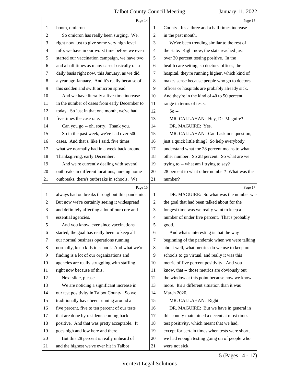<span id="page-5-0"></span>

|                | Page 14                                        |                | Page 16                                         |
|----------------|------------------------------------------------|----------------|-------------------------------------------------|
| 1              | boom, omicron.                                 | 1              | County. It's a three and a half times increase  |
| 2              | So omicron has really been surging. We,        | $\overline{2}$ | in the past month.                              |
| 3              | right now just to give some very high level    | 3              | We've been trending similar to the rest of      |
| 4              | info, we have in our worst time before we even | $\overline{4}$ | the state. Right now, the state reached just    |
| $\sqrt{5}$     | started our vaccination campaign, we have two  | 5              | over 30 percent testing positive. In the        |
| 6              | and a half times as many cases basically on a  | 6              | health care setting, so doctors' offices, the   |
| 7              | daily basis right now, this January, as we did | 7              | hospital, they're running higher, which kind of |
| 8              | a year ago January. And it's really because of | 8              | makes sense because people who go to doctors'   |
| 9              | this sudden and swift omicron spread.          | 9              | offices or hospitals are probably already sick. |
| 10             | And we have literally a five-time increase     | 10             | And they're in the kind of 40 to 50 percent     |
| 11             | in the number of cases from early December to  | 11             | range in terms of tests.                        |
| 12             | today. So just in that one month, we've had    | 12             | $So -$                                          |
| 13             | five times the case rate.                      | 13             | MR. CALLAHAN: Hey, Dr. Maguire?                 |
| 14             | Can you go -- oh, sorry. Thank you.            | 14             | DR. MAGUIRE: Yes.                               |
| 15             | So in the past week, we've had over 500        | 15             | MR. CALLAHAN: Can I ask one question,           |
| 16             | cases. And that's, like I said, five times     | 16             | just a quick little thing? So help everybody    |
| 17             | what we normally had in a week back around     | 17             | understand what the 28 percent means to what    |
| 18             | Thanksgiving, early December.                  | 18             | other number. So 28 percent. So what are we     |
| 19             | And we're currently dealing with several       | 19             | trying to -- what am I trying to say?           |
| 20             | outbreaks in different locations, nursing home | 20             | 28 percent to what other number? What was the   |
| 21             | outbreaks, there's outbreaks in schools. We    | 21             | number?                                         |
|                |                                                |                |                                                 |
|                | Page 15                                        |                | Page 17                                         |
| 1              | always had outbreaks throughout this pandemic. | 1              | DR. MAGUIRE: So what was the number was         |
| $\overline{c}$ | But now we're certainly seeing it widespread   | $\overline{2}$ | the goal that had been talked about for the     |
| 3              | and definitely affecting a lot of our core and | 3              | longest time was we really want to keep a       |
| 4              | essential agencies.                            | $\overline{4}$ | number of under five percent. That's probably   |
| 5              | And you know, ever since vaccinations          | 5              | good.                                           |
| 6              | started, the goal has really been to keep all  | 6              | And what's interesting is that the way          |
| 7              | our normal business operations running         | 7              | beginning of the pandemic when we were talking  |
| 8              | normally, keep kids in school. And what we're  | 8              | about well, what metrics do we use to keep our  |
| 9              | finding is a lot of our organizations and      | 9              | schools to go virtual, and really it was this   |
| 10             | agencies are really struggling with staffing   | 10             | metric of five percent positivity. And you      |
| 11             | right now because of this.                     | 11             | know, that -- those metrics are obviously out   |
| 12             | Next slide, please.                            | 12             | the window at this point because now we know    |
| 13             | We are noticing a significant increase in      | 13             | more. It's a different situation than it was    |
| 14             | our test positivity in Talbot County. So we    | 14             | March 2020.                                     |
| 15             | traditionally have been running around a       | 15             | MR. CALLAHAN: Right.                            |
| 16             | five percent, five to ten percent of our tests | 16             | DR. MAGUIRE: But we have in general in          |
| 17             | that are done by residents coming back         | 17             | this county maintained a decent at most times   |
| 18             | positive. And that was pretty acceptable. It   | 18             | test positivity, which meant that we had,       |
| 19             | goes high and low here and there.              | 19             | except for certain times when tests were short, |
| 20             | But this 28 percent is really unheard of       | 20             | we had enough testing going on of people who    |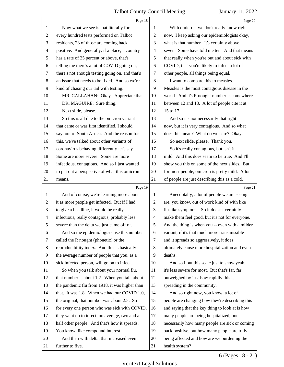<span id="page-6-0"></span>

|                | Page 18                                         |                          | Page 20                                         |
|----------------|-------------------------------------------------|--------------------------|-------------------------------------------------|
| $\mathbf{1}$   | Now what we see is that literally for           | 1                        | With omicron, we don't really know right        |
| $\overline{c}$ | every hundred tests performed on Talbot         | $\overline{2}$           | now. I keep asking our epidemiologists okay,    |
| 3              | residents, 28 of those are coming back          | 3                        | what is that number. It's certainly above       |
| $\overline{4}$ | positive. And generally, if a place, a country  | $\overline{4}$           | seven. Some have told me ten. And that means    |
| $\sqrt{5}$     | has a rate of 25 percent or above, that's       | 5                        | that really when you're out and about sick with |
| 6              | telling me there's a lot of COVID going on,     | 6                        | COVID, that you're likely to infect a lot of    |
| 7              | there's not enough testing going on, and that's | 7                        | other people, all things being equal.           |
| 8              | an issue that needs to be fixed. And so we're   | 8                        | I want to compare this to measles.              |
| 9              | kind of chasing our tail with testing.          | 9                        | Measles is the most contagious disease in the   |
| 10             | MR. CALLAHAN: Okay. Appreciate that.            | 10                       | world. And it's R nought number is somewhere    |
| 11             | DR. MAGUIRE: Sure thing.                        | 11                       | between 12 and 18. A lot of people cite it at   |
| 12             | Next slide, please.                             | 12                       | 15 to 17.                                       |
| 13             | So this is all due to the omicron variant       | 13                       | And so it's not necessarily that right          |
| 14             | that came or was first identified, I should     | 14                       | now, but it is very contagious. And so what     |
| 15             | say, out of South Africa. And the reason for    | 15                       | does this mean? What do we care? Okay.          |
| 16             | this, we've talked about other variants of      | 16                       | So next slide, please. Thank you.               |
| 17             | coronavirus behaving differently let's say.     | 17                       | So it's really contagious, but isn't it         |
| 18             | Some are more severe. Some are more             | 18                       | mild. And this does seem to be true. And I'll   |
| 19             | infectious, contagious. And so I just wanted    | 19                       | show you this on some of the next slides. But   |
| 20             | to put out a perspective of what this omicron   | 20                       | for most people, omicron is pretty mild. A lot  |
| 21             | means.                                          | 21                       | of people are just describing this as a cold.   |
|                | Page 19                                         |                          | Page 21                                         |
| $\mathbf{1}$   | And of course, we're learning more about        |                          |                                                 |
|                |                                                 | 1                        | Anecdotally, a lot of people we are seeing      |
| 2              | it as more people get infected. But if I had    | 2                        | are, you know, out of work kind of with like    |
| 3              | to give a headline, it would be really          | 3                        | flu-like symptoms. So it doesn't certainly      |
| 4              | infectious, really contagious, probably less    | $\overline{\mathcal{A}}$ | make them feel good, but it's not for everyone. |
| 5              | severe than the delta we just came off of.      | 5                        | And the thing is when you -- even with a milder |
| 6              | And so the epidemiologists use this number      | 6                        | variant, if it's that much more transmissible   |
| 7              | called the R nought (phonetic) or the           | 7                        | and it spreads so aggressively, it does         |
| 8              | reproducibility index. And this is basically    | 8                        | ultimately cause more hospitalization and even  |
| 9              | the average number of people that you, as a     | 9                        | deaths.                                         |
| 10             | sick infected person, will go on to infect.     | 10                       | And so I put this scale just to show yeah,      |
| 11             | So when you talk about your normal flu,         | 11                       | it's less severe for most. But that's far, far  |
| 12             | that number is about 1.2. When you talk about   | 12                       | outweighed by just how rapidly this is          |
| 13             | the pandemic flu from 1918, it was higher than  | 13                       | spreading in the community.                     |
| 14             | that. It was 1.8. When we had our COVID 1.0,    | 14                       | And so right now, you know, a lot of            |
| 15             | the original, that number was about 2.5. So     | 15                       | people are changing how they're describing this |
| 16             | for every one person who was sick with COVID,   | 16                       | and saying that the key thing to look at is how |
| 17             | they went on to infect, on average, two and a   | 17                       | many people are being hospitalized, not         |
| 18             | half other people. And that's how it spreads.   | 18                       | necessarily how many people are sick or coming  |
| 19             | You know, like compound interest.               | 19                       | back positive, but how many people are truly    |
| 20             | And then with delta, that increased even        | 20                       | being affected and how are we burdening the     |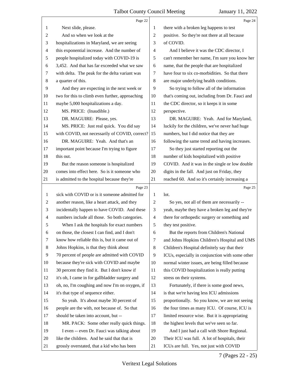<span id="page-7-0"></span>

|                | Page 22                                         |                          | Page 24                                         |
|----------------|-------------------------------------------------|--------------------------|-------------------------------------------------|
| 1              | Next slide, please.                             | 1                        | there with a broken leg happens to test         |
| $\overline{c}$ | And so when we look at the                      | 2                        | positive. So they're not there at all because   |
| 3              | hospitalizations in Maryland, we are seeing     | 3                        | of COVID.                                       |
| 4              | this exponential increase. And the number of    | 4                        | And I believe it was the CDC director, I        |
| 5              | people hospitalized today with COVID-19 is      | 5                        | can't remember her name, I'm sure you know her  |
| 6              | 3,452. And that has far exceeded what we saw    | 6                        | name, that the people that are hospitalized     |
| 7              | with delta. The peak for the delta variant was  | 7                        | have four to six co-morbidities. So that there  |
| $\,8\,$        | a quarter of this.                              | 8                        | are major underlying health conditions.         |
| 9              | And they are expecting in the next week or      | 9                        | So trying to follow all of the information      |
| 10             | two for this to climb even further, approaching | 10                       | that's coming out, including from Dr. Fauci and |
| 11             | maybe 5,000 hospitalizations a day.             | 11                       | the CDC director, so it keeps it in some        |
| 12             | MS. PRICE: (Inaudible.)                         | 12                       | perspective.                                    |
| 13             | DR. MAGUIRE: Please, yes.                       | 13                       | DR. MAGUIRE: Yeah. And for Maryland,            |
| 14             | MS. PRICE: Just real quick. You did say         | 14                       | luckily for the children, we've never had huge  |
| 15             | with COVID, not necessarily of COVID, correct?  | 15                       | numbers, but I did notice that they are         |
| 16             | DR. MAGUIRE: Yeah. And that's an                | 16                       | following the same trend and having increases.  |
| 17             | important point because I'm trying to figure    | 17                       | So they just started reporting out the          |
| 18             | this out.                                       | 18                       | number of kids hospitalized with positive       |
| 19             | But the reason someone is hospitalized          | 19                       | COVID. And it was in the single or low double   |
| 20             | comes into effect here. So is it someone who    | 20                       | digits in the fall. And just on Friday, they    |
| 21             | is admitted to the hospital because they're     | 21                       | reached 60. And so it's certainly increasing a  |
|                |                                                 |                          |                                                 |
|                | Page 23                                         |                          | Page 25                                         |
| $\mathbf{1}$   | sick with COVID or is it someone admitted for   | 1                        | lot.                                            |
| 2              | another reason, like a heart attack, and they   | 2                        | So yes, not all of them are necessarily --      |
| 3              | incidentally happen to have COVID. And these    | 3                        | yeah, maybe they have a broken leg and they're  |
| $\overline{4}$ | numbers include all those. So both categories.  | $\overline{\mathcal{A}}$ | there for orthopedic surgery or something and   |
| 5              | When I ask the hospitals for exact numbers      | 5                        | they test positive.                             |
| 6              | on those, the closest I can find, and I don't   | 6                        | But the reports from Children's National        |
| 7              | know how reliable this is, but it came out of   | 7                        | and Johns Hopkins Children's Hospital and UMS   |
| 8              | Johns Hopkins, is that they think about         | $8\,$                    | Children's Hospital definitely say that their   |
| 9              | 70 percent of people are admitted with COVID    | 9                        | ICUs, especially in conjunction with some other |
| 10             | because they're sick with COVID and maybe       | 10                       | normal winter issues, are being filled because  |
| 11             | 30 percent they find it. But I don't know if    | 11                       | this COVID hospitalization is really putting    |
| 12             | it's oh, I came in for gallbladder surgery and  | 12                       | stress on their systems.                        |
| 13             | oh, no, I'm coughing and now I'm on oxygen, if  | 13                       | Fortunately, if there is some good news,        |
| 14             | it's that type of sequence either.              | 14                       | is that we're having less ICU admissions        |
| 15             | So yeah. It's about maybe 30 percent of         | 15                       | proportionally. So you know, we are not seeing  |
| 16             | people are the with, not because of. So that    | 16                       | the four times as many ICU. Of course, ICU is   |
| 17             | should be taken into account, but --            | 17                       | limited resource wise. But it is appropriating  |
| 18             | MR. PACK: Some other really quick things.       | 18                       | the highest levels that we've seen so far.      |
| 19             | I even -- even Dr. Fauci was talking about      | 19                       | And I just had a call with Shore Regional.      |
| 20             | like the children. And he said that that is     | 20                       | Their ICU was full. A lot of hospitals, their   |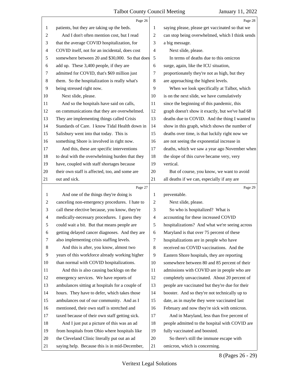<span id="page-8-0"></span>

|                | Page 26                                         |                | Page 28                                         |
|----------------|-------------------------------------------------|----------------|-------------------------------------------------|
| 1              | patients, but they are taking up the beds.      | 1              | saying please, please get vaccinated so that we |
| 2              | And I don't often mention cost, but I read      | 2              | can stop being overwhelmed, which I think sends |
| 3              | that the average COVID hospitalization, for     | 3              | a big message.                                  |
| 4              | COVID itself, not for an incidental, does cost  | 4              | Next slide, please.                             |
| 5              | somewhere between 20 and \$30,000. So that does | 5              | In terms of deaths due to this omicron          |
| 6              | add up. These 3,400 people, if they are         | 6              | surge, again, like the ICU situation,           |
| 7              | admitted for COVID, that's \$69 million just    | 7              | proportionately they're not as high, but they   |
| $\,8\,$        | them. So the hospitalization is really what's   | 8              | are approaching the highest levels.             |
| 9              | being stressed right now.                       | 9              | When we look specifically at Talbot, which      |
| 10             | Next slide, please.                             | 10             | is on the next slide, we have cumulatively      |
| 11             | And so the hospitals have said on calls,        | 11             | since the beginning of this pandemic, this      |
| 12             | on communications that they are overwhelmed.    | 12             | graph doesn't show it exactly, but we've had 68 |
| 13             | They are implementing things called Crisis      | 13             | deaths due to COVID. And the thing I wanted to  |
| 14             | Standards of Care. I know Tidal Health down in  | 14             | show in this graph, which shows the number of   |
| 15             | Salisbury went into that today. This is         | 15             | deaths over time, is that luckily right now we  |
| 16             | something Shore is involved in right now.       | 16             | are not seeing the exponential increase in      |
| 17             | And this, these are specific interventions      | 17             | deaths, which we saw a year ago November when   |
| 18             | to deal with the overwhelming burden that they  | 18             | the slope of this curve became very, very       |
| 19             | have, coupled with staff shortages because      | 19             | vertical.                                       |
| 20             | their own staff is affected, too, and some are  | 20             | But of course, you know, we want to avoid       |
| 21             | out and sick.                                   | 21             | all deaths if we can, especially if any are     |
|                |                                                 |                |                                                 |
|                | Page 27                                         |                | Page 29                                         |
| 1              | And one of the things they're doing is          | 1              | preventable.                                    |
| $\overline{2}$ | canceling non-emergency procedures. I hate to   | $\overline{c}$ | Next slide, please.                             |
| 3              | call these elective because, you know, they're  | 3              | So who is hospitalized? What is                 |
| $\overline{4}$ | medically-necessary procedures. I guess they    | $\overline{4}$ | accounting for these increased COVID            |
| 5              | could wait a bit. But that means people are     | 5              | hospitalizations? And what we're seeing across  |
| 6              | getting delayed cancer diagnoses. And they are  | 6              | Maryland is that over 75 percent of these       |
| 7              | also implementing crisis staffing levels.       | 7              | hospitalizations are in people who have         |
| 8              | And this is after, you know, almost two         | 8              | received no COVID vaccinations. And the         |
| 9              | years of this workforce already working higher  | 9              | Eastern Shore hospitals, they are reporting     |
| 10             | than normal with COVID hospitalizations.        | 10             | somewhere between 80 and 85 percent of their    |
| 11             | And this is also causing backlogs on the        | 11             | admissions with COVID are in people who are     |
| 12             | emergency services. We have reports of          | 12             | completely unvaccinated. About 20 percent of    |
| 13             | ambulances sitting at hospitals for a couple of | 13             | people are vaccinated but they're due for their |
| 14             | hours. They have to defer, which takes those    | 14             | booster. And so they're not technically up to   |
| 15             | ambulances out of our community. And as I       | 15             | date, as in maybe they were vaccinated last     |
| 16             | mentioned, their own staff is stretched and     | 16             | February and now they're sick with omicron.     |
| 17             | taxed because of their own staff getting sick.  | 17             | And in Maryland, less than five percent of      |
| 18             | And I just put a picture of this was an ad      | 18             | people admitted to the hospital with COVID are  |
| 19             | from hospitals from Ohio where hospitals like   | 19             | fully vaccinated and boosted.                   |
| 20             | the Cleveland Clinic literally put out an ad    | 20             | So there's still the immune escape with         |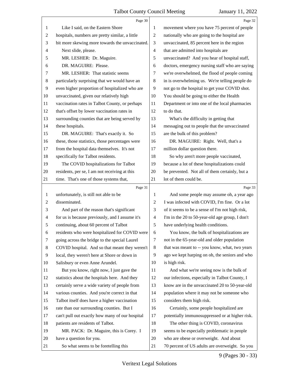<span id="page-9-0"></span>

|                | Page 30                                         |                | Page 32                                         |
|----------------|-------------------------------------------------|----------------|-------------------------------------------------|
| 1              | Like I said, on the Eastern Shore               | 1              | movement where you have 75 percent of people    |
| $\overline{c}$ | hospitals, numbers are pretty similar, a little | $\sqrt{2}$     | nationally who are going to the hospital are    |
| 3              | bit more skewing more towards the unvaccinated. | 3              | unvaccinated, 85 percent here in the region     |
| $\overline{4}$ | Next slide, please.                             | $\overline{4}$ | that are admitted into hospitals are            |
| 5              | MR. LESHER: Dr. Maguire.                        | 5              | unvaccinated? And you hear of hospital staff,   |
| 6              | DR. MAGUIRE: Please.                            | 6              | doctors, emergency nursing staff who are saying |
| 7              | MR. LESHER: That statistic seems                | 7              | we're overwhelmed, the flood of people coming   |
| 8              | particularly surprising that we would have an   | $\,8\,$        | in is overwhelming us. We're telling people do  |
| 9              | even higher proportion of hospitalized who are  | 9              | not go to the hospital to get your COVID shot.  |
| 10             | unvaccinated, given our relatively high         | 10             | You should be going to either the Health        |
| 11             | vaccination rates in Talbot County, or perhaps  | 11             | Department or into one of the local pharmacies  |
| 12             | that's offset by lower vaccination rates in     | 12             | to do that.                                     |
| 13             | surrounding counties that are being served by   | 13             | What's the difficulty in getting that           |
| 14             | these hospitals.                                | 14             | messaging out to people that the unvaccinated   |
| 15             | DR. MAGUIRE: That's exactly it. So              | 15             | are the bulk of this problem?                   |
| 16             | these, those statistics, those percentages were | 16             | DR. MAGUIRE: Right. Well, that's a              |
| 17             | from the hospital data themselves. It's not     | 17             | million dollar question there.                  |
| 18             | specifically for Talbot residents.              | 18             | So why aren't more people vaccinated,           |
| 19             | The COVID hospitalizations for Talbot           | 19             | because a lot of these hospitalizations could   |
| 20             | residents, per se, I am not receiving at this   | 20             | be prevented. Not all of them certainly, but a  |
| 21             | time. That's one of those systems that,         | 21             | lot of them could be.                           |
|                |                                                 |                |                                                 |
|                | Page 31                                         |                | Page 33                                         |
| $\mathbf{1}$   | unfortunately, is still not able to be          | 1              | And some people may assume oh, a year ago       |
| $\mathfrak{2}$ | disseminated.                                   | $\overline{2}$ | I was infected with COVID, I'm fine. Or a lot   |
| 3              | And part of the reason that's significant       | 3              | of it seems to be a sense of I'm not high risk, |
| $\overline{4}$ | for us is because previously, and I assume it's | $\overline{4}$ | I'm in the 20 to 50-year-old age group, I don't |
| 5              | continuing, about 60 percent of Talbot          | 5 <sup>5</sup> | have underlying health conditions.              |
| 6              | residents who were hospitalized for COVID were  | 6              | You know, the bulk of hospitalizations are      |
| 7              | going across the bridge to the special Laurel   | 7              | not in the 65-year-old and older population     |
| 8              | COVID hospital. And so that meant they weren't  | 8              | that was meant to -- you know, what, two years  |
| 9              | local, they weren't here at Shore or down in    | 9              | ago we kept harping on oh, the seniors and who  |
| 10             | Salisbury or even Anne Arundel.                 | 10             | is high risk.                                   |
| 11             | But you know, right now, I just gave the        | 11             | And what we're seeing now is the bulk of        |
| 12             | statistics about the hospitals here. And they   | 12             | our infections, especially in Talbot County, I  |
| 13             | certainly serve a wide variety of people from   | 13             | know are in the unvaccinated 20 to 50-year-old  |
| 14             | various counties. And you're correct in that    | 14             | population where it may not be someone who      |
| 15             | Talbot itself does have a higher vaccination    | 15             | considers them high risk.                       |
| 16             | rate than our surrounding counties. But I       | 16             | Certainly, some people hospitalized are         |
| 17             | can't pull out exactly how many of our hospital | 17             | potentially immunosuppressed or at higher risk. |
| 18             | patients are residents of Talbot.               | 18             | The other thing is COVID, coronavirus           |
| 19             | MR. PACK: Dr. Maguire, this is Corey. I         | 19             | seems to be especially problematic in people    |
| 20             | have a question for you.                        | 20             | who are obese or overweight. And about          |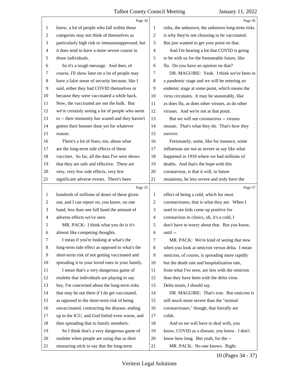<span id="page-10-0"></span>

|                | Page 34                                         |                | Page 36                                         |
|----------------|-------------------------------------------------|----------------|-------------------------------------------------|
| 1              | know, a lot of people who fall within those     | 1              | risks, the unknown, the unknown long-term risks |
| $\overline{2}$ | categories may not think of themselves as       | $\overline{2}$ | is why they're not choosing to be vaccinated.   |
| 3              | particularly high risk or immunosuppressed, but | 3              | But just wanted to get your point on that.      |
| $\overline{4}$ | it does tend to have a more severe course in    | 4              | And I'm hearing a lot that COVID is going       |
| 5              | those individuals.                              | 5              | to be with us for the foreseeable future, like  |
| 6              | So it's a tough message. And then, of           | 6              | flu. Do you have an opinion on that?            |
| 7              | course, I'll show later on a lot of people may  | 7              | DR. MAGUIRE: Yeah. I think we've been in        |
| $8\,$          | have a false sense of security because, like I  | 8              | a pandemic stage and we will be entering an     |
| 9              | said, either they had COVID themselves or       | 9              | endemic stage at some point, which means the    |
| 10             | because they were vaccinated a while back.      | 10             | virus circulates. It may be seasonably, like    |
| 11             | Now, the vaccinated are not the bulk. But       | 11             | as does flu, as does other viruses, as do other |
| 12             | we're certainly seeing a lot of people who seem | 12             | viruses. And we're not at that point.           |
| 13             | to -- their immunity has waned and they haven't | 13             | But we will see coronavirus -- viruses          |
| 14             | gotten their booster dose yet for whatever      | 14             | mutate. That's what they do. That's how they    |
| 15             | reason.                                         | 15             | survive.                                        |
| 16             | There's a lot of fears, too, about what         | 16             | Fortunately, some, like for instance, some      |
| 17             | are the long-term side effects of these         | 17             | influenzas are not as severe as say like what   |
| 18             | vaccines. So far, all the data I've seen shows  | 18             | happened in 1918 where we had millions of       |
| 19             | that they are safe and effective. There are     | 19             | deaths. And that's the hope with this           |
| 20             | very, very few side effects, very few           | 20             | coronavirus, is that it will, in future         |
| 21             | significant adverse events. There's been        | 21             | mutations, be less severe and truly have the    |
|                |                                                 |                |                                                 |
|                | Page 35                                         |                | Page 37                                         |
| $\mathbf{1}$   | hundreds of millions of doses of these given    | 1              | effect of being a cold, which for most          |
| $\overline{c}$ | out, and I can report on, you know, on one      | $\overline{2}$ | coronaviruses, that is what they are. When I    |
| 3              | hand, less than one full hand the amount of     | 3              | used to see kids come up positive for           |
| $\overline{4}$ | adverse effects we've seen.                     | $\overline{4}$ | coronavirus in clinics, oh, it's a cold, I      |
| 5              | MR. PACK: I think what you do is it's           | 5              | don't have to worry about that. But you know,   |
| 6              | almost like competing thoughts.                 | 6              | until-                                          |
| 7              | I mean if you're looking at what's the          | 7              | MR. PACK: We're kind of seeing that now         |
| 8              | long-term side effect as opposed to what's the  | 8              | when you look at omicron versus delta. I mean   |
| 9              | short-term risk of not getting vaccinated and   | 9              | omicron, of course, is spreading more rapidly   |
| 10             | spreading it to your loved ones in your family. | 10             | but the death rate and hospitalization rate,    |
| 11             | I mean that's a very dangerous game of          | 11             | from what I've seen, are less with the omicron  |
| 12             | roulette that individuals are playing to say    | 12             | than they have been with the delta virus.       |
| 13             | hey, I'm concerned about the long-term risks    | 13             | Delta strain, I should say.                     |
| 14             | that may be out there if I do get vaccinated,   | 14             | DR. MAGUIRE: That's true. But omicron is        |
| 15             | as opposed to the short-term risk of being      | 15             | still much more severe than the "normal         |
| 16             | unvaccinated, contracting the disease, ending   | 16             | coronaviruses," though, that literally are      |
| 17             | up in the ICU, and God forbid even worse, and   | 17             | colds.                                          |
| 18             | then spreading that to family members.          | 18             | And so we will have to deal with, you           |
| 19             | So I think that's a very dangerous game of      | 19             | know, COVID as a disease, you know. I don't     |
| 20             | roulette when people are using that as their    | 20             | know how long. But yeah, for the --             |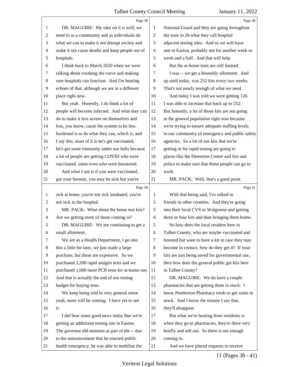<span id="page-11-0"></span>

|                | Page 38                                         |                | Page 40                                         |
|----------------|-------------------------------------------------|----------------|-------------------------------------------------|
| 1              | DR. MAGUIRE: My take on it is well, we          | 1              | National Guard and they are going throughout    |
| $\overline{c}$ | need to as a community and as individuals do    | $\overline{2}$ | the state in 20 what they call hospital         |
| 3              | what we can to make it not disrupt society and  | 3              | adjacent testing sites. And so we will have     |
| 4              | make it not cause deaths and keep people out of | 4              | one in Easton, probably not for another week or |
| 5              | hospitals.                                      | 5              | week and a half. And that will help.            |
| 6              | I think back to March 2020 when we were         | 6              | But the at-home tests are still limited.        |
| 7              | talking about crushing the curve and making     | 7              | I was -- we get a biweekly allotment. And       |
| 8              | sure hospitals can function. And I'm hearing    | 8              | up until today, was 252 kits every two weeks.   |
| 9              | echoes of that, although we are in a different  | 9              | That's not nearly enough of what we need.       |
| 10             | place right now.                                | 10             | And today I was told we were getting 126.       |
| 11             | But yeah. Honestly, I do think a lot of         | 11             | I was able to increase that back up to 252.     |
| 12             | people will become infected. And what they can  | 12             | But honestly, a lot of those kits are not going |
| 13             | do to make it less severe on themselves and     | 13             | to the general population right now because     |
| 14             | less, you know, cause the system to be less     | 14             | we're trying to ensure adequate staffing levels |
| 15             | burdened is to do what they can, which is, and  | 15             | in our community of emergency and public safety |
| 16             | I say this, most of it is let's get vaccinated, | 16             | agencies. So a lot of our kits that we're       |
| 17             | let's get some immunity under our belts because | 17             | getting in for rapid testing are going to       |
| 18             | a lot of people are getting COVID who were      | 18             | places like the Detention Center and fire and   |
| 19             | vaccinated, some even who were boostered.       | 19             | police to make sure that those people can go to |
| 20             | And what I see is if you were vaccinated,       | 20             | work.                                           |
| 21             | got your booster, you may be sick but you're    | 21             | MR. PACK: Well, that's a good point.            |
|                |                                                 |                |                                                 |
|                | Page 39                                         |                | Page 41                                         |
| 1              | sick at home, you're not sick intubated, you're | 1              | With that being said, I've talked to            |
| $\overline{c}$ | not sick in the hospital.                       | 2              | friends in other counties. And they're going    |
| 3              | MR. PACK: What about the home test kits?        | 3              | into their local CVS or Walgreens and getting   |
| 4              | Are we getting more of those coming in?         | $\overline{4}$ | three or four kits and then bringing them home. |
| 5              | DR. MAGUIRE: We are continuing to get a         | 5              | So how does the local resident here in          |
| 6              | small allotment.                                | 6              | Talbot County, who are maybe vaccinated and     |
| 7              | We are as a Health Department, I go into        | 7              | boosted but want to have a kit in case they may |
| 8              | this a little bit later, we just made a large   | 8              | become in contact, how do they get it? If your  |
| 9              | purchase, but these are expensive. So we        | 9              | kits are just being saved for governmental use, |
| 10             | purchased 1,200 rapid antigen tests and we      | 10             | then how does the general public get kits here  |
| 11             | purchased 1,000 more PCR tests for at-home use. | 11             | in Talbot County?                               |
| 12             | And that is actually the end of our testing     | 12             | DR. MAGUIRE: We do have a couple                |
| 13             | budget for buying tests.                        | 13             | pharmacies that are getting them in stock. I    |
| 14             | We keep being told in very general sense        | 14             | know Pemberton Pharmacy tends to get some in    |
| 15             | yeah, more will be coming. I have yet to see    | 15             | stock. And I know the minute I say that,        |
| 16             | it.                                             | 16             | they'll disappear.                              |
| 17             | I did hear some good news today that we're      | 17             | But what we're hearing from residents is        |
| 18             | getting an additional testing site in Easton.   | 18             | when they go to pharmacies, they're there very  |
| 19             | The governor did mention as part of the -- due  | 19             | briefly and sell out. So there is not enough    |
| 20             | to the announcement that he enacted public      | 20             | coming in.                                      |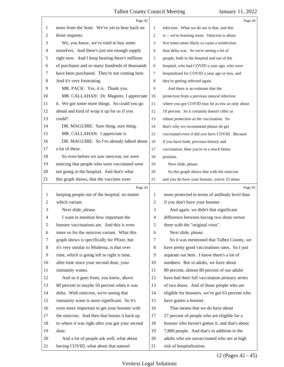<span id="page-12-0"></span>

|                | Page 42                                         |                | Page 44                                         |
|----------------|-------------------------------------------------|----------------|-------------------------------------------------|
| 1              | more from the State. We've yet to hear back on  | 1              | infection. What we do see is that, and this     |
| 2              | those requests.                                 | $\overline{c}$ | is -- we're learning more. Omicron is about     |
| 3              | We, you know, we've tried to buy some           | 3              | five times more likely to cause a reinfection   |
| 4              | ourselves. And there's just not enough supply   | 4              | than delta was. So we're seeing a lot of        |
| 5              | right now. And I keep hearing there's millions  | 5              | people, both in the hospital and out of the     |
| 6              | of purchases and so many hundreds of thousands  | 6              | hospital, who had COVID a year ago, who were    |
| 7              | have been purchased. They're not coming here.   | $\overline{7}$ | hospitalized for COVID a year ago or less, and  |
| 8              | And it's very frustrating.                      | 8              | they're getting infected again.                 |
| 9              | MR. PACK: Yes, it is. Thank you.                | 9              | And there is an estimate that the               |
| 10             | MR. CALLAHAN: Dr. Maguire, I appreciate         | 10             | protection from a previous natural infection    |
| 11             | it. We got some more things. So could you go    | 11             | where you got COVID may be as low as only about |
| 12             | ahead and kind of wrap it up for us if you      | 12             | 19 percent. So it certainly doesn't offer as    |
| 13             | could?                                          | 13             | robust protection as the vaccination. So        |
| 14             | DR. MAGUIRE: Sure thing, sure thing.            | 14             | that's why we recommend please do get           |
| 15             | MR. CALLAHAN: I appreciate it.                  | 15             | vaccinated even if did you have COVID. Because  |
| 16             | DR. MAGUIRE: So I've already talked about       | 16             | if you have both, previous history and          |
| 17             | a lot of these.                                 | 17             | vaccination, then you're in a much better       |
| 18             | So even before we saw omicron, we were          | 18             | position.                                       |
| 19             | noticing that people who were vaccinated were   | 19             | Next slide, please.                             |
| 20             | not going in the hospital. And that's what      | 20             | So this graph shows that with the omicron       |
| 21             | this graph shows, that the vaccines were        | 21             | and you do have your booster, you're 25 times   |
|                | Page 43                                         |                | Page 45                                         |
| 1              | keeping people out of the hospital, no matter   | 1              | more protected in terms of antibody level than  |
| $\overline{2}$ | which variant.                                  | $\overline{2}$ | if you don't have your booster.                 |
| 3              | Next slide, please.                             | 3              | And again, we didn't that significant           |
| 4              | I want to mention how important the             | 4              | difference between having two shots versus      |
| 5              | booster vaccinations are. And this is even      | 5              | three with the "original virus".                |
| 6              | more so for the omicron variant. What this      | 6              | Next slide, please.                             |
| 7              | graph shows is specifically for Pfizer, but     | 7              |                                                 |
| 8              |                                                 |                | So it was mentioned that Talbot County, we      |
|                | it's very similar to Moderna, is that over      | 8              | have pretty good vaccinations rates. So I just  |
| 9              | time, which is going left to right is time,     | 9              | separate out here. I know there's a lot of      |
| 10             | after time since your second dose, your         | 10             | numbers. But in adults, we have about           |
| 11             | immunity wanes.                                 | 11             | 80 percent, almost 80 percent of our adults     |
| 12             | And so it goes from, you know, above            | 12             | have had their full vaccination primary series  |
| 13             | 80 percent to maybe 50 percent when it was      | 13             | of two doses. And of those people who are       |
| 14             | delta. With omicron, we're seeing that          | 14             | eligible for boosters, we've got 63 percent who |
| 15             | immunity wane is more significant. So it's      | 15             | have gotten a booster.                          |
| 16             | even more important to get your booster with    | 16             | That means that we do have about                |
| 17             | the omicron. And then that boosts it back up    | 17             | 27 percent of people who are eligible for a     |
| 18             | to where it was right after you got your second | 18             | booster who haven't gotten it, and that's about |
| 19             | dose.                                           | 19             | 7,800 people. And that's in addition to the     |
| 20             | And a lot of people ask well, what about        | 20             | adults who are unvaccinated who are at high     |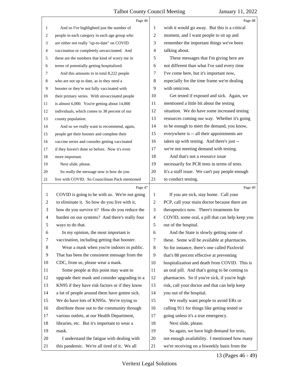<span id="page-13-0"></span>

|                | Page 46                                        |                          | Page 48                                         |
|----------------|------------------------------------------------|--------------------------|-------------------------------------------------|
| $\mathbf{1}$   | And so I've highlighted just the number of     | 1                        | wish it would go away. But this is a critical   |
| 2              | people in each category in each age group who  | $\overline{c}$           | moment, and I want people to sit up and         |
| 3              | are either not really "up-to-date" on COVID    | 3                        | remember the important things we've been        |
| $\overline{4}$ | vaccination or completely unvaccinated. And    | $\overline{4}$           | talking about.                                  |
| 5              | these are the numbers that kind of worry me in | 5                        | These messages that I'm giving here are         |
| 6              | terms of potentially getting hospitalized.     | 6                        | not different than what I've said every time    |
| $\tau$         | And this amounts to in total 8,222 people      | 7                        | I've come here, but it's important now,         |
| 8              | who are not up to date, as in they need a      | $\,8\,$                  | especially for the time frame we're dealing     |
| 9              | booster or they're not fully vaccinated with   | 9                        | with omicron.                                   |
| 10             | their primary series. With unvaccinated people | 10                       | Get tested if exposed and sick. Again, we       |
| 11             | is almost 6,000. You're getting about 14,000   | 11                       | mentioned a little bit about the testing        |
| 12             | individuals, which comes to 38 percent of our  | 12                       | situation. We do have some increased testing    |
| 13             | county population.                             | 13                       | resources coming our way. Whether it's going    |
| 14             | And so we really want to recommend, again,     | 14                       | to be enough to meet the demand, you know,      |
| 15             | people get their booster and complete their    | 15                       | everywhere is -- all their appointments are     |
| 16             | vaccine series and consider getting vaccinated | 16                       | taken up with testing. And there's just --      |
| 17             | if they haven't done so before. Now it's even  | 17                       | we're not meeting demand with testing.          |
| 18             | more important.                                | 18                       | And that's not a resource issue                 |
| 19             | Next slide, please.                            | 19                       | necessarily for PCR tests in terms of tests.    |
| 20             | So really the message now is how do you        | 20                       | It's a staff issue. We can't pay people enough  |
| 21             | live with COVID. So Councilman Pack mentioned  | 21                       | to conduct testing.                             |
|                |                                                |                          |                                                 |
|                | Page 47                                        |                          | Page 49                                         |
| $\mathbf{1}$   | COVID is going to be with us. We're not going  | 1                        | If you are sick, stay home. Call your           |
| 2              | to eliminate it. So how do you live with it,   | $\overline{c}$           | PCP, call your main doctor because there are    |
| 3              | how do you survive it? How do you reduce the   | 3                        | therapeutics now. There's treatments for        |
| $\overline{4}$ | burden on our systems? And there's really four | $\overline{\mathcal{A}}$ | COVID, some oral, a pill that can help keep you |
| 5              | ways to do that.                               | 5                        | out of the hospital.                            |
| 6              | In my opinion, the most important is           | 6                        | And the State is slowly getting some of         |
| 7              | vaccination, including getting that booster.   | 7                        | these. Some will be available at pharmacies.    |
| 8              | Wear a mask when you're indoors in public.     | 8                        | So for instance, there's one called Paxlovid    |
| 9              | That has been the consistent message from the  | 9                        | that's 88 percent effective at preventing       |
| 10             | CDC, from us, please wear a mask.              | 10                       | hospitalization and death from COVID. This is   |
| 11             | Some people at this point may want to          | 11                       | an oral pill. And that's going to be coming to  |
| 12             | upgrade their mask and consider upgrading to a | 12                       | pharmacies. So if you're sick, if you're high   |
| 13             | KN95 if they have risk factors or if they know | 13                       | risk, call your doctor and that can help keep   |
| 14             | a lot of people around them have gotten sick.  | 14                       | you out of the hospital.                        |
| 15             | We do have lots of KN95s. We're trying to      | 15                       | We really want people to avoid ERs or           |
| 16             | distribute those out to the community through  | 16                       | calling 911 for things like getting tested or   |
| 17             | various outlets, at our Health Department,     | 17                       | going unless it's a true emergency.             |
| 18             | libraries, etc. But it's important to wear a   | 18                       | Next slide, please.                             |
| 19             | mask.                                          | 19                       | So again, we have high demand for tests,        |
| 20             | I understand the fatigue with dealing with     | 20                       | not enough availability. I mentioned how many   |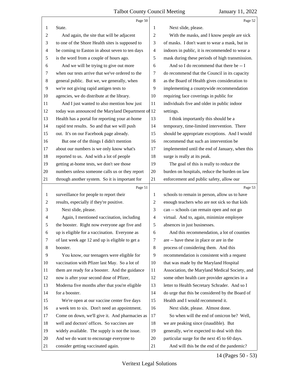<span id="page-14-0"></span>

|    | Page 50                                           |                | Page 52                                         |
|----|---------------------------------------------------|----------------|-------------------------------------------------|
| 1  | State.                                            | 1              | Next slide, please.                             |
| 2  | And again, the site that will be adjacent         | $\overline{c}$ | With the masks, and I know people are sick      |
| 3  | to one of the Shore Health sites is supposed to   | 3              | of masks. I don't want to wear a mask, but in   |
| 4  | be coming to Easton in about seven to ten days    | 4              | indoors in public, it is recommended to wear a  |
| 5  | is the word from a couple of hours ago.           | 5              | mask during these periods of high transmission. |
| 6  | And we will be trying to give out more            | 6              | And so I do recommend that there be -- I        |
| 7  | when our tests arrive that we've ordered to the   | 7              | do recommend that the Council in its capacity   |
| 8  | general public. But we, we generally, when        | $\,8\,$        | as the Board of Health gives consideration to   |
| 9  | we're not giving rapid antigen tests to           | 9              | implementing a countywide recommendation        |
| 10 | agencies, we do distribute at the library.        | 10             | requiring face coverings in public for          |
| 11 | And I just wanted to also mention how just        | 11             | individuals five and older in public indoor     |
| 12 | today was announced the Maryland Department of 12 |                | settings.                                       |
| 13 | Health has a portal for reporting your at-home    | 13             | I think importantly this should be a            |
| 14 | rapid test results. So and that we will push      | 14             | temporary, time-limited intervention. There     |
| 15 | out. It's on our Facebook page already.           | 15             | should be appropriate exceptions. And I would   |
| 16 | But one of the things I didn't mention            | 16             | recommend that such an intervention be          |
| 17 | about our numbers is we only know what's          | 17             | implemented until the end of January, when this |
| 18 | reported to us. And with a lot of people          | 18             | surge is really at its peak.                    |
| 19 | getting at-home tests, we don't see those         | 19             | The goal of this is really to reduce the        |
| 20 | numbers unless someone calls us or they report    | 20             | burden on hospitals, reduce the burden on law   |
| 21 | through another system. So it is important for    | 21             | enforcement and public safety, allow our        |
|    | Page 51                                           |                | Page 53                                         |
| 1  | surveillance for people to report their           | 1              | schools to remain in person, allow us to have   |
|    |                                                   |                |                                                 |
| 2  | results, especially if they're positive.          | 2              | enough teachers who are not sick so that kids   |
| 3  | Next slide, please.                               | 3              | can -- schools can remain open and not go       |
| 4  | Again, I mentioned vaccination, including         | 4              | virtual. And to, again, minimize employee       |
|    | the booster. Right now everyone age five and      | 5              | absences in just businesses.                    |
| 6  | up is eligible for a vaccination. Everyone as     | 6              | And this recommendation, a lot of counties      |
| 7  | of last week age 12 and up is eligible to get a   | 7              | are -- have these in place or are in the        |
| 8  | booster.                                          | $\,8\,$        | process of considering them. And this           |
| 9  | You know, our teenagers were eligible for         | 9              | recommendation is consistent with a request     |
| 10 | vaccination with Pfizer last May. So a lot of     | 10             | that was made by the Maryland Hospital          |
| 11 | them are ready for a booster. And the guidance    | 11             | Association, the Maryland Medical Society, and  |
| 12 | now is after your second dose of Pfizer,          | 12             | some other health care provider agencies in a   |
| 13 | Moderna five months after that you're eligible    | 13             | letter to Health Secretary Schrader. And so I   |
| 14 | for a booster.                                    | 14             | do urge that this be considered by the Board of |
| 15 | We're open at our vaccine center five days        | 15             | Health and I would recommend it.                |
| 16 | a week ten to six. Don't need an appointment.     | 16             | Next slide, please. Almost done.                |
| 17 | Come on down, we'll give it. And pharmacies as    | 17             | So when will the end of omicron be? Well,       |
| 18 | well and doctors' offices. So vaccines are        | 18             | we are peaking since (inaudible). But           |
| 19 | widely available. The supply is not the issue.    | 19             | generally, we're expected to deal with this     |
| 20 | And we do want to encourage everyone to           | 20             | particular surge for the next 45 to 60 days.    |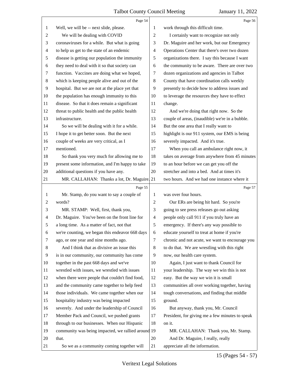<span id="page-15-0"></span>

|         | Page 54                                            |                          | Page 56                                         |
|---------|----------------------------------------------------|--------------------------|-------------------------------------------------|
| 1       | Well, we will be -- next slide, please.            | 1                        | work through this difficult time.               |
| 2       | We will be dealing with COVID                      | $\overline{c}$           | I certainly want to recognize not only          |
| 3       | coronaviruses for a while. But what is going       | 3                        | Dr. Maguire and her work, but our Emergency     |
| 4       | to help us get to the state of an endemic          | 4                        | Operations Center that there's over two dozen   |
| 5       | disease is getting our population the immunity     | 5                        | organizations there. I say this because I want  |
| 6       | they need to deal with it so that society can      | 6                        | the community to be aware. There are over two   |
| 7       | function. Vaccines are doing what we hoped,        | 7                        | dozen organizations and agencies in Talbot      |
| $\,8\,$ | which is keeping people alive and out of the       | $\,8\,$                  | County that have coordination calls weekly      |
| 9       | hospital. But we are not at the place yet that     | 9                        | presently to decide how to address issues and   |
| 10      | the population has enough immunity to this         | 10                       | to leverage the resources they have to effect   |
| 11      | disease. So that it does remain a significant      | 11                       | change.                                         |
| 12      | threat to public health and the public health      | 12                       | And we're doing that right now. So the          |
| 13      | infrastructure.                                    | 13                       | couple of areas, (inaudible) we're in a bubble. |
| 14      | So we will be dealing with it for a while.         | 14                       | But the one area that I really want to          |
| 15      | I hope it to get better soon. But the next         | 15                       | highlight is our 911 system, our EMS is being   |
| 16      | couple of weeks are very critical, as I            | 16                       | severely impacted. And it's true.               |
| 17      | mentioned.                                         | 17                       | When you call an ambulance right now, it        |
| 18      | So thank you very much for allowing me to          | 18                       | takes on average from anywhere from 45 minutes  |
| 19      | present some information, and I'm happy to take    | 19                       | to an hour before we can get you off the        |
| 20      | additional questions if you have any.              | $20\,$                   | stretcher and into a bed. And at times it's     |
| 21      | MR. CALLAHAN: Thanks a lot, Dr. Maguire. 21        |                          | two hours. And we had one instance where it     |
|         |                                                    |                          |                                                 |
|         | Page 55                                            |                          | Page 57                                         |
| 1       | Mr. Stamp, do you want to say a couple of          | 1                        | was over four hours.                            |
| 2       | words?                                             | $\overline{c}$           | Our ERs are being hit hard. So you're           |
| 3       | MR. STAMP: Well, first, thank you,                 | 3                        | going to see press releases go out asking       |
| 4       | Dr. Maguire. You've been on the front line for     | $\overline{\mathcal{A}}$ | people only call 911 if you truly have an       |
| 5       | a long time. As a matter of fact, not that         | 5                        | emergency. If there's any way possible to       |
| 6       | we're counting, we began this endeavor 668 days    | 6                        | educate yourself to treat at home if you're     |
| 7       | ago, or one year and nine months ago.              | 7                        | chronic and not acute, we want to encourage you |
| 8       | And I think that as divisive an issue this         | 8                        | to do that. We are wrestling with this right    |
| 9       | is in our community, our community has come        | 9                        | now, our health care system.                    |
| 10      | together in the past 668 days and we've            | 10                       | Again, I just want to thank Council for         |
| 11      | wrestled with issues, we wrestled with issues      | 11                       | your leadership. The way we win this is not     |
| 12      | when there were people that couldn't find food,    | 12                       | easy. But the way we win it is small            |
| 13      | and the community came together to help feed       | 13                       | communities all over working together, having   |
| 14      | those individuals. We came together when our       | 14                       | tough conversations, and finding that middle    |
| 15      | hospitality industry was being impacted            | 15                       | ground.                                         |
| 16      | severely. And under the leadership of Council      | 16                       | But anyway, thank you, Mr. Council              |
| 17      | Member Pack and Council, we pushed grants          | 17                       | President, for giving me a few minutes to speak |
| 18      | through to our businesses. When our Hispanic       | 18                       | on it.                                          |
| 19      | community was being impacted, we rallied around 19 |                          | MR. CALLAHAN: Thank you, Mr. Stamp.             |
| 20      | that.                                              | 20                       | And Dr. Maguire, I really, really               |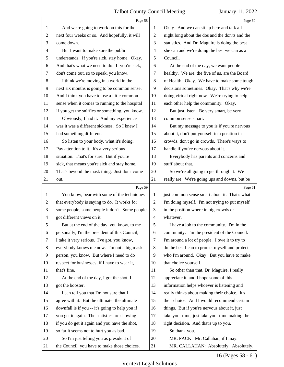<span id="page-16-0"></span>

|                | Page 58                                                                                 |                          | Page 60                                                                    |
|----------------|-----------------------------------------------------------------------------------------|--------------------------|----------------------------------------------------------------------------|
| 1              | And we're going to work on this for the                                                 | 1                        | Okay. And we can sit up here and talk all                                  |
| $\overline{2}$ | next four weeks or so. And hopefully, it will                                           | 2                        | night long about the dos and the don'ts and the                            |
| 3              | come down.                                                                              | 3                        | statistics. And Dr. Maguire is doing the best                              |
| 4              | But I want to make sure the public                                                      | $\overline{\mathcal{A}}$ | she can and we're doing the best we can as a                               |
| 5              | understands. If you're sick, stay home. Okay.                                           | 5                        | Council.                                                                   |
| 6              | And that's what we need to do. If you're sick,                                          | 6                        | At the end of the day, we want people                                      |
| 7              | don't come out, so to speak, you know.                                                  | 7                        | healthy. We are, the five of us, are the Board                             |
| 8              | I think we're moving in a world in the                                                  | 8                        | of Health. Okay. We have to make some tough                                |
| 9              | next six months is going to be common sense.                                            | 9                        | decisions sometimes. Okay. That's why we're                                |
| 10             | And I think you have to use a little common                                             | 10                       | doing virtual right now. We're trying to help                              |
| 11             | sense when it comes to running to the hospital                                          | 11                       | each other help the community. Okay.                                       |
| 12             | if you get the sniffles or something, you know.                                         | 12                       | But just listen. Be very smart, be very                                    |
| 13             | Obviously, I had it. And my experience                                                  | 13                       | common sense smart.                                                        |
| 14             | was it was a different sickness. So I knew I                                            | 14                       | But my message to you is if you're nervous                                 |
| 15             | had something different.                                                                | 15                       | about it, don't put yourself in a position in                              |
| 16             | So listen to your body, what it's doing.                                                | 16                       | crowds, don't go in crowds. There's ways to                                |
| 17             | Pay attention to it. It's a very serious                                                | 17                       | handle if you're nervous about it.                                         |
| 18             | situation. That's for sure. But if you're                                               | 18                       | Everybody has parents and concerns and                                     |
| 19             | sick, that means you're sick and stay home.                                             | 19                       | stuff about that.                                                          |
| 20             | That's beyond the mask thing. Just don't come                                           | 20                       | So we're all going to get through it. We                                   |
| 21             | out.                                                                                    | 21                       | really are. We're going ups and downs, but be                              |
|                | Page 59                                                                                 |                          | Page 61                                                                    |
| 1              | You know, bear with some of the techniques                                              | 1                        | just common sense smart about it. That's what                              |
| 2              | that everybody is saying to do. It works for                                            | $\overline{2}$           | I'm doing myself. I'm not trying to put myself                             |
| 3              | some people, some people it don't. Some people                                          | 3                        | in the position where in big crowds or                                     |
| 4              | got different views on it.                                                              | $\overline{4}$           | whatever.                                                                  |
| 5              | But at the end of the day, you know, to me                                              | 5                        | I have a job to the community. I'm in the                                  |
| 6              | personally, I'm the president of this Council,                                          | 6                        | community. I'm the president of the Council.                               |
| 7              | I take it very serious. I've got, you know,                                             | 7                        | I'm around a lot of people. I owe it to try to                             |
| 8              | everybody knows me now. I'm not a big mask                                              | 8                        | do the best I can to protect myself and protect                            |
| 9              | person, you know. But where I need to do                                                | 9                        | who I'm around. Okay. But you have to make                                 |
| 10             | respect for businesses, if I have to wear it,                                           | 10                       | that choice yourself.                                                      |
| 11             | that's fine.                                                                            | 11                       | So other than that, Dr. Maguire, I really                                  |
| 12             | At the end of the day, I got the shot, I                                                | 12                       | appreciate it, and I hope some of this                                     |
| 13             | got the booster.                                                                        | 13                       | information helps whoever is listening and                                 |
| 14             | I can tell you that I'm not sure that I                                                 | 14                       | really thinks about making their choice. It's                              |
| 15             | agree with it. But the ultimate, the ultimate                                           | 15                       | their choice. And I would recommend certain                                |
| 16             | downfall is if you -- it's going to help you if                                         | 16                       | things. But if you're nervous about it, just                               |
| 17             | you get it again. The statistics are showing                                            | 17                       | take your time, just take your time making the                             |
| 18             | if you do get it again and you have the shot,                                           | 18                       | right decision. And that's up to you.                                      |
| 19             | so far it seems not to hurt you as bad.                                                 | 19                       | So thank you.                                                              |
|                |                                                                                         |                          |                                                                            |
| 20             | So I'm just telling you as president of<br>the Council, you have to make those choices. | 20                       | MR. PACK: Mr. Callahan, if I may.<br>MR. CALLAHAN: Absolutely. Absolutely, |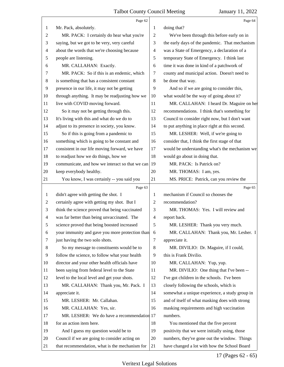<span id="page-17-0"></span>

|                | Page 62                                         |                          | Page 64                                         |
|----------------|-------------------------------------------------|--------------------------|-------------------------------------------------|
| 1              | Mr. Pack, absolutely.                           | 1                        | doing that?                                     |
| 2              | MR. PACK: I certainly do hear what you're       | 2                        | We've been through this before early on in      |
| 3              | saying, but we got to be very, very careful     | 3                        | the early days of the pandemic. That mechanism  |
| 4              | about the words that we're choosing because     | $\overline{\mathcal{A}}$ | was a State of Emergency, a declaration of a    |
| 5              | people are listening.                           | 5                        | temporary State of Emergency. I think last      |
| 6              | MR. CALLAHAN: Exactly.                          | 6                        | time it was done in kind of a patchwork of      |
| 7              | MR. PACK: So if this is an endemic, which       | 7                        | county and municipal action. Doesn't need to    |
| 8              | is something that has a consistent constant     | $\,8\,$                  | be done that way.                               |
| 9              | presence in our life, it may not be getting     | 9                        | And so if we are going to consider this,        |
| 10             | through anything. It may be readjusting how we  | 10                       | what would be the way of going about it?        |
| 11             | live with COVID moving forward.                 | 11                       | MR. CALLAHAN: I heard Dr. Maguire on her        |
| 12             | So it may not be getting through this.          | 12                       | recommendations. I think that's something for   |
| 13             | It's living with this and what do we do to      | 13                       | Council to consider right now, but I don't want |
| 14             | adjust to its presence in society, you know.    | 14                       | to put anything in place right at this second.  |
| 15             | So if this is going from a pandemic to          | 15                       | MR. LESHER: Well, if we're going to             |
| 16             | something which is going to be constant and     | 16                       | consider that, I think the first stage of that  |
| 17             | consistent in our life moving forward, we have  | 17                       | would be understanding what's the mechanism we  |
| 18             | to readjust how we do things, how we            | 18                       | would go about in doing that.                   |
| 19             | communicate, and how we interact so that we can | 19                       | MR. PACK: Is Patrick on?                        |
| 20             | keep everybody healthy.                         | 20                       | MR. THOMAS: I am, yes.                          |
| 21             | You know, I was certainly -- you said you       | 21                       | MS. PRICE: Patrick, can you review the          |
|                | Page 63                                         |                          | Page 65                                         |
| 1              | didn't agree with getting the shot. I           | 1                        | mechanism if Council so chooses the             |
| 2              | certainly agree with getting my shot. But I     | 2                        | recommendation?                                 |
| 3              | think the science proved that being vaccinated  | 3                        | MR. THOMAS: Yes. I will review and              |
| $\overline{4}$ | was far better than being unvaccinated. The     | $\overline{\mathcal{A}}$ | report back.                                    |
| 5              | science proved that being boosted increased     | 5                        | MR. LESHER: Thank you very much.                |
| 6              | your immunity and gave you more protection than | 6                        | MR. CALLAHAN: Thank you, Mr. Lesher. I          |
| 7              | just having the two solo shots.                 | 7                        | appreciate it.                                  |
| 8              | So my message to constituents would be to       | 8                        | MR. DIVILIO: Dr. Maguire, if I could,           |
| 9              | follow the science, to follow what your health  | 9                        | this is Frank Divilio.                          |
| 10             | director and your other health officials have   | 10                       | MR. CALLAHAN: Yup, yup.                         |
| 11             | been saying from federal level to the State     | 11                       | MR. DIVILIO: One thing that I've been --        |
| 12             | level to the local level and get your shots.    | 12                       | I've got children in the schools. I've been     |
| 13             | MR. CALLAHAN: Thank you, Mr. Pack. I            | 13                       | closely following the schools, which is         |
| 14             | appreciate it.                                  | 14                       | somewhat a unique experience, a study group in  |
| 15             | MR. LESHER: Mr. Callahan.                       | 15                       | and of itself of what masking does with strong  |
|                |                                                 |                          |                                                 |
| 16             | MR. CALLAHAN: Yes, sir.                         | 16                       | masking requirements and high vaccination       |
| 17             | MR. LESHER: We do have a recommendation 17      |                          | numbers.                                        |
| 18             | for an action item here.                        | 18                       | You mentioned that the five percent             |
| 19             | And I guess my question would be to             | 19                       | positivity that we were initially using, those  |
| 20             | Council if we are going to consider acting on   | 20                       | numbers, they've gone out the window. Things    |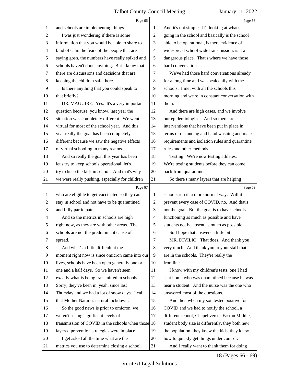<span id="page-18-0"></span>

|                | Page 66                                            |                | Page 68                                         |
|----------------|----------------------------------------------------|----------------|-------------------------------------------------|
| 1              | and schools are implementing things.               | 1              | And it's not simple. It's looking at what's     |
| $\overline{c}$ | I was just wondering if there is some              | $\overline{2}$ | going in the school and basically is the school |
| 3              | information that you would be able to share to     | 3              | able to be operational, is there evidence of    |
| 4              | kind of calm the fears of the people that are      | $\overline{4}$ | widespread school wide transmission, is it a    |
| 5              | saying gosh, the numbers have really spiked and    | 5              | dangerous place. That's where we have those     |
| 6              | schools haven't done anything. But I know that     | 6              | hard conversations.                             |
| 7              | there are discussions and decisions that are       | 7              | We've had those hard conversations already      |
| 8              | keeping the children safe there.                   | 8              | for a long time and we speak daily with the     |
| 9              | Is there anything that you could speak to          | 9              | schools. I met with all the schools this        |
| 10             | that briefly?                                      | 10             | morning and we're in constant conversation with |
| 11             | DR. MAGUIRE: Yes. It's a very important            | 11             | them.                                           |
| 12             | question because, you know, last year the          | 12             | And there are high cases, and we involve        |
| 13             | situation was completely different. We went        | 13             | our epidemiologists. And so there are           |
| 14             | virtual for most of the school year. And this      | 14             | interventions that have been put in place in    |
| 15             | year really the goal has been completely           | 15             | terms of distancing and hand washing and mask   |
| 16             | different because we saw the negative effects      | 16             | requirements and isolation rules and quarantine |
| 17             | of virtual schooling in many realms.               | 17             | rules and other methods.                        |
| 18             | And so really the goal this year has been          | 18             | Testing. We're now testing athletes.            |
| 19             | let's try to keep schools operational, let's       | 19             | We're testing students before they can come     |
| 20             | try to keep the kids in school. And that's why     | 20             | back from quarantine.                           |
| 21             | we were really pushing, especially for children    | 21             | So there's many layers that are helping         |
|                |                                                    |                |                                                 |
|                | Page 67                                            |                | Page 69                                         |
| 1              | who are eligible to get vaccinated so they can     | 1              | schools run in a more normal way. Will it       |
| $\overline{c}$ | stay in school and not have to be quarantined      | $\overline{2}$ | prevent every case of COVID, no. And that's     |
| 3              | and fully participate.                             | 3              | not the goal. But the goal is to have schools   |
| 4              | And so the metrics in schools are high             | $\overline{4}$ | functioning as much as possible and have        |
| 5              | right now, as they are with other areas. The       | 5              | students not be absent as much as possible.     |
| 6              | schools are not the predominant cause of           | 6              | So I hope that answers a little bit.            |
| 7              | spread.                                            | $\tau$         | MR. DIVILIO: That does. And thank you           |
| 8              | And what's a little difficult at the               | 8              | very much. And thank you to your staff that     |
| 9              | moment right now is since omicron came into our    | 9              | are in the schools. They're really the          |
| 10             | lives, schools have been open generally one or     | 10             | frontline.                                      |
| 11             | one and a half days. So we haven't seen            | 11             | I know with my children's tests, one I had      |
| 12             | exactly what is being transmitted in schools.      | 12             | sent home who was quarantined because he was    |
| 13             | Sorry, they've been in, yeah, since last           | 13             | near a student. And the nurse was the one who   |
| 14             | Thursday and we had a lot of snow days. I call     | 14             | answered most of the questions.                 |
| 15             | that Mother Nature's natural lockdown.             | 15             | And then when my son tested positive for        |
| 16             | So the good news is prior to omicron, we           | 16             | COVID and we had to notify the school, a        |
| 17             | weren't seeing significant levels of               | 17             | different school, Chapel versus Easton Middle,  |
| 18             | transmission of COVID in the schools when those 18 |                | student body size is differently, they both new |
| 19             | layered prevention strategies were in place.       | 19             | the population, they knew the kids, they knew   |
| 20             | I get asked all the time what are the              | 20             | how to quickly get things under control.        |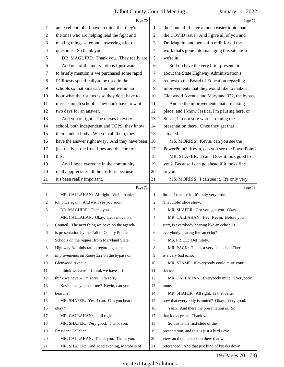<span id="page-19-0"></span>

|                | Page 70                                         |                | Page 72                                         |
|----------------|-------------------------------------------------|----------------|-------------------------------------------------|
| $\mathbf{1}$   | an excellent job. I have to think that they're  | 1              | the Council. I have a much easier topic than    |
| $\overline{2}$ | the ones who are helping lead the fight and     | 2              | the COVID issue. And I give all of you and      |
| 3              | making things safer and answering a lot of      | 3              | Dr. Maguire and her staff credit for all the    |
| $\overline{4}$ | questions. So thank you.                        | $\overline{4}$ | work that's gone into managing this situation   |
| 5              | DR. MAGUIRE: Thank you. They really are.        | 5              | we're in.                                       |
| 6              | And one of the interventions I just want        | 6              | So I do have the very brief presentation        |
| 7              | to briefly mention is we purchased some rapid   | 7              | about the State Highway Administration's        |
| 8              | PCR tests specifically to be used in the        | 8              | request to the Board of Education regarding     |
| 9              | schools so that kids can find out within an     | 9              | improvements that they would like to make at    |
| 10             | hour what their status is so they don't have to | 10             | Glenwood Avenue and Maryland 322, the bypass.   |
| 11             | miss as much school. They don't have to wait    | 11             | And so the improvements that are taking         |
| 12             | two days for an answer.                         | 12             | place, and I know Jessica, I'm pausing here, or |
| 13             | And you're right. The nurses in every           | 13             | Susan, I'm not sure who is running the          |
| 14             | school, both independent and TCPS, they know    | 14             | presentation there. Once they get that          |
| 15             | their student body. When I call them, they      | 15             | situated.                                       |
| 16             | have the answer right away. And they have been  | 16             | MS. MORRIS: Kevin, can you see the              |
| 17             | just really at the front lines and the core of  | 17             | PowerPoint? Kevin, can you see the PowerPoint?  |
| 18             | this.                                           | 18             | MR. SHAFER: I can. Does it look good to         |
| 19             | And I hope everyone in the community            | 19             | you? Because I can go ahead if it looks fine    |
| 20             | really appreciates all their efforts because    | 20             | to you.                                         |
| 21             | it's been really important.                     | 21             | MS. MORRIS: I can see it. It's only very        |
|                |                                                 |                |                                                 |
|                | Page 71                                         |                | Page 73                                         |
| $\mathbf{1}$   | MR. CALLAHAN: All right. Well, thanks a         | 1              | little. I can see it. It's only very little.    |
| 2              | lot, once again. And we'll see you soon.        | $\overline{2}$ | (Inaudible) slide show.                         |
| 3              | DR. MAGUIRE: Thank you.                         | 3              | MR. SHAFER: Got you, got you. Okay.             |
| 4              | MR. CALLAHAN: Okay. Let's move on,              | 4              | MR. CALLAHAN: Hey, Kevin. Before you            |
| 5              | Council. The next thing we have on the agenda   | 5              | start, is everybody hearing like an echo? Is    |
| 6              | is presentation by the Talbot County Public     | 6              | everybody hearing like an echo?                 |
| 7              | Schools on the request from Maryland State      | 7              | MS. PRICE: Definitely.                          |
| 8              | Highway Administration regarding some           | 8              | MR. PACK: This is a very bad echo. There        |
| 9              | improvements on Route 322 on the bypass on      | 9              | is a very bad echo.                             |
| 10             | Glenwood Avenue.                                | 10             | MR. STAMP: If everybody could mute your         |
| 11             | I think we have -- I think we have -- I         | 11             | device.                                         |
| 12             | think we have -- I'm sorry. I'm sorry.          | 12             | MR. CALLAHAN: Everybody mute. Everybody         |
| 13             | Kevin, can you hear me? Kevin, can you          | 13             | mute.                                           |
| 14             | hear me?                                        | 14             | MR. SHAFER: All right. Is that better           |
| 15             | MR. SHAFER: Yes, I can. Can you hear me         | 15             | now that everybody is muted? Okay. Very good.   |
| 16             | okay?                                           | 16             | Yeah. And there the presentation is. So         |
| 17             | MR. CALLAHAN: -- all right.                     | 17             | that looks great. Thank you.                    |
| 18             | MR. SHAFER: Very good. Thank you,               | 18             | So this is the first slide of the               |
| 19             | President Callahan.                             | 19             | presentation, and this is just a bird's eye     |
| 20             | MR. CALLAHAN: Thank you. Thank you.             | 20             | view on the intersection there that we          |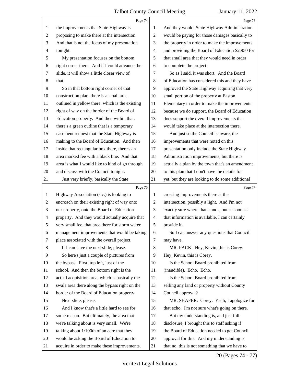<span id="page-20-0"></span>

|                | Page 74                                                                                   |                | Page 76                                                                                      |
|----------------|-------------------------------------------------------------------------------------------|----------------|----------------------------------------------------------------------------------------------|
| $\mathbf{1}$   | the improvements that State Highway is                                                    | 1              | And they would, State Highway Administration                                                 |
| $\overline{2}$ | proposing to make there at the intersection.                                              | 2              | would be paying for those damages basically to                                               |
| 3              | And that is not the focus of my presentation                                              | 3              | the property in order to make the improvements                                               |
| $\overline{4}$ | tonight.                                                                                  | $\overline{4}$ | and providing the Board of Education \$2,950 for                                             |
| 5              | My presentation focuses on the bottom                                                     | 5              | that small area that they would need in order                                                |
| 6              | right corner there. And if I could advance the                                            | 6              | to complete the project.                                                                     |
| 7              | slide, it will show a little closer view of                                               | 7              | So as I said, it was short. And the Board                                                    |
| $\,8$          | that.                                                                                     | $\,8\,$        | of Education has considered this and they have                                               |
| 9              | So in that bottom right corner of that                                                    | 9              | approved the State Highway acquiring that very                                               |
| 10             | construction plan, there is a small area                                                  | 10             | small portion of the property at Easton                                                      |
| 11             | outlined in yellow there, which is the existing                                           | 11             | Elementary in order to make the improvements                                                 |
| 12             | right of way on the border of the Board of                                                | 12             | because we do support, the Board of Education                                                |
| 13             | Education property. And then within that,                                                 | 13             | does support the overall improvements that                                                   |
| 14             | there's a green outline that is a temporary                                               | 14             | would take place at the intersection there.                                                  |
| 15             | easement request that the State Highway is                                                | 15             | And just so the Council is aware, the                                                        |
| 16             | making to the Board of Education. And then                                                | 16             | improvements that were noted on this                                                         |
| 17             | inside that rectangular box there, there's an                                             | 17             | presentation only include the State Highway                                                  |
| 18             | area marked fee with a black line. And that                                               | 18             | Administration improvements, but there is                                                    |
| 19             | area is what I would like to kind of go through                                           | 19             | actually a plan by the town that's an amendment                                              |
| 20             | and discuss with the Council tonight.                                                     | 20             | to this plan that I don't have the details for                                               |
| 21             | Just very briefly, basically the State                                                    | 21             | yet, but they are looking to do some additional                                              |
|                | Page 75                                                                                   |                | Page 77                                                                                      |
| $\mathbf{1}$   | Highway Association (sic.) is looking to                                                  | 1              | crossing improvements there at the                                                           |
| $\overline{c}$ | encroach on their existing right of way onto                                              | $\overline{c}$ | intersection, possibly a light. And I'm not                                                  |
| 3              | our property, onto the Board of Education                                                 | 3              | exactly sure where that stands, but as soon as                                               |
| 4              | property. And they would actually acquire that                                            | $\overline{4}$ | that information is available, I can certainly                                               |
| 5              | very small fee, that area there for storm water                                           | 5              | provide it.                                                                                  |
| 6              | management improvements that would be taking                                              | 6              | So I can answer any questions that Council                                                   |
| 7              | place associated with the overall project.                                                | 7              | may have.                                                                                    |
| 8              | If I can have the next slide, please.                                                     | $\,8\,$        | MR. PACK: Hey, Kevin, this is Corey.                                                         |
| 9              |                                                                                           |                |                                                                                              |
| 10             | So here's just a couple of pictures from                                                  | 9              | Hey, Kevin, this is Corey.                                                                   |
| 11             | the bypass. First, top left, just of the                                                  | 10             | Is the School Board prohibited from                                                          |
|                | school. And then the bottom right is the                                                  | 11             | (inaudible). Echo. Echo.                                                                     |
| 12             | actual acquisition area, which is basically the                                           | 12             | Is the School Board prohibited from                                                          |
| 13             | swale area there along the bypass right on the                                            | 13             | selling any land or property without County                                                  |
| 14             | border of the Board of Education property.                                                | 14             | Council approval?                                                                            |
| 15             | Next slide, please.                                                                       | 15             | MR. SHAFER: Corey. Yeah, I apologize for                                                     |
| 16             | And I know that's a little hard to see for                                                | 16             | that echo. I'm not sure what's going on there.                                               |
| 17             | some reason. But ultimately, the area that                                                | 17             | But my understanding is, and just full                                                       |
| 18             | we're talking about is very small. We're                                                  | 18             | disclosure, I brought this to staff asking if                                                |
| 19             | talking about 1/100th of an acre that they                                                | 19             | the Board of Education needed to get Council                                                 |
| 20<br>21       | would be asking the Board of Education to<br>acquire in order to make these improvements. | 20<br>21       | approval for this. And my understanding is<br>that no, this is not something that we have to |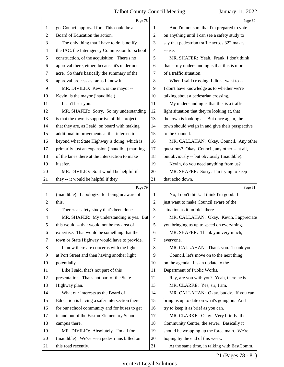<span id="page-21-0"></span>

|    | Page 78                                         |                | Page 80                                         |
|----|-------------------------------------------------|----------------|-------------------------------------------------|
| 1  | get Council approval for. This could be a       | 1              | And I'm not sure that I'm prepared to vote      |
| 2  | Board of Education the action.                  | $\overline{c}$ | on anything until I can see a safety study to   |
| 3  | The only thing that I have to do is notify      | 3              | say that pedestrian traffic across 322 makes    |
| 4  | the IAC, the Interagency Commission for school  | $\overline{4}$ | sense.                                          |
| 5  | construction, of the acquisition. There's no    | 5              | MR. SHAFER: Yeah. Frank, I don't think          |
| 6  | approval there, either, because it's under one  | 6              | that -- my understanding is that this is more   |
| 7  | acre. So that's basically the summary of the    | 7              | of a traffic situation.                         |
| 8  | approval process as far as I know it.           | 8              | When I said crossing, I didn't want to --       |
| 9  | MR. DIVILIO: Kevin, is the mayor --             | 9              | I don't have knowledge as to whether we're      |
| 10 | Kevin, is the mayor (inaudible.)                | 10             | talking about a pedestrian crossing.            |
| 11 | I can't hear you.                               | 11             | My understanding is that this is a traffic      |
| 12 | MR. SHAFER: Sorry. So my understanding          | 12             | light situation that they're looking at, that   |
| 13 | is that the town is supportive of this project, | 13             | the town is looking at. But once again, the     |
| 14 | that they are, as I said, on board with making  | 14             | town should weigh in and give their perspective |
| 15 | additional improvements at that intersection    | 15             | to the Council.                                 |
| 16 | beyond what State Highway is doing, which is    | 16             | MR. CALLAHAN: Okay, Council. Any other          |
| 17 | primarily just an expansion (inaudible) marking | 17             | questions? Okay, Council, any other -- at all,  |
| 18 | of the lanes there at the intersection to make  | 18             | but obviously -- but obviously (inaudible).     |
| 19 | it safer.                                       | 19             | Kevin, do you need anything from us?            |
| 20 | MR. DIVILIO: So it would be helpful if          | 20             | MR. SHAFER: Sorry. I'm trying to keep           |
| 21 | they -- it would be helpful if they             | 21             | that echo down.                                 |
|    |                                                 |                |                                                 |
|    | Page 79                                         |                | Page 81                                         |
| 1  | (inaudible). I apologize for being unaware of   | 1              | No, I don't think. I think I'm good. I          |
| 2  | this.                                           | $\overline{c}$ | just want to make Council aware of the          |
| 3  | There's a safety study that's been done.        | 3              | situation as it unfolds there.                  |
| 4  | MR. SHAFER: My understanding is yes. But        | $\overline{4}$ | MR. CALLAHAN: Okay. Kevin, I appreciate         |
| 5  | this would -- that would not be my area of      | 5              | you bringing us up to speed on everything.      |
| 6  | expertise. That would be something that the     | 6              | MR. SHAFER: Thank you very much,                |
| 7  | town or State Highway would have to provide.    | 7              | everyone.                                       |
| 8  | I know there are concerns with the lights       | 8              | MR. CALLAHAN: Thank you. Thank you.             |
| 9  | at Port Street and then having another light    | 9              | Council, let's move on to the next thing        |
| 10 | potentially.                                    | 10             | on the agenda. It's an update to the            |
| 11 | Like I said, that's not part of this            | 11             | Department of Public Works.                     |
| 12 | presentation. That's not part of the State      | 12             | Ray, are you with you? Yeah, there he is.       |
| 13 | Highway plan.                                   | 13             | MR. CLARKE: Yes, sir, I am.                     |
| 14 | What our interests as the Board of              | 14             | MR. CALLAHAN: Okay, buddy. If you can           |
| 15 | Education is having a safer intersection there  | 15             | bring us up to date on what's going on. And     |
| 16 | for our school community and for buses to get   | 16             | try to keep it as brief as you can.             |
| 17 | in and out of the Easton Elementary School      | 17             | MR. CLARKE: Okay. Very briefly, the             |
| 18 | campus there.                                   | 18             | Community Center, the sewer. Basically it       |
| 19 | MR. DIVILIO: Absolutely. I'm all for            | 19             | should be wrapping up the force main. We're     |
| 20 | (inaudible). We've seen pedestrians killed on   | 20             | hoping by the end of this week.                 |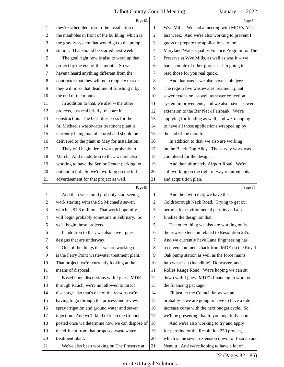<span id="page-22-0"></span>

|                          | Page 82                                         |                | Page 84                                         |
|--------------------------|-------------------------------------------------|----------------|-------------------------------------------------|
| $\mathbf{1}$             | they're scheduled to start the installation of  | 1              | Wye Mills. We had a meeting with MDE's AGs      |
| $\overline{c}$           | the manholes in front of the building, which is | $\overline{c}$ | last week. And we're also working to prevent I  |
| 3                        | the gravity system that would go to the pump    | 3              | guess or prepare the applications to the        |
| $\overline{\mathcal{A}}$ | station. That should be started next week.      | 4              | Maryland Water Quality Finance Program for The  |
| 5                        | The goal right now is also to wrap up that      | 5              | Preserve at Wye Mills, as well as was it -- we  |
| 6                        | project by the end of this month. So we         | 6              | had a couple of other projects. I'm going to    |
| 7                        | haven't heard anything different from the       | 7              | read those for you real quick.                  |
| $\,8\,$                  | contractor that they will not complete that or  | 8              | And that was -- we also have -- oh, jeez.       |
| 9                        | they will miss that deadline of finishing it by | 9              | The region five wastewater treatment plant      |
| 10                       | the end of the month.                           | 10             | sewer extension, as well as sewer collection    |
| 11                       | In addition to that, we also -- the other       | 11             | system improvements, and we also have a sewer   |
| 12                       | projects, just real briefly, that are in        | 12             | extension to the Bar Neck Fairbank. We're       |
| 13                       | construction. The belt filter press for the     | 13             | applying for funding as well, and we're hoping  |
| 14                       | St. Michael's wastewater treatment plant is     | 14             | to have all those applications wrapped up by    |
| 15                       | currently being manufactured and should be      | 15             | the end of the month.                           |
| 16                       | delivered to the plant in May for installation. | 16             | In addition to that, we also are working        |
| 17                       | They will begin demo work probably in           | 17             | on the Black Dog Alley. The survey work was     |
| 18                       | March. And in addition to that, we are also     | 18             | completed for the design.                       |
| 19                       | working to have the Senior Center parking lot   | 19             | And then ultimately Airport Road. We're         |
| 20                       | put out to bid. So we're working on the bid     | 20             | still working on the right of way requirements  |
| 21                       | advertisement for that project as well.         | 21             | and acquisition plan.                           |
|                          |                                                 |                |                                                 |
|                          | Page 83                                         |                | Page 85                                         |
| $\mathbf{1}$             | And then we should probably start seeing        | 1              | And then with that, we have the                 |
| $\overline{c}$           | work starting with the St. Michael's sewer,     | 2              | Goldsborough Neck Road. Trying to get our       |
| 3                        | which is \$1.6 million. That work hopefully     | 3              | permits for environmental permits and also      |
| 4                        | will begin probably sometime in February. So    | 4              | finalize the design on that.                    |
| 5                        | we'll begin those projects.                     | 5              | The other thing we also are working on is       |
| 6                        | In addition to that, we also have I guess       | 6              | the sewer extension related to Resolution 235.  |
| 7                        | designs that are underway.                      | 7              | And we currently have Lane Engineering has      |
| 8                        | One of the things that we are working on        | 8              | received comments back from MDE on the Royal    |
| 9                        | is the Ferry Point wastewater treatment plant.  | 9              | Oak pump station as well as the force mains     |
| 10                       | That project, we're currently looking at the    | 10             | into what is it (inaudible), Doncaster, and     |
| 11                       | means of disposal.                              | 11             | Rolles Range Road. We're hoping we can sit      |
| 12                       | Based upon discussions with I guess MDE         | 12             | down with I guess MDE's financing to work out   |
| 13                       | through Rauch, we're not allowed to direct      | 13             | the financing package.                          |
| 14                       | discharge. So that's one of the reasons we're   | 14             | I'll just let the Council know we are           |
| 15                       | having to go through the process and review     | 15             | probably -- we are going to have to have a rate |
| 16                       | spray irrigation and ground water and sewer     | 16             | increase come with the next budget cycle. So    |
| 17                       | injection. And we'll kind of keep the Council   | 17             | we'll be presenting that to you hopefully soon. |
| 18                       | posted once we determine how we can dispose of  | 18             | And we're also working to try and apply         |
| 19                       | the effluent from that proposed wastewater      | 19             | for permits for the Resolution 250 project,     |
| 20                       | treatment plant.                                | 20             | which is the sewer extension down to Bozman and |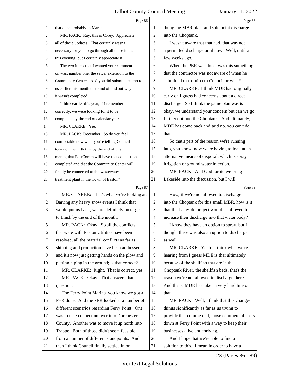<span id="page-23-0"></span>

|                | Page 86                                         |                | Page 88                                         |
|----------------|-------------------------------------------------|----------------|-------------------------------------------------|
| 1              | that done probably in March.                    | 1              | doing the MBR plant and sole point discharge    |
| 2              | MR. PACK: Ray, this is Corey. Appreciate        | 2              | into the Choptank.                              |
| 3              | all of those updates. That certainly wasn't     | 3              | I wasn't aware that that had, that was not      |
| 4              | necessary for you to go through all those items | $\overline{4}$ | a permitted discharge until now. Well, until a  |
| 5              | this evening, but I certainly appreciate it.    | 5              | few weeks ago.                                  |
| 6              | The two items that I wanted your comment        | 6              | When the PER was done, was this something       |
| 7              | on was, number one, the sewer extension to the  | 7              | that the contractor was not aware of when he    |
| 8              | Community Center. And you did submit a memo to  | 8              | submitted that option to Council or what?       |
| 9              | us earlier this month that kind of laid out why | 9              | MR. CLARKE: I think MDE had originally          |
| 10             | it wasn't completed.                            | 10             | early on I guess had concerns about a direct    |
| 11             | I think earlier this year, if I remember        | 11             | discharge. So I think the game plan was is      |
| 12             | correctly, we were looking for it to be         | 12             | okay, we understand your concern but can we go  |
| 13             | completed by the end of calendar year.          | 13             | further out into the Choptank. And ultimately,  |
| 14             | MR. CLARKE: Yes.                                | 14             | MDE has come back and said no, you can't do     |
| 15             | MR. PACK: December. So do you feel              | 15             | that.                                           |
| 16             | comfortable now what you're telling Council     | 16             | So that's part of the reason we're running      |
| 17             | today on the 11th that by the end of this       | 17             | into, you know, now we're having to look at an  |
| 18             | month, that EastComm will have that connection  | 18             | alternative means of disposal, which is spray   |
| 19             | completed and that the Community Center will    | 19             | irrigation or ground water injection.           |
| 20             | finally be connected to the wastewater          | 20             | MR. PACK: And God forbid we bring               |
| 21             | treatment plant in the Town of Easton?          | 21             | Lakeside into the discussion, but I will.       |
|                |                                                 |                |                                                 |
|                | Page 87                                         |                | Page 89                                         |
| 1              | MR. CLARKE: That's what we're looking at.       | 1              | How, if we're not allowed to discharge          |
| 2              | Barring any heavy snow events I think that      | $\overline{2}$ | into the Choptank for this small MBR, how is it |
| 3              | would put us back, we are definitely on target  | 3              | that the Lakeside project would be allowed to   |
| $\overline{4}$ | to finish by the end of the month.              | $\overline{4}$ | increase their discharge into that water body?  |
| 5              | MR. PACK: Okay. So all the conflicts            | 5              | I know they have an option to spray, but I      |
| 6              | that were with Easton Utilities have been       | 6              | thought there was also an option to discharge   |
| 7              | resolved, all the material conflicts as far as  | 7              | as well.                                        |
| 8              | shipping and production have been addressed,    | 8              | MR. CLARKE: Yeah. I think what we're            |
| 9              | and it's now just getting hands on the plow and | 9              | hearing from I guess MDE is that ultimately     |
| 10             | putting piping in the ground; is that correct?  | 10             | because of the shellfish that are in the        |
| 11             | MR. CLARKE: Right. That is correct, yes.        | 11             | Choptank River, the shellfish beds, that's the  |
| 12             | MR. PACK: Okay. That answers that               | 12             | reason we're not allowed to discharge there.    |
| 13             | question.                                       | 13             | And that's, MDE has taken a very hard line on   |
| 14             | The Ferry Point Marina, you know we got a       | 14             | that.                                           |
| 15             | PER done. And the PER looked at a number of     | 15             | MR. PACK: Well, I think that this changes       |
| 16             | different scenarios regarding Ferry Point. One  | 16             | things significantly as far as us trying to     |
| 17             | was to take connection over into Dorchester     | 17             | provide that commercial, those commercial users |
| 18             | County. Another was to move it up north into    | 18             | down at Ferry Point with a way to keep their    |
| 19             | Trappe. Both of those didn't seem feasible      | 19             | businesses alive and thriving.                  |
| 20             | from a number of different standpoints. And     | 20             | And I hope that we're able to find a            |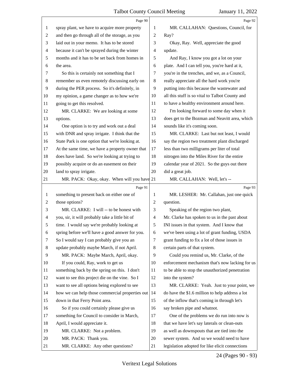<span id="page-24-0"></span>

|                | Page 90                                         |                          | Page 92                                         |
|----------------|-------------------------------------------------|--------------------------|-------------------------------------------------|
| 1              | spray plant, we have to acquire more property   | 1                        | MR. CALLAHAN: Questions, Council, for           |
| $\overline{2}$ | and then go through all of the storage, as you  | $\sqrt{2}$               | Ray?                                            |
| 3              | laid out in your memo. It has to be stored      | 3                        | Okay, Ray. Well, appreciate the good            |
| $\overline{4}$ | because it can't be sprayed during the winter   | $\overline{\mathcal{A}}$ | update.                                         |
| 5              | months and it has to be set back from homes in  | 5                        | And Ray, I know you got a lot on your           |
| 6              | the area.                                       | 6                        | plate. And I can tell you, you're hard at it,   |
| 7              | So this is certainly not something that I       | 7                        | you're in the trenches, and we, as a Council,   |
| 8              | remember us even remotely discussing early on   | 8                        | really appreciate all the hard work you're      |
| 9              | during the PER process. So it's definitely, in  | 9                        | putting into this because the wastewater and    |
| 10             | my opinion, a game changer as to how we're      | 10                       | all this stuff is so vital to Talbot County and |
| 11             | going to get this resolved.                     | 11                       | to have a healthy environment around here.      |
| 12             | MR. CLARKE: We are looking at some              | 12                       | I'm looking forward to some day when it         |
| 13             | options.                                        | 13                       | does get to the Bozman and Neavitt area, which  |
| 14             | One option is to try and work out a deal        | 14                       | sounds like it's coming soon.                   |
| 15             | with DNR and spray irrigate. I think that the   | 15                       | MR. CLARKE: Last but not least, I would         |
| 16             | State Park is one option that we're looking at. | 16                       | say the region two treatment plant discharged   |
| 17             | At the same time, we have a property owner that | 17                       | less than two milligrams per liter of total     |
| 18             | does have land. So we're looking at trying to   | 18                       | nitrogen into the Miles River for the entire    |
| 19             | possibly acquire or do an easement on their     | 19                       | calendar year of 2021. So the guys out there    |
| 20             | land to spray irrigate.                         | 20                       | did a great job.                                |
| 21             | MR. PACK: Okay, okay. When will you have 21     |                          | MR. CALLAHAN: Well, let's --                    |
|                |                                                 |                          |                                                 |
|                | Page 91                                         |                          | Page 93                                         |
| 1              | something to present back on either one of      | 1                        | MR. LESHER: Mr. Callahan, just one quick        |
| $\overline{2}$ | those options?                                  | $\overline{c}$           | question.                                       |
| 3              | MR. CLARKE: I will -- to be honest with         | 3                        | Speaking of the region two plant,               |
| 4              | you, sir, it will probably take a little bit of | $\overline{\mathcal{A}}$ | Mr. Clarke has spoken to us in the past about   |
| 5              | time. I would say we're probably looking at     | 5                        | INI issues in that system. And I know that      |
| 6              | spring before we'll have a good answer for you. | 6                        | we've been using a lot of grant funding, USDA   |
| 7              | So I would say I can probably give you an       | 7                        | grant funding to fix a lot of those issues in   |
| 8              | update probably maybe March, if not April.      | 8                        | certain parts of that system.                   |
| 9              | MR. PACK: Maybe March, April, okay.             | 9                        | Could you remind us, Mr. Clarke, of the         |
| 10             | If you could, Ray, work to get us               | 10                       | enforcement mechanism that's now lacking for us |
| 11             | something back by the spring on this. I don't   | 11                       | to be able to stop the unauthorized penetration |
| 12             | want to see this project die on the vine. So I  | 12                       | into the system?                                |
| 13             | want to see all options being explored to see   | 13                       | MR. CLARKE: Yeah. Just to your point, we        |
| 14             | how we can help those commercial properties out | 14                       | do have the \$1.6 million to help address a lot |
| 15             | down in that Ferry Point area.                  | 15                       | of the inflow that's coming in through let's    |
| 16             | So if you could certainly please give us        | 16                       | say broken pipe and whatnot.                    |
| 17             | something for Council to consider in March,     | 17                       | One of the problems we do run into now is       |
| 18             | April, I would appreciate it.                   | 18                       | that we have let's say laterals or clean-outs   |
| 19             | MR. CLARKE: Not a problem.                      | 19                       | as well as downspouts that are tied into the    |
| 20             | MR. PACK: Thank you.                            | 20                       | sewer system. And so we would need to have      |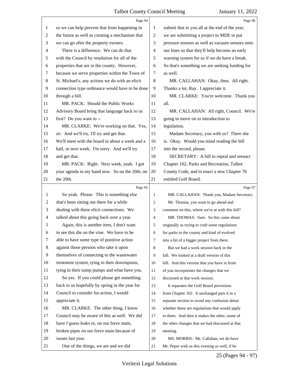<span id="page-25-0"></span>

|    | Page 94                                                                             |                | Page 96                                                                                         |
|----|-------------------------------------------------------------------------------------|----------------|-------------------------------------------------------------------------------------------------|
| 1  | so we can help prevent that from happening in                                       | 1              | submit that to you all at the end of the year,                                                  |
| 2  | the future as well as creating a mechanism that                                     | $\overline{c}$ | we are submitting a project to MDE to put                                                       |
| 3  | we can go after the property owners.                                                | 3              | pressure sensors as well as vacuum sensors onto                                                 |
| 4  | There is a difference. We can do that                                               | 4              | our lines so that they'll help become an early                                                  |
| 5  | with the Council by resolution for all of the                                       | 5              | warning system for us if we do have a break.                                                    |
| 6  | properties that are in the county. However,                                         | 6              | So that's something we are seeking funding for                                                  |
| 7  | because we serve properties within the Town of                                      | 7              | as well.                                                                                        |
| 8  | St. Michael's, any actions we do with an elicit                                     | 8              | MR. CALLAHAN: Okay, then. All right.                                                            |
| 9  | connection type ordinance would have to be done                                     | 9              | Thanks a lot, Ray. I appreciate it.                                                             |
| 10 | through a bill.                                                                     | 10             | MR. CLARKE: You're welcome. Thank you                                                           |
| 11 | MR. PACK: Should the Public Works                                                   | 11             | all.                                                                                            |
| 12 | Advisory Board bring that language back to us                                       | 12             | MR. CALLAHAN: All right, Council. We're                                                         |
| 13 | first? Do you want to --                                                            | 13             | going to move on to introduction to                                                             |
| 14 | MR. CLARKE: We're working on that. Yes,                                             | 14             | legislation.                                                                                    |
| 15 | sir. And we'll try, I'll try and get that.                                          | 15             | Madam Secretary, you with us? There she                                                         |
| 16 | We'll meet with the board in about a week and a                                     | 16             | is. Okay. Would you mind reading the bill                                                       |
| 17 | half, or next week. I'm sorry. And we'll try                                        | 17             | into the record, please.                                                                        |
| 18 | and get that.                                                                       | 18             | SECRETARY: A bill to repeal and reenact                                                         |
| 19 | MR. PACK: Right. Next week, yeah. I got                                             | 19             | Chapter 102, Parks and Recreation, Talbot                                                       |
| 20 | your agenda in my hand now. So on the 20th, on                                      | 20             | County Code, and to enact a new Chapter 76                                                      |
| 21 | the 20th.                                                                           | 21             | entitled Golf Board.                                                                            |
|    |                                                                                     |                |                                                                                                 |
|    | Page 95                                                                             |                | Page 97                                                                                         |
| 1  | So yeah. Please. This is something else                                             | 1              | MR. CALLAHAN: Thank you, Madam Secretary.                                                       |
| 2  | that's been sitting out there for a while                                           | 2              | Mr. Thomas, you want to go ahead and                                                            |
| 3  | dealing with these elicit connections. We                                           | 3              | comment on this, where we're at with this bill?                                                 |
| 4  | talked about this going back over a year.                                           | $\overline{4}$ | MR. THOMAS: Sure. So this came about                                                            |
| 5  | Again, this is another item, I don't want                                           | 5              | originally as trying to craft some regulations                                                  |
| 6  | to see this die on the vine. We have to be                                          | 6              | for parks in the county and kind of evolved                                                     |
| 7  | able to have some type of punitive action                                           | 7              | into a bit of a bigger project from there.                                                      |
| 8  | against those persons who take it upon                                              | 8              | But we had a work session back in the                                                           |
| 9  | themselves of connecting to the wastewater                                          | 9              | fall. We looked at a draft version of this                                                      |
| 10 | treatment system, tying in their downspouts,                                        | 10             | bill. And this version that you have in front                                                   |
| 11 | tying in their sump pumps and what have you.                                        | 11             | of you incorporates the changes that we                                                         |
| 12 | So yes. If you could please get something                                           | 12             | discussed at that work session.                                                                 |
| 13 | back to us hopefully by spring in the year for                                      | 13             | It separates the Golf Board provisions                                                          |
| 14 | Council to consider for action, I would                                             | 14             | from Chapter 102. It unchanged puts it in a                                                     |
| 15 | appreciate it.                                                                      | 15             |                                                                                                 |
| 16 |                                                                                     | 16             | separate section to avoid any confusion about                                                   |
| 17 | MR. CLARKE: The other thing, I know<br>Council may be aware of this as well. We did | 17             | whether these are regulations that would apply<br>to them. And then it makes the other, some of |
| 18 | have I guess leaks or, on our force main,                                           | 18             | the other changes that we had discussed at that                                                 |
| 19 | broken pipes on our force main because of                                           | 19             | meeting.                                                                                        |
| 20 | issues last year.                                                                   | 20             | MS. MORRIS: Mr. Callahan, we do have                                                            |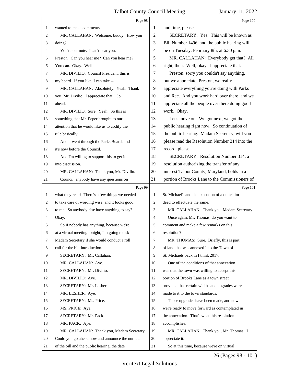<span id="page-26-0"></span>

|    | Page 98                                         |    | Page 100                                        |
|----|-------------------------------------------------|----|-------------------------------------------------|
| 1  | wanted to make comments.                        | 1  | and time, please.                               |
| 2  | MR. CALLAHAN: Welcome, buddy. How you           | 2  | SECRETARY: Yes. This will be known as           |
| 3  | doing?                                          | 3  | Bill Number 1496, and the public hearing will   |
| 4  | You're on mute. I can't hear you,               | 4  | be on Tuesday, February 8th, at 6:30 p.m.       |
| 5  | Preston. Can you hear me? Can you hear me?      | 5  | MR. CALLAHAN: Everybody get that? All           |
| 6  | You can. Okay. Well.                            | 6  | right, then. Well, okay. I appreciate that.     |
| 7  | MR. DIVILIO: Council President, this is         | 7  | Preston, sorry you couldn't say anything,       |
| 8  | my board. If you like, I can take --            | 8  | but we appreciate, Preston, we really           |
| 9  | MR. CALLAHAN: Absolutely. Yeah. Thank           | 9  | appreciate everything you're doing with Parks   |
| 10 | you, Mr. Divilio. I appreciate that. Go         | 10 | and Rec. And you work hard over there, and we   |
| 11 | ahead.                                          | 11 | appreciate all the people over there doing good |
| 12 | MR. DIVILIO: Sure. Yeah. So this is             | 12 | work. Okay.                                     |
| 13 | something that Mr. Peper brought to our         | 13 | Let's move on. We got next, we got the          |
| 14 | attention that he would like us to codify the   | 14 | public hearing right now. So continuation of    |
| 15 | rule basically.                                 | 15 | the public hearing. Madam Secretary, will you   |
| 16 | And it went through the Parks Board, and        | 16 | please read the Resolution Number 314 into the  |
| 17 | it's now before the Council.                    | 17 | record, please.                                 |
| 18 | And I'm willing to support this to get it       | 18 | SECRETARY: Resolution Number 314, a             |
| 19 | into discussion.                                | 19 | resolution authorizing the transfer of any      |
| 20 | MR. CALLAHAN: Thank you, Mr. Divilio.           | 20 | interest Talbot County, Maryland, holds in a    |
| 21 | Council, anybody have any questions on          | 21 | portion of Brooks Lane to the Commissioners of  |
|    |                                                 |    |                                                 |
|    | Page 99                                         |    | Page 101                                        |
| 1  | what they read? There's a few things we needed  | 1  | St. Michael's and the execution of a quitclaim  |
| 2  | to take care of wording wise, and it looks good | 2  | deed to effectuate the same.                    |
| 3  | to me. So anybody else have anything to say?    | 3  | MR. CALLAHAN: Thank you, Madam Secretary.       |
| 4  | Okay.                                           | 4  | Once again, Mr. Thomas, do you want to          |
| 5  | So if nobody has anything, because we're        | 5  | comment and make a few remarks on this          |
| 6  | at a virtual meeting tonight, I'm going to ask  | 6  | resolution?                                     |
| 7  | Madam Secretary if she would conduct a roll     | 7  | MR. THOMAS: Sure. Briefly, this is part         |
| 8  | call for the bill introduction.                 | 8  | of land that was annexed into the Town of       |
| 9  | SECRETARY: Mr. Callahan.                        | 9  | St. Michaels back in I think 2017.              |
| 10 | MR. CALLAHAN: Aye.                              | 10 | One of the conditions of that annexation        |
| 11 | SECRETARY: Mr. Divilio.                         | 11 | was that the town was willing to accept this    |
| 12 | MR. DIVILIO: Aye.                               | 12 | portion of Brooks Lane as a town street         |
| 13 | SECRETARY: Mr. Lesher.                          | 13 | provided that certain widths and upgrades were  |
| 14 | MR. LESHER: Aye.                                | 14 | made to it to the town standards.               |
| 15 | SECRETARY: Ms. Price.                           | 15 | Those upgrades have been made, and now          |
| 16 | MS. PRICE: Aye.                                 | 16 | we're ready to move forward as contemplated in  |
| 17 | SECRETARY: Mr. Pack.                            | 17 | the annexation. That's what this resolution     |
| 18 | MR. PACK: Aye.                                  | 18 | accomplishes.                                   |
| 19 | MR. CALLAHAN: Thank you, Madam Secretary.       | 19 | MR. CALLAHAN: Thank you, Mr. Thomas. I          |
| 20 | Could you go ahead now and announce the number  | 20 | appreciate it.                                  |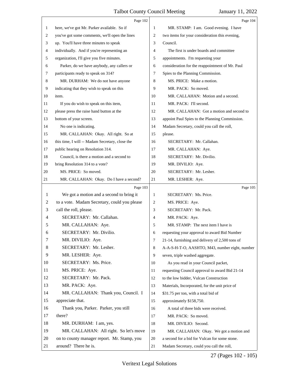<span id="page-27-0"></span>

|    | Page 102                                        |                | Page 104                                        |
|----|-------------------------------------------------|----------------|-------------------------------------------------|
| 1  | here, we've got Mr. Parker available. So if     | 1              | MR. STAMP: I am. Good evening. I have           |
| 2  | you've got some comments, we'll open the lines  | $\overline{2}$ | two items for your consideration this evening,  |
| 3  | up. You'll have three minutes to speak          | 3              | Council.                                        |
| 4  | individually. And if you're representing an     | $\overline{4}$ | The first is under boards and committee         |
| 5  | organization, I'll give you five minutes.       | 5              | appointments. I'm requesting your               |
| 6  | Parker, do we have anybody, any callers or      | 6              | consideration for the reappointment of Mr. Paul |
| 7  | participants ready to speak on 314?             | 7              | Spies to the Planning Commission.               |
| 8  | MR. DURHAM: We do not have anyone               | 8              | MS. PRICE: Make a motion.                       |
| 9  | indicating that they wish to speak on this      | 9              | MR. PACK: So moved.                             |
| 10 | item.                                           | 10             | MR. CALLAHAN: Motion and a second.              |
| 11 | If you do wish to speak on this item,           | 11             | MR. PACK: I'll second.                          |
| 12 | please press the raise hand button at the       | 12             | MR. CALLAHAN: Got a motion and second to        |
| 13 | bottom of your screen.                          | 13             | appoint Paul Spies to the Planning Commission.  |
| 14 | No one is indicating.                           | 14             | Madam Secretary, could you call the roll,       |
| 15 | MR. CALLAHAN: Okay. All right. So at            | 15             | please.                                         |
| 16 | this time, I will -- Madam Secretary, close the | 16             | SECRETARY: Mr. Callahan.                        |
| 17 | public hearing on Resolution 314.               | 17             | MR. CALLAHAN: Aye.                              |
| 18 | Council, is there a motion and a second to      | 18             | SECRETARY: Mr. Divilio.                         |
| 19 | bring Resolution 314 to a vote?                 | 19             | MR. DIVILIO: Aye.                               |
| 20 | MS. PRICE: So moved.                            | 20             | SECRETARY: Mr. Lesher.                          |
| 21 | MR. CALLAHAN: Okay. Do I have a second?         | 21             | MR. LESHER: Aye.                                |
|    | Page 103                                        |                | Page 105                                        |
| 1  | We got a motion and a second to bring it        | $\mathbf{1}$   | SECRETARY: Ms. Price.                           |
| 2  | to a vote. Madam Secretary, could you please    | 2              | MS. PRICE: Aye.                                 |
| 3  | call the roll, please.                          | 3              | SECRETARY: Mr. Pack.                            |
| 4  | SECRETARY: Mr. Callahan.                        | 4              | MR. PACK: Aye.                                  |
|    | MR. CALLAHAN: Aye.                              | 5              | MR. STAMP: The next item I have is              |
| 6  | SECRETARY: Mr. Divilio.                         | 6              | requesting your approval to award Bid Number    |
| 7  | MR. DIVILIO: Aye.                               | 7              | 21-14, furnishing and delivery of 2,500 tons of |
| 8  | SECRETARY: Mr. Lesher.                          | 8              | A-A-S-H-T-O, AASHTO, M43, number eight, number  |
| 9  | MR. LESHER: Aye.                                | 9              | seven, triple washed aggregate.                 |
| 10 | SECRETARY: Ms. Price.                           | 10             | As you read in your Council packet,             |
| 11 | MS. PRICE: Aye.                                 | 11             | requesting Council approval to award Bid 21-14  |
| 12 | SECRETARY: Mr. Pack.                            | 12             | to the low bidder, Vulcan Construction          |
| 13 | MR. PACK: Aye.                                  | 13             | Materials, Incorporated, for the unit price of  |
| 14 | MR. CALLAHAN: Thank you, Council. I             | 14             | \$31.75 per ton, with a total bid of            |
| 15 | appreciate that.                                | 15             | approximately \$158,750.                        |
| 16 | Thank you, Parker. Parker, you still            | 16             | A total of three bids were received.            |
| 17 | there?                                          | 17             | MR. PACK: So moved.                             |
| 18 | MR. DURHAM: I am, yes.                          | 18             | MR. DIVILIO: Second.                            |
| 19 | MR. CALLAHAN: All right. So let's move          | 19             | MR. CALLAHAN: Okay. We got a motion and         |
| 20 |                                                 |                |                                                 |
|    | on to county manager report. Mr. Stamp, you     | 20             | a second for a bid for Vulcan for some stone.   |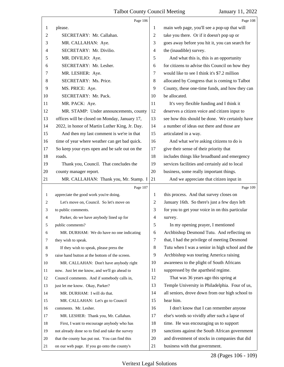<span id="page-28-0"></span>

|                | Page 106                                        |                | Page 108                                        |
|----------------|-------------------------------------------------|----------------|-------------------------------------------------|
| 1              | please.                                         | 1              | main web page, you'll see a pop-up that will    |
| $\overline{c}$ | SECRETARY: Mr. Callahan.                        | 2              | take you there. Or if it doesn't pop up or      |
| 3              | MR. CALLAHAN: Aye.                              | 3              | goes away before you hit it, you can search for |
| 4              | SECRETARY: Mr. Divilio.                         | $\overline{4}$ | the (inaudible) survey.                         |
| 5              | MR. DIVILIO: Aye.                               | 5              | And what this is, this is an opportunity        |
| 6              | SECRETARY: Mr. Lesher.                          | 6              | for citizens to advise this Council on how they |
| 7              | MR. LESHER: Aye.                                | 7              | would like to see I think it's \$7.2 million    |
| 8              | SECRETARY: Ms. Price.                           | 8              | allocated by Congress that is coming to Talbot  |
| 9              | MS. PRICE: Aye.                                 | 9              | County, these one-time funds, and how they can  |
| 10             | SECRETARY: Mr. Pack.                            | 10             | be allocated.                                   |
| 11             | MR. PACK: Aye.                                  | 11             | It's very flexible funding and I think it       |
| 12             | MR. STAMP: Under announcements, county          | 12             | deserves a citizen voice and citizen input to   |
| 13             | offices will be closed on Monday, January 17,   | 13             | see how this should be done. We certainly have  |
| 14             | 2022, in honor of Martin Luther King, Jr. Day.  | 14             | a number of ideas out there and those are       |
| 15             | And then my last comment is we're in that       | 15             | articulated in a way.                           |
| 16             | time of year where weather can get bad quick.   | 16             | And what we're asking citizens to do is         |
| 17             | So keep your eyes open and be safe out on the   | 17             | give their sense of their priority that         |
| 18             | roads.                                          | 18             | includes things like broadband and emergency    |
| 19             | Thank you, Council. That concludes the          | 19             | services facilities and certainly aid to local  |
| 20             | county manager report.                          | 20             | business, some really important things.         |
| 21             | MR. CALLAHAN: Thank you, Mr. Stamp. I           | 21             | And we appreciate that citizen input in         |
|                |                                                 |                |                                                 |
|                | Page 107                                        |                | Page 109                                        |
| $\mathbf{1}$   | appreciate the good work you're doing.          | 1              | this process. And that survey closes on         |
| 2              | Let's move on, Council. So let's move on        | 2              | January 16th. So there's just a few days left   |
| 3              | to public comments.                             | 3              | for you to get your voice in on this particular |
| 4              | Parker, do we have anybody lined up for         | $\overline{4}$ | survey.                                         |
|                | public comments?                                | 5              | In my opening prayer, I mentioned               |
| 6              | MR. DURHAM: We do have no one indicating        | 6              | Archbishop Desmond Tutu. And reflecting on      |
| 7              | they wish to speak.                             | $\tau$         | that, I had the privilege of meeting Desmond    |
| 8              | If they wish to speak, please press the         | 8              | Tutu when I was a senior in high school and the |
| 9              | raise hand button at the bottom of the screen.  | 9              | Archbishop was touring America raising          |
| 10             | MR. CALLAHAN: Don't have anybody right          | 10             | awareness to the plight of South Africans       |
| 11             | now. Just let me know, and we'll go ahead to    | 11             | suppressed by the apartheid regime.             |
| 12             | Council comments. And if somebody calls in,     | 12             | That was 36 years ago this spring at            |
| 13             | just let me know. Okay, Parker?                 | 13             | Temple University in Philadelphia. Four of us,  |
| 14             | MR. DURHAM: I will do that.                     | 14             | all seniors, drove down from our high school to |
| 15             | MR. CALLAHAN: Let's go to Council               | 15             | hear him.                                       |
| 16             | comments. Mr. Lesher.                           | 16             | I don't know that I can remember anyone         |
| 17             | MR. LESHER: Thank you, Mr. Callahan.            | 17             | else's words so vividly after such a lapse of   |
| 18             | First, I want to encourage anybody who has      | 18             | time. He was encouraging us to support          |
| 19             | not already done so to find and take the survey | 19             | sanctions against the South African government  |
| 20             | that the county has put out. You can find this  | 20             | and divestment of stocks in companies that did  |

28 (Pages 106 - 109)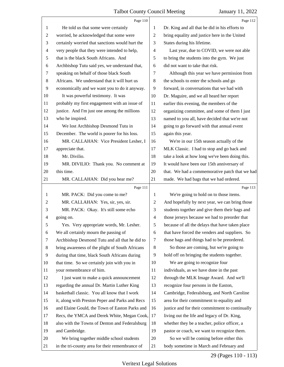<span id="page-29-0"></span>

|                | Page 110                                        |                | Page 112                                        |
|----------------|-------------------------------------------------|----------------|-------------------------------------------------|
| 1              | He told us that some were certainly             | 1              | Dr. King and all that he did in his efforts to  |
| $\overline{c}$ | worried, he acknowledged that some were         | $\overline{2}$ | bring equality and justice here in the United   |
| 3              | certainly worried that sanctions would hurt the | 3              | States during his lifetime.                     |
| $\overline{4}$ | very people that they were intended to help,    | $\overline{4}$ | Last year, due to COVID, we were not able       |
| 5              | that is the black South Africans. And           | 5              | to bring the students into the gym. We just     |
| 6              | Archbishop Tutu said yes, we understand that,   | 6              | did not want to take that risk.                 |
| $\tau$         | speaking on behalf of those black South         | 7              | Although this year we have permission from      |
| $8\,$          | Africans. We understand that it will hurt us    | 8              | the schools to enter the schools and go         |
| 9              | economically and we want you to do it anyway.   | 9              | forward, in conversations that we had with      |
| 10             | It was powerful testimony. It was               | 10             | Dr. Maguire, and we all heard her report        |
| 11             | probably my first engagement with an issue of   | 11             | earlier this evening, the members of the        |
| 12             | justice. And I'm just one among the millions    | 12             | organizing committee, and some of them I just   |
| 13             | who he inspired.                                | 13             | named to you all, have decided that we're not   |
| 14             | We lost Archbishop Desmond Tutu in              | 14             | going to go forward with that annual event      |
| 15             | December. The world is poorer for his loss.     | 15             | again this year.                                |
| 16             | MR. CALLAHAN: Vice President Lesher, I          | 16             | We're in our 15th season actually of the        |
| 17             | appreciate that.                                | 17             | MLK Classic. I had to stop and go back and      |
| 18             | Mr. Divilio.                                    | 18             | take a look at how long we've been doing this.  |
| 19             | MR. DIVILIO: Thank you. No comment at           | 19             | It would have been our 15th anniversary of      |
| 20             | this time.                                      | 20             | that. We had a commemorative patch that we had  |
| 21             | MR. CALLAHAN: Did you hear me?                  | 21             | made. We had bags that we had ordered.          |
|                |                                                 |                |                                                 |
|                | Page 111                                        |                | Page 113                                        |
| 1              | MR. PACK: Did you come to me?                   | 1              | We're going to hold on to those items.          |
| 2              | MR. CALLAHAN: Yes, sir, yes, sir.               | 2              | And hopefully by next year, we can bring those  |
| 3              | MR. PACK: Okay. It's still some echo            | 3              | students together and give them their bags and  |
| 4              | going on.                                       | $\overline{4}$ | those jerseys because we had to preorder that   |
| 5              | Yes. Very appropriate words, Mr. Lesher.        | 5              | because of all the delays that have taken place |
| 6              | We all certainly mourn the passing of           | 6              | that have forced the venders and suppliers. So  |
| 7              | Archbishop Desmond Tutu and all that he did to  | 7              | those bags and things had to be preordered.     |
| 8              | bring awareness of the plight of South Africans | 8              | So those are coming, but we're going to         |
| 9              | during that time, black South Africans during   | 9              | hold off on bringing the students together.     |
| 10             | that time. So we certainly join with you in     | 10             | We are going to recognize four                  |
| 11             | your remembrance of him.                        | 11             | individuals, as we have done in the past        |
| 12             | I just want to make a quick announcement        | 12             | through the MLK Image Award. And we'll          |
| 13             | regarding the annual Dr. Martin Luther King     | 13             | recognize four persons in the Easton,           |
| 14             | basketball classic. You all know that I work    | 14             | Cambridge, Federalsburg, and North Caroline     |
| 15             | it, along with Preston Peper and Parks and Recs | 15             | area for their commitment to equality and       |
| 16             | and Elaine Gould, the Town of Easton Parks and  | 16             | justice and for their commitment to continually |
| 17             | Recs, the YMCA and Derek White, Megan Cook,     | 17             | living out the life and legacy of Dr. King,     |
| 18             | also with the Towns of Denton and Federalsburg  | 18             | whether they be a teacher, police officer, a    |
| 19             | and Cambridge.                                  | 19             | pastor or coach, we want to recognize them.     |
| 20             | We bring together middle school students        | 20             | So we will be coming before either this         |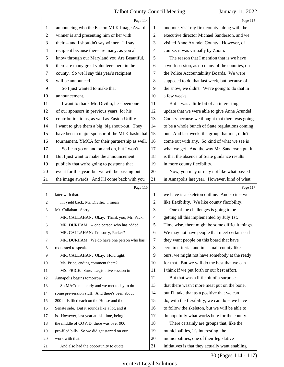<span id="page-30-0"></span>

|                | Page 114                                           |                | Page 116                                         |
|----------------|----------------------------------------------------|----------------|--------------------------------------------------|
| $\mathbf{1}$   | announcing who the Easton MLK Image Award          | 1              | unquote, visit my first county, along with the   |
| $\overline{c}$ | winner is and presenting him or her with           | $\sqrt{2}$     | executive director Michael Sanderson, and we     |
| 3              | their -- and I shouldn't say winner. I'll say      | 3              | visited Anne Arundel County. However, of         |
| 4              | recipient because there are many, as you all       | 4              | course, it was virtually by Zoom.                |
| 5              | know through our Maryland you Are Beautiful,       | 5              | The reason that I mention that is we have        |
| 6              | there are many great volunteers here in the        | 6              | a work session, as do many of the counties, on   |
| 7              | county. So we'll say this year's recipient         | 7              | the Police Accountability Boards. We were        |
| 8              | will be announced.                                 | 8              | supposed to do that last week, but because of    |
| 9              | So I just wanted to make that                      | 9              | the snow, we didn't. We're going to do that in   |
| 10             | announcement.                                      | 10             | a few weeks.                                     |
| 11             | I want to thank Mr. Divilio, he's been one         | 11             | But it was a little bit of an interesting        |
| 12             | of our sponsors in previous years, for his         | 12             | update that we were able to give Anne Arundel    |
| 13             | contribution to us, as well as Easton Utility.     | 13             | County because we thought that there was going   |
| 14             | I want to give them a big, big shout-out. They     | 14             | to be a whole bunch of State regulations coming  |
| 15             | have been a major sponsor of the MLK basketball 15 |                | out. And last week, the group that met, didn't   |
| 16             | tournament, YMCA for their partnership as well.    | 16             | come out with any. So kind of what we see is     |
| 17             | So I can go on and on and on, but I won't.         | 17             | what we get. And the way Mr. Sanderson put it    |
| 18             | But I just want to make the announcement           | 18             | is that the absence of State guidance results    |
| 19             | publicly that we're going to postpone that         | 19             | in more county flexibility.                      |
| 20             | event for this year, but we will be passing out    | 20             | Now, you may or may not like what passed         |
| 21             | the image awards. And I'll come back with you      | 21             | in Annapolis last year. However, kind of what    |
|                |                                                    |                |                                                  |
|                | Page 115                                           |                | Page 117                                         |
| $\mathbf{1}$   | later with that.                                   | 1              | we have is a skeleton outline. And so it -- we   |
| 2              | I'll yield back, Mr. Divilio. I mean               | $\overline{c}$ | like flexibility. We like county flexibility.    |
| 3              | Mr. Callahan. Sorry.                               | 3              | One of the challenges is going to be             |
| 4              | MR. CALLAHAN: Okay. Thank you, Mr. Pack.           | $\overline{4}$ | getting all this implemented by July 1st.        |
| C              | MR. DURHAM: -- one person who has added.           | 5              | Time wise, there might be some difficult things. |
| 6              | MR. CALLAHAN: I'm sorry, Parker?                   | 6              | We may not have people that meet certain -- if   |
| 7              | MR. DURHAM: We do have one person who has          | 7              | they want people on this board that have         |
| 8              | requested to speak.                                | 8              | certain criteria, and in a small county like     |
| 9              | MR. CALLAHAN: Okay. Hold tight.                    | 9              | ours, we might not have somebody at the ready    |
| 10             | Ms. Price, ending comment there?                   | 10             | for that. But we will do the best that we can    |
| 11             | MS. PRICE: Sure. Legislative session in            | 11             | I think if we put forth or our best effort.      |
| 12             | Annapolis begins tomorrow.                         | 12             | But that was a little bit of a surprise          |
| 13             | So MACo met early and we met today to do           | 13             | that there wasn't more meat put on the bone,     |
| 14             | some pre-session stuff. And there's been about     | 14             | but I'll take that as a positive that we can     |
| 15             | 200 bills filed each on the House and the          | 15             | do, with the flexibility, we can do -- we have   |
| 16             | Senate side. But it sounds like a lot, and it      | 16             | to follow the skeleton, but we will be able to   |
| 17             | is. However, last year at this time, being in      | 17             | do hopefully what works here for the county.     |
| 18             | the middle of COVID, there was over 900            | 18             | There certainly are groups that, like the        |
| 19             | pre-filed bills. So we did get started on our      | 19             | municipalities, it's interesting, the            |
| 20             | work with that.                                    | 20             | municipalities, one of their legislative         |

30 (Pages 114 - 117)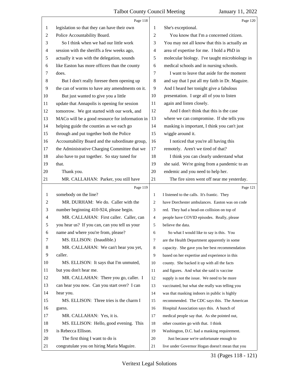<span id="page-31-0"></span>

|                | Page 118                                        |                | Page 120                                        |
|----------------|-------------------------------------------------|----------------|-------------------------------------------------|
| 1              | legislation so that they can have their own     | 1              | She's exceptional.                              |
| 2              | Police Accountability Board.                    | $\overline{2}$ | You know that I'm a concerned citizen.          |
| 3              | So I think when we had our little work          | 3              | You may not all know that this is actually an   |
| 4              | session with the sheriffs a few weeks ago,      | 4              | area of expertise for me. I hold a PhD in       |
| 5              | actually it was with the delegation, sounds     | 5              | molecular biology. I've taught microbiology in  |
| 6              | like Easton has more officers than the county   | 6              | medical schools and in nursing schools.         |
| 7              | does.                                           | 7              | I want to leave that aside for the moment       |
| 8              | But I don't really foresee them opening up      | 8              | and say that I put all my faith in Dr. Maguire. |
| 9              | the can of worms to have any amendments on it.  | 9              | And I heard her tonight give a fabulous         |
| 10             | But just wanted to give you a little            | 10             | presentation. I urge all of you to listen       |
| 11             | update that Annapolis is opening for session    | 11             | again and listen closely.                       |
| 12             | tomorrow. We got started with our work, and     | 12             | And I don't think that this is the case         |
| 13             | MACo will be a good resource for information in | 13             | where we can compromise. If she tells you       |
| 14             | helping guide the counties as we each go        | 14             | masking is important, I think you can't just    |
| 15             | through and put together both the Police        | 15             | wiggle around it.                               |
| 16             | Accountability Board and the subordinate group, | 16             | I noticed that you're all having this           |
| 17             | the Administrative Charging Committee that we   | 17             | remotely. Aren't we tired of that?              |
| 18             | also have to put together. So stay tuned for    | 18             | I think you can clearly understand what         |
| 19             | that.                                           | 19             | she said. We're going from a pandemic to an     |
| 20             | Thank you.                                      | 20             | endemic and you need to help her.               |
| 21             | MR. CALLAHAN: Parker, you still have            | 21             | The fire siren went off near me yesterday.      |
|                |                                                 |                |                                                 |
|                | Page 119                                        |                | Page 121                                        |
| 1              | somebody on the line?                           | $\mathbf{1}$   | I listened to the calls. It's frantic. They     |
| $\overline{c}$ | MR. DURHAM: We do. Caller with the              | 2              | have Dorchester ambulances. Easton was on code  |
| 3              | number beginning 410-924, please begin.         | 3              | red. They had a head-on collision on top of     |
| 4              | MR. CALLAHAN: First caller. Caller, can         | $\overline{4}$ | people have COVID episodes. Really, please      |
| 5              | you hear us? If you can, can you tell us your   | 5              | believe the data.                               |
| 6              | name and where you're from, please?             | 6              | So what I would like to say is this. You        |
| 7              | MS. ELLISON: (Inaudible.)                       | $\tau$         | are the Health Department apparently in some    |
| 8              | MR. CALLAHAN: We can't hear you yet,            | 8              | capacity. She gave you her best recommendation  |
| 9              | caller.                                         | 9              | based on her expertise and experience in this   |
| 10             | MS. ELLISON: It says that I'm unmuted,          | 10             | county. She backed it up with all the facts     |
| 11             | but you don't hear me.                          | 11             | and figures. And what she said is vaccine       |
| 12             | MR. CALLAHAN: There you go, caller. I           | 12             | supply is not the issue. We need to be more     |
| 13             | can hear you now. Can you start over? I can     | 13             | vaccinated, but what she really was telling you |
| 14             | hear you.                                       | 14             | was that masking indoors in public is highly    |
| 15             | MS. ELLISON: Three tries is the charm I         | 15             | recommended. The CDC says this. The American    |
| 16             | guess.                                          | 16             | Hospital Association says this. A bunch of      |
| 17             | MR. CALLAHAN: Yes, it is.                       | 17             | medical people say that. As she pointed out,    |
| 18             | MS. ELLISON: Hello, good evening. This          | 18             | other counties go with that. I think            |
| 19             | is Rebecca Ellison.                             | 19             | Washington, D.C. had a masking requirement.     |
| 20             | The first thing I want to do is                 | 20             | Just because we're unfortunate enough to        |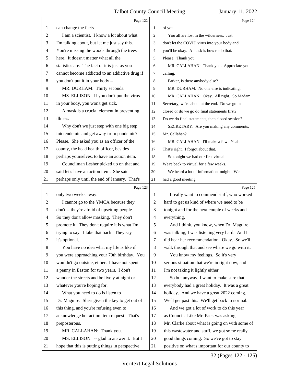<span id="page-32-0"></span>

|              | Page 122                                       |                | Page 124                                        |
|--------------|------------------------------------------------|----------------|-------------------------------------------------|
| 1            | can change the facts.                          | 1              | of you.                                         |
| 2            | I am a scientist. I know a lot about what      | 2              | You all are lost in the wilderness. Just        |
| 3            | I'm talking about, but let me just say this.   | 3              | don't let the COVID virus into your body and    |
| 4            | You're missing the woods through the trees     | 4              | you'll be okay. A mask is how to do that.       |
| 5            | here. It doesn't matter what all the           | 5              | Please. Thank you.                              |
| 6            | statistics are. The fact of it is just as you  | 6              | MR. CALLAHAN: Thank you. Appreciate you         |
| 7            | cannot become addicted to an addictive drug if | 7              | calling.                                        |
| 8            | you don't put it in your body --               | 8              | Parker, is there anybody else?                  |
| 9            | MR. DURHAM: Thirty seconds.                    | 9              | MR. DURHAM: No one else is indicating.          |
| 10           | MS. ELLISON: If you don't put the virus        | 10             | MR. CALLAHAN: Okay. All right. So Madam         |
| 11           | in your body, you won't get sick.              | 11             | Secretary, we're about at the end. Do we go in  |
| 12           | A mask is a crucial element in preventing      | 12             | closed or do we go do final statements first?   |
| 13           | illness.                                       | 13             | Do we do final statements, then closed session? |
| 14           | Why don't we just step with one big step       | 14             | SECRETARY: Are you making any comments,         |
| 15           | into endemic and get away from pandemic?       | 15             | Mr. Callahan?                                   |
| 16           | Please. She asked you as an officer of the     | 16             | MR. CALLAHAN: I'll make a few. Yeah.            |
| 17           | county, the head health officer, besides       | 17             | That's right. I forgot about that.              |
| 18           | perhaps yourselves, to have an action item.    | 18             | So tonight we had our first virtual.            |
| 19           | Councilman Lesher picked up on that and        | 19             | We're back to virtual for a few weeks.          |
| 20           | said let's have an action item. She said       | 20             | We heard a lot of information tonight. We       |
| 21           | perhaps only until the end of January. That's  | 21             | had a good meeting.                             |
|              |                                                |                |                                                 |
|              | Page 123                                       |                | Page 125                                        |
| $\mathbf{1}$ | only two weeks away.                           | 1              | I really want to commend staff, who worked      |
| 2            | I cannot go to the YMCA because they           | $\overline{c}$ | hard to get us kind of where we need to be      |
| 3            | don't -- they're afraid of upsetting people.   | 3              | tonight and for the next couple of weeks and    |
| 4            | So they don't allow masking. They don't        | 4              | everything.                                     |
| 5            | promote it. They don't require it is what I'm  | 5              | And I think, you know, when Dr. Maguire         |
| 6            | trying to say. I take that back. They say      | 6              | was talking, I was listening very hard. And I   |
| 7            | it's optional.                                 | 7              | did hear her recommendation. Okay. So we'll     |
| 8            | You have no idea what my life is like if       | 8              | walk through that and see where we go with it.  |
| 9            | you were approaching your 79th birthday. You   | 9              | You know my feelings. So it's very              |
| 10           | wouldn't go outside, either. I have not spent  | 10             | serious situation that we're in right now, and  |
| 11           | a penny in Easton for two years. I don't       | 11             | I'm not taking it lightly either.               |
| 12           | wander the streets and be lively at night or   | 12             | So but anyway, I want to make sure that         |
| 13           | whatever you're hoping for.                    | 13             | everybody had a great holiday. It was a great   |
| 14           | What you need to do is listen to               | 14             | holiday. And we have a great 2022 coming.       |
| 15           | Dr. Maguire. She's given the key to get out of | 15             | We'll get past this. We'll get back to normal.  |
| 16           | this thing, and you're refusing even to        | 16             | And we got a lot of work to do this year        |
| 17           | acknowledge her action item request. That's    | 17             | as Council. Like Mr. Pack was asking            |
| 18           | preposterous.                                  | 18             | Mr. Clarke about what is going on with some of  |
| 19           | MR. CALLAHAN: Thank you.                       | 19             | this wastewater and stuff, we got some really   |
| 20           | MS. ELLISON: -- glad to answer it. But I       | 20             | good things coming. So we've got to stay        |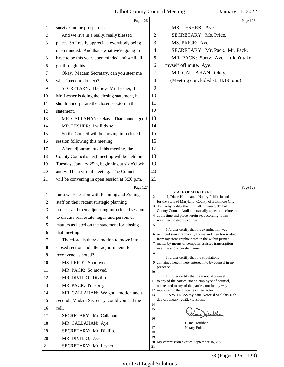<span id="page-33-0"></span>

|                                                                                                                        | Page 126                                                                                                                                                                                                                                                                                                                                                                                                                                                                                                                                                                                                                                                                                   | Page 128                                                                                                                                                                                                                                                                                                                                                                                                                                                                                                                                                                                                                                                                                                                                                                                                                                                                                                                                                                                                                                                                                                                                                         |
|------------------------------------------------------------------------------------------------------------------------|--------------------------------------------------------------------------------------------------------------------------------------------------------------------------------------------------------------------------------------------------------------------------------------------------------------------------------------------------------------------------------------------------------------------------------------------------------------------------------------------------------------------------------------------------------------------------------------------------------------------------------------------------------------------------------------------|------------------------------------------------------------------------------------------------------------------------------------------------------------------------------------------------------------------------------------------------------------------------------------------------------------------------------------------------------------------------------------------------------------------------------------------------------------------------------------------------------------------------------------------------------------------------------------------------------------------------------------------------------------------------------------------------------------------------------------------------------------------------------------------------------------------------------------------------------------------------------------------------------------------------------------------------------------------------------------------------------------------------------------------------------------------------------------------------------------------------------------------------------------------|
| 1                                                                                                                      | survive and be prosperous.                                                                                                                                                                                                                                                                                                                                                                                                                                                                                                                                                                                                                                                                 | MR. LESHER: Aye.<br>1                                                                                                                                                                                                                                                                                                                                                                                                                                                                                                                                                                                                                                                                                                                                                                                                                                                                                                                                                                                                                                                                                                                                            |
| 2                                                                                                                      | And we live in a really, really blessed                                                                                                                                                                                                                                                                                                                                                                                                                                                                                                                                                                                                                                                    | $\overline{2}$<br>SECRETARY: Ms. Price.                                                                                                                                                                                                                                                                                                                                                                                                                                                                                                                                                                                                                                                                                                                                                                                                                                                                                                                                                                                                                                                                                                                          |
| 3                                                                                                                      | place. So I really appreciate everybody being                                                                                                                                                                                                                                                                                                                                                                                                                                                                                                                                                                                                                                              | 3<br>MS. PRICE: Aye.                                                                                                                                                                                                                                                                                                                                                                                                                                                                                                                                                                                                                                                                                                                                                                                                                                                                                                                                                                                                                                                                                                                                             |
| 4                                                                                                                      | open minded. And that's what we're going to                                                                                                                                                                                                                                                                                                                                                                                                                                                                                                                                                                                                                                                | SECRETARY: Mr. Pack. Mr. Pack.<br>$\overline{4}$                                                                                                                                                                                                                                                                                                                                                                                                                                                                                                                                                                                                                                                                                                                                                                                                                                                                                                                                                                                                                                                                                                                 |
| 5                                                                                                                      | have to be this year, open minded and we'll all                                                                                                                                                                                                                                                                                                                                                                                                                                                                                                                                                                                                                                            | 5<br>MR. PACK: Sorry. Aye. I didn't take                                                                                                                                                                                                                                                                                                                                                                                                                                                                                                                                                                                                                                                                                                                                                                                                                                                                                                                                                                                                                                                                                                                         |
| 6                                                                                                                      | get through this.                                                                                                                                                                                                                                                                                                                                                                                                                                                                                                                                                                                                                                                                          | myself off mute. Aye.<br>6                                                                                                                                                                                                                                                                                                                                                                                                                                                                                                                                                                                                                                                                                                                                                                                                                                                                                                                                                                                                                                                                                                                                       |
| 7                                                                                                                      | Okay. Madam Secretary, can you steer me                                                                                                                                                                                                                                                                                                                                                                                                                                                                                                                                                                                                                                                    | MR. CALLAHAN: Okay.<br>7                                                                                                                                                                                                                                                                                                                                                                                                                                                                                                                                                                                                                                                                                                                                                                                                                                                                                                                                                                                                                                                                                                                                         |
| 8                                                                                                                      | what I need to do next?                                                                                                                                                                                                                                                                                                                                                                                                                                                                                                                                                                                                                                                                    | (Meeting concluded at: 8:19 p.m.)<br>8                                                                                                                                                                                                                                                                                                                                                                                                                                                                                                                                                                                                                                                                                                                                                                                                                                                                                                                                                                                                                                                                                                                           |
| 9                                                                                                                      | SECRETARY: I believe Mr. Lesher, if                                                                                                                                                                                                                                                                                                                                                                                                                                                                                                                                                                                                                                                        | 9                                                                                                                                                                                                                                                                                                                                                                                                                                                                                                                                                                                                                                                                                                                                                                                                                                                                                                                                                                                                                                                                                                                                                                |
| 10                                                                                                                     | Mr. Lesher is doing the closing statement, he                                                                                                                                                                                                                                                                                                                                                                                                                                                                                                                                                                                                                                              | 10                                                                                                                                                                                                                                                                                                                                                                                                                                                                                                                                                                                                                                                                                                                                                                                                                                                                                                                                                                                                                                                                                                                                                               |
| 11                                                                                                                     | should incorporate the closed session in that                                                                                                                                                                                                                                                                                                                                                                                                                                                                                                                                                                                                                                              | 11                                                                                                                                                                                                                                                                                                                                                                                                                                                                                                                                                                                                                                                                                                                                                                                                                                                                                                                                                                                                                                                                                                                                                               |
| 12                                                                                                                     | statement.                                                                                                                                                                                                                                                                                                                                                                                                                                                                                                                                                                                                                                                                                 | 12                                                                                                                                                                                                                                                                                                                                                                                                                                                                                                                                                                                                                                                                                                                                                                                                                                                                                                                                                                                                                                                                                                                                                               |
| 13                                                                                                                     | MR. CALLAHAN: Okay. That sounds good.                                                                                                                                                                                                                                                                                                                                                                                                                                                                                                                                                                                                                                                      | 13                                                                                                                                                                                                                                                                                                                                                                                                                                                                                                                                                                                                                                                                                                                                                                                                                                                                                                                                                                                                                                                                                                                                                               |
| 14                                                                                                                     | MR. LESHER: I will do so.                                                                                                                                                                                                                                                                                                                                                                                                                                                                                                                                                                                                                                                                  | 14                                                                                                                                                                                                                                                                                                                                                                                                                                                                                                                                                                                                                                                                                                                                                                                                                                                                                                                                                                                                                                                                                                                                                               |
| 15                                                                                                                     | So the Council will be moving into closed                                                                                                                                                                                                                                                                                                                                                                                                                                                                                                                                                                                                                                                  | 15                                                                                                                                                                                                                                                                                                                                                                                                                                                                                                                                                                                                                                                                                                                                                                                                                                                                                                                                                                                                                                                                                                                                                               |
| 16                                                                                                                     | session following this meeting.                                                                                                                                                                                                                                                                                                                                                                                                                                                                                                                                                                                                                                                            | 16                                                                                                                                                                                                                                                                                                                                                                                                                                                                                                                                                                                                                                                                                                                                                                                                                                                                                                                                                                                                                                                                                                                                                               |
| 17                                                                                                                     | After adjournment of this meeting, the                                                                                                                                                                                                                                                                                                                                                                                                                                                                                                                                                                                                                                                     | 17                                                                                                                                                                                                                                                                                                                                                                                                                                                                                                                                                                                                                                                                                                                                                                                                                                                                                                                                                                                                                                                                                                                                                               |
| 18                                                                                                                     | County Council's next meeting will be held on                                                                                                                                                                                                                                                                                                                                                                                                                                                                                                                                                                                                                                              | 18                                                                                                                                                                                                                                                                                                                                                                                                                                                                                                                                                                                                                                                                                                                                                                                                                                                                                                                                                                                                                                                                                                                                                               |
| 19                                                                                                                     | Tuesday, January 25th, beginning at six o'clock                                                                                                                                                                                                                                                                                                                                                                                                                                                                                                                                                                                                                                            | 19                                                                                                                                                                                                                                                                                                                                                                                                                                                                                                                                                                                                                                                                                                                                                                                                                                                                                                                                                                                                                                                                                                                                                               |
| 20                                                                                                                     | and will be a virtual meeting. The Council                                                                                                                                                                                                                                                                                                                                                                                                                                                                                                                                                                                                                                                 | 20                                                                                                                                                                                                                                                                                                                                                                                                                                                                                                                                                                                                                                                                                                                                                                                                                                                                                                                                                                                                                                                                                                                                                               |
| 21                                                                                                                     | will be convening in open session at 3:30 p.m.                                                                                                                                                                                                                                                                                                                                                                                                                                                                                                                                                                                                                                             | 21                                                                                                                                                                                                                                                                                                                                                                                                                                                                                                                                                                                                                                                                                                                                                                                                                                                                                                                                                                                                                                                                                                                                                               |
| $\mathbf{1}$<br>2<br>3<br>4<br>5<br>6<br>7<br>8<br>9<br>10<br>11<br>12<br>13<br>14<br>15<br>16<br>17<br>18<br>19<br>20 | Page 127<br>for a work session with Planning and Zoning<br>staff on their recent strategic planning<br>process and then adjourning into closed session<br>to discuss real estate, legal, and personnel<br>matters as listed on the statement for closing<br>that meeting.<br>Therefore, is there a motion to move into<br>closed section and after adjournment, to<br>reconvene as noted?<br>MS. PRICE: So moved.<br>MR. PACK: So moved.<br>MR. DIVILIO: Divilio.<br>MR. PACK: I'm sorry.<br>MR. CALLAHAN: We got a motion and a<br>second. Madam Secretary, could you call the<br>roll.<br>SECRETARY: Mr. Callahan.<br>MR. CALLAHAN: Aye.<br>SECRETARY: Mr. Divilio.<br>MR. DIVILIO: Aye. | Page 129<br><b>STATE OF MARYLAND</b><br>1<br>$\overline{c}$<br>I, Diane Houlihan, a Notary Public in and<br>for the State of Maryland, County of Baltimore City,<br>3 do hereby certify that the within named, Talbot<br>County Council Audio, personally appeared before me<br>4 at the time and place herein set according to law,<br>was interrogated by counsel.<br>$\mathcal{L}$<br>I further certify that the examination was<br>6 recorded stenographically by me and then transcribed<br>from my stenographic notes to the within printed<br>7 matter by means of computer-assisted transcription<br>in a true and accurate manner.<br>8<br>I further certify that the stipulations<br>9 contained herein were entered into by counsel in my<br>presence.<br>10<br>I further certify that I am not of counsel<br>11 to any of the parties, not an employee of counsel,<br>nor related to any of the parties, nor in any way<br>12 interested in the outcome of this action.<br>13<br>AS WITNESS my hand Notorial Seal this 18th<br>day of January, 2022, via Zoom.<br>14<br>15<br>ione Heulih<br>16<br>Diane Houlihan<br>17<br>Notary Public<br>18<br>19 |
| 21                                                                                                                     | SECRETARY: Mr. Lesher.                                                                                                                                                                                                                                                                                                                                                                                                                                                                                                                                                                                                                                                                     | 20 My commission expires September 16, 2025<br>21                                                                                                                                                                                                                                                                                                                                                                                                                                                                                                                                                                                                                                                                                                                                                                                                                                                                                                                                                                                                                                                                                                                |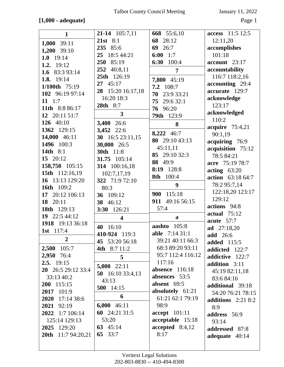# **[1,000 - adequate]** Page 1

| $\mathbf{1}$              | 21-14 105:7,11                | 668 55:6,10             | access 11:5 12:5    |
|---------------------------|-------------------------------|-------------------------|---------------------|
|                           | 21st $8:1$                    | 28:12<br>68             | 12:11,20            |
| 1,000 39:11               | 85:6<br>235                   | 69<br>26:7              | accomplishes        |
| 1,200 39:10               | 25 <sub>1</sub><br>18:5 44:21 | $6:00$ 1:7              | 101:18              |
| 1.0 $19:14$               | 85:19<br>250                  | 100:4<br>6:30           | $account$ 23:17     |
| 1.2. 19:12                | 252<br>40:8,11                | 7                       | accountability      |
| 1.6 83:3 93:14            | 25th 126:19                   |                         | 116:7 118:2,16      |
| 1.8. 19:14                | $27 \quad 45:17$              | 7,800 45:19             | accounting 29:4     |
| 1/100th 75:19             | 28 15:20 16:17,18             | 7.2 108:7               | accurate 129:7      |
| 102 96:19 97:14           | 16:20 18:3                    | 70<br>23:9 33:21        | acknowledge         |
| $11 \t1:7$                | 28th 8:7                      | 75<br>29:6 32:1         | 123:17              |
| 11th 8:8 86:17            | $\mathbf{3}$                  | 76 96:20                | acknowledged        |
| 12 20:11 51:7             |                               | <b>79th</b> 123:9       | 110:2               |
| 126 40:10                 | 3,400 26:6                    | 8                       | acquire $75:4,21$   |
| 1362 129:15               | 3,452 22:6                    | 8,222 46:7              | 90:1,19             |
| 14,000 46:11              | 30 16:5 23:11,15              | 80 29:10 43:13          | acquiring 76:9      |
| 1496 100:3                | 30,000 26:5                   | 45:11,11                | acquisition 75:12   |
| 14th 8:1                  | 30th 11:8                     | 85 29:10 32:3           | 78:5 84:21          |
| 15 20:12                  | 31.75 105:14                  | 88 49:9                 | acre 75:19 78:7     |
| 158,750 105:15            | 314 100:16,18                 | 8:19 128:8              | $\arctin g$ 63:20   |
| 15th 112:16,19            | 102:7,17,19                   | 8th 100:4               | action 63:18 64:7   |
| 16 13:13 129:20           | 322 71:9 72:10                | 9                       | 78:2 95:7,14        |
| 16th 109:2                | 80:3                          |                         | 122:18,20 123:17    |
| 17 20:12 106:13           | 36 109:12                     | 900 115:18              | 129:12              |
| 18 20:11                  | 38 46:12                      | 911 49:16 56:15         | actions 94:8        |
| 18th 129:13               | 3:30 126:21                   | 57:4                    | <b>actual</b> 75:12 |
| 19 22:5 44:12             | $\overline{\mathbf{4}}$       | a                       | acute $57:7$        |
| 1918 19:13 36:18          | 40 16:10                      | 105:8<br>aashto         | ad 27:18,20         |
| 1st 117:4                 | 410-924 119:3                 | <b>able</b> 7:14 31:1   | <b>add</b> 26:6     |
| $\boldsymbol{2}$          | 45 53:20 56:18                | 39:21 40:11 66:3        | <b>added</b> 115:5  |
| 2,500 105:7               | 4th 8:7 11:2                  | 68:3 89:20 93:11        | addicted 122:7      |
| 2,950 76:4                | 5                             | 95:7 112:4 116:12       | addictive 122:7     |
| $2.5.$ 19:15              |                               | 117:16                  | addition 3:11       |
| 20 26:5 29:12 33:4        | $5,000$ 22:11                 | <b>absence</b> 116:18   | 45:19 82:11,18      |
| 33:13 40:2                | 50 16:10 33:4,13              | absences 53:5           | 83:6 84:16          |
| 200 115:15                | 43:13                         | absent $69:5$           | additional 39:18    |
| 2017 101:9                | 500 14:15                     | absolutely 61:21        | 54:20 76:21 78:15   |
| 17:14 38:6<br>2020        | 6                             | 61:21 62:1 79:19        |                     |
| 2021 92:19                | $6,000$ 46:11                 | 98:9                    | additions $2:218:2$ |
| 2022 1:7 106:14           | 60 24:21 31:5                 | accept 101:11           | 8:9<br>address 56:9 |
| 125:14 129:13             | 53:20                         | acceptable 15:18        |                     |
| 2025 129:20               | 63 $45:14$                    | $accepted \quad 8:4,12$ | 93:14               |
| <b>20th</b> 11:7 94:20,21 | 65 33:7                       | 8:17                    | addressed 87:8      |
|                           |                               |                         | adequate 40:14      |
|                           |                               |                         |                     |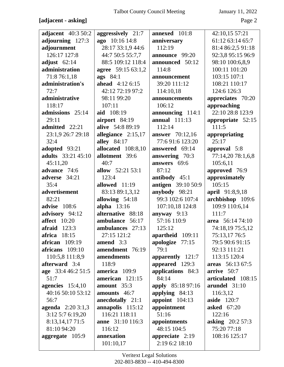# **[adjacent - asking]** Page 2

| <b>adjacent</b> 40:3 50:2 | aggressively 21:7       | annexed 101:8             | 42:10,15 57:21     |
|---------------------------|-------------------------|---------------------------|--------------------|
| adjourning 127:3          | ago 10:16 14:8          | anniversary               | 61:12 63:14 65:7   |
| adjournment               | 28:17 33:1,9 44:6       | 112:19                    | 81:4 86:2,5 91:18  |
| 126:17 127:8              | 44:7 50:5 55:7,7        | announce 99:20            | 92:3,8 95:15 96:9  |
| adjust $62:14$            | 88:5 109:12 118:4       | announced 50:12           | 98:10 100:6,8,9    |
| administration            | agree 59:15 63:1,2      | 114:8                     | 100:11 101:20      |
| 71:8 76:1,18              | ags 84:1                | announcement              | 103:15 107:1       |
| administration's          | ahead $4:126:15$        | 39:20 111:12              | 108:21 110:17      |
| 72:7                      | 42:12 72:19 97:2        | 114:10,18                 | 124:6 126:3        |
| administrative            | 98:11 99:20             | announcements             | appreciates 70:20  |
| 118:17                    | 107:11                  | 106:12                    | approaching        |
| admissions 25:14          | aid 108:19              | announcing 114:1          | 22:10 28:8 123:9   |
| 29:11                     | airport 84:19           | <b>annual</b> 111:13      | appropriate 52:15  |
| admitted 22:21            | alive 54:8 89:19        | 112:14                    | 111:5              |
| 23:1,9 26:7 29:18         | allegiance $2:15,17$    | <b>answer</b> 70:12,16    | appropriating      |
| 32:4                      | <b>alley</b> 84:17      | 77:691:6123:20            | 25:17              |
| adopted 93:21             | allocated 108:8,10      | answered 69:14            | approval 5:8       |
| <b>adults</b> 33:21 45:10 | allotment 39:6          | answering 70:3            | 77:14,20 78:1,6,8  |
| 45:11,20                  | 40:7                    | answers 69:6              | 105:6,11           |
| advance 74:6              | allow 52:21 53:1        | 87:12                     | approved 76:9      |
| adverse 34:21             | 123:4                   | antibody 45:1             | approximately      |
| 35:4                      | allowed 11:19           | <b>antigen</b> 39:10 50:9 | 105:15             |
| advertisement             | 83:13 89:1,3,12         | anybody 98:21             | april 91:8,9,18    |
| 82:21                     | allowing 54:18          | 99:3 102:6 107:4          | archbishop 109:6   |
| advise 108:6              | alpha $13:16$           | 107:10,18 124:8           | 109:9 110:6,14     |
| advisory 94:12            | alternative 88:18       | anyway $9:13$             | 111:7              |
| <b>affect</b> 10:20       | ambulance 56:17         | 57:16 110:9               | area 56:14 74:10   |
| $\textbf{affraid}$ 123:3  | ambulances 27:13        | 125:12                    | 74:18,19 75:5,12   |
| africa 18:15              | 27:15 121:2             | apartheid 109:11          | 75:13,17 76:5      |
| african 109:19            | amend $3:3$             | apologize 77:15           | 79:5 90:6 91:15    |
| africans 109:10           | amendment 76:19         | 79:1                      | 92:13 111:21       |
| 110:5,8 111:8,9           | amendments              | apparently 121:7          | 113:15 120:4       |
| afterward 3:4             | 118:9                   | appeared 129:3            | areas 56:13 67:5   |
| age 33:4 46:2 51:5        | america 109:9           | applications 84:3         | arrive 50:7        |
| 51:7                      | american 121:15         | 84:14                     | articulated 108:15 |
| agencies $15:4,10$        | amount $35:3$           | <b>apply</b> 85:18 97:16  | arundel 31:10      |
| 40:16 50:10 53:12         | amounts 46:7            | applying 84:13            | 116:3,12           |
| 56:7                      | anecdotally 21:1        | appoint $104:13$          | aside $120:7$      |
| <b>agenda</b> $2:203:1,3$ | annapolis 115:12        | appointment               | <b>asked</b> 67:20 |
| 3:12 5:7 6:19,20          | 116:21 118:11           | 51:16                     | 122:16             |
| 8:13,14,17 71:5           | <b>anne</b> 31:10 116:3 | appointments              | asking $20:257:3$  |
| 81:10 94:20               | 116:12                  | 48:15 104:5               | 75:20 77:18        |
| aggregate 105:9           | annexation              | appreciate $2:19$         | 108:16 125:17      |
|                           | 101:10,17               | 2:19 6:2 18:10            |                    |
|                           |                         |                           |                    |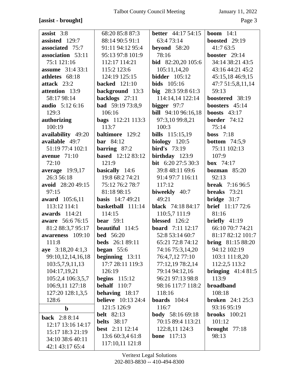## **[assist - brought]** Page 3

| assist $3:8$            | 68:20 85:8 87:3           | <b>better</b> 44:17 54:15  | <b>boom</b> $14:1$       |
|-------------------------|---------------------------|----------------------------|--------------------------|
| assisted 129:7          | 88:14 90:5 91:1           | 63:473:14                  | boosted 29:19            |
| associated 75:7         | 91:11 94:12 95:4          | beyond $58:20$             | 41:763:5                 |
| association 53:11       | 95:13 97:8 101:9          | 78:16                      | booster 29:14            |
| 75:1 121:16             | 112:17 114:21             | bid 82:20,20 105:6         | 34:14 38:21 43:5         |
| <b>assume</b> 31:4 33:1 | 115:2 123:6               | 105:11,14,20               | 43:16 44:21 45:2         |
| athletes 68:18          | 124:19 125:15             | <b>bidder</b> 105:12       | 45:15,18 46:9,15         |
| attack 23:2             | <b>backed</b> 121:10      | <b>bids</b> 105:16         | 47:7 51:5,8,11,14        |
| attention 13:9          | background 13:3           | big $28:359:861:3$         | 59:13                    |
| 58:17 98:14             | backlogs 27:11            | 114:14,14 122:14           | boostered 38:19          |
| audio 5:12 6:16         | <b>bad</b> 59:19 73:8,9   | bigger $97:7$              | boosters 45:14           |
| 129:3                   | 106:16                    | <b>bill</b> 94:10 96:16,18 | <b>boosts</b> $43:17$    |
| authorizing             | <b>bags</b> 112:21 113:3  | 97:3,10 99:8,21            | <b>border</b> $74:12$    |
| 100:19                  | 113:7                     | 100:3                      | 75:14                    |
| availability 49:20      | baltimore 129:2           | <b>bills</b> 115:15,19     | boss $7:18$              |
| available 49:7          | bar 84:12                 | biology $120:5$            | <b>bottom</b> $74:5,9$   |
| 51:19 77:4 102:1        | barring $87:2$            | bird's $73:19$             | 75:11 102:13             |
| avenue $71:10$          | <b>based</b> 12:12 83:12  | birthday 123:9             | 107:9                    |
| 72:10                   | 121:9                     | bit 6:20 27:5 30:3         | <b>box</b> $74:17$       |
| average 19:9,17         | basically 14:6            | 39:8 48:11 69:6            | bozman $85:20$           |
| 26:3 56:18              | 19:8 68:2 74:21           | 91:4 97:7 116:11           | 92:13                    |
| avoid 28:20 49:15       | 75:12 76:2 78:7           | 117:12                     | <b>break</b> 7:16 96:5   |
| 97:15                   | 81:18 98:15               | biweekly 40:7              | <b>breaks</b> 73:21      |
| award 105:6,11          | <b>basis</b> 14:7 49:21   | 49:21                      | bridge $31:7$            |
| 113:12 114:1            | basketball 111:14         | <b>black</b> 74:18 84:17   | <b>brief</b> 11:17 72:6  |
| <b>awards</b> 114:21    | 114:15                    | 110:5,7 111:9              | 81:16                    |
| aware 56:6 76:15        | bear $59:1$               | blessed 126:2              | briefly $41:19$          |
| 81:2 88:3,7 95:17       | <b>beautiful</b> 114:5    | <b>board</b> 7:11 12:17    | 66:10 70:7 74:21         |
| awareness 109:10        | <b>bed</b> 56:20          | 52:8 53:14 60:7            | 81:17 82:12 101:7        |
| 111:8                   | <b>beds</b> 26:1 89:11    | 65:21 72:8 74:12           | <b>bring</b> 81:15 88:20 |
| aye $3:18,204:1,3$      | began $55:6$              | 74:16 75:3,14,20           | 94:12 102:19             |
| 99:10,12,14,16,18       | beginning $13:11$         | 76:4,7,12 77:10            | 103:1 111:8,20           |
| 103:5,7,9,11,13         | 17:7 28:11 119:3          | 77:12,19 78:2,14           | 112:2,5 113:2            |
| 104:17,19,21            | 126:19                    | 79:14 94:12,16             | bringing $41:481:5$      |
| 105:2,4 106:3,5,7       | begins $115:12$           | 96:21 97:13 98:8           | 113:9                    |
| 106:9,11 127:18         | <b>behalf</b> 110:7       | 98:16 117:7 118:2          | broadband                |
| 127:20 128:1,3,5        | behaving 18:17            | 118:16                     | 108:18                   |
| 128:6                   | <b>believe</b> 10:13 24:4 | boards $104:4$             | <b>broken</b> $24:125:3$ |
| $\mathbf b$             | 121:5 126:9               | 116:7                      | 93:16 95:19              |
| <b>back</b> 2:8 8:14    | <b>belt</b> 82:13         | <b>body</b> 58:16 69:18    | $b$ rooks $100:21$       |
| 12:17 13:16 14:17       | <b>belts</b> 38:17        | 70:15 89:4 113:21          | 101:12                   |
| 15:17 18:3 21:19        | <b>best</b> 2:11 12:14    | 122:8,11 124:3             | brought $77:18$          |
| 34:10 38:6 40:11        | 13:6 60:3,4 61:8          | <b>bone</b> 117:13         | 98:13                    |
| 42:1 43:17 65:4         | 117:10,11 121:8           |                            |                          |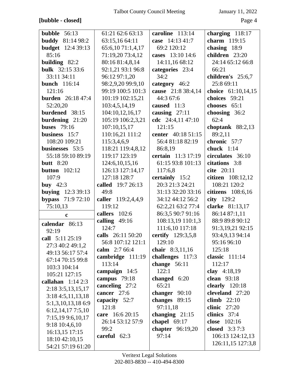# **[bubble - closed]** Page 4

| bubble $56:13$           | 61:21 62:6 63:13   | caroline 113:14         | charging $118:17$  |
|--------------------------|--------------------|-------------------------|--------------------|
| <b>buddy</b> 81:14 98:2  | 63:15,16 64:11     | case 14:13 41:7         | charm 119:15       |
| <b>budget</b> 12:4 39:13 | 65:6,10 71:1,4,17  | 69:2 120:12             | chasing $18:9$     |
| 85:16                    | 71:19,20 73:4,12   | cases 13:10 14:6        | children 23:20     |
| building 82:2            | 80:16 81:4,8,14    | 14:11,16 68:12          | 24:14 65:12 66:8   |
| <b>bulk</b> 32:15 33:6   | 92:1,21 93:1 96:8  | categories 23:4         | 66:21              |
| 33:11 34:11              | 96:12 97:1,20      | 34:2                    | children's 25:6,7  |
| <b>bunch</b> 116:14      | 98:2,9,20 99:9,10  | category 46:2           | 25:8 69:11         |
| 121:16                   | 99:19 100:5 101:3  | cause 21:8 38:4,14      | choice 61:10,14,15 |
| <b>burden</b> 26:18 47:4 | 101:19 102:15,21   | 44:3 67:6               | choices 59:21      |
| 52:20,20                 | 103:4,5,14,19      | caused 11:3             | chooses 65:1       |
| burdened 38:15           | 104:10,12,16,17    | causing $27:11$         | choosing 36:2      |
| burdening 21:20          | 105:19 106:2,3,21  | cdc $24:4,1147:10$      | 62:4               |
| <b>buses</b> 79:16       | 107:10,15,17       | 121:15                  | choptank $88:2,13$ |
| business 15:7            | 110:16,21 111:2    | center 40:18 51:15      | 89:2,11            |
| 108:20 109:21            | 115:3,4,6,9        | 56:4 81:18 82:19        | chronic 57:7       |
| businesses 53:5          | 118:21 119:4,8,12  | 86:8,19                 | chuck $1:14$       |
| 55:18 59:10 89:19        | 119:17 123:19      | certain 11:3 17:19      | circulates 36:10   |
| <b>butt</b> 8:20         | 124:6, 10, 15, 16  | 61:15 93:8 101:13       | citations 3:8      |
| button $102:12$          | 126:13 127:14,17   | 117:6,8                 | cite 20:11         |
| 107:9                    | 127:18 128:7       | certainly 15:2          | citizen 108:12,12  |
| buy $42:3$               | called 19:7 26:13  | 20:3 21:3 24:21         | 108:21 120:2       |
| <b>buying</b> 12:3 39:13 | 49:8               | 31:13 32:20 33:16       | citizens 108:6,16  |
| <b>bypass</b> 71:9 72:10 | caller 119:2,4,4,9 | 34:12 44:12 56:2        | city 129:2         |
| 75:10,13                 | 119:12             | 62:2,21 63:2 77:4       | clarke 81:13,17    |
| $\mathbf c$              | callers 102:6      | 86:3,5 90:7 91:16       | 86:14 87:1,11      |
| calendar 86:13           | calling $49:16$    | 108:13,19 110:1,3       | 88:9 89:8 90:12    |
| 92:19                    | 124:7              | 111:6,10 117:18         | 91:3,19,21 92:15   |
| call 5:11 25:19          | calls 26:11 50:20  | certify 129:3,5,8       | 93:4,9,13 94:14    |
| 27:3 40:2 49:1,2         | 56:8 107:12 121:1  | 129:10                  | 95:16 96:10        |
| 49:13 56:17 57:4         | calm 2:7 66:4      | chair $8:3,11,16$       | 125:18             |
| 67:14 70:15 99:8         | cambridge $111:19$ | challenges 117:3        | classic $111:14$   |
| 103:3 104:14             | 113:14             | change $56:11$          | 112:17             |
| 105:21 127:15            | campaign 14:5      | 122:1                   | clay $4:18,19$     |
| callahan $1:142:3$       | campus $79:18$     | changed 6:20            | clean $93:18$      |
| 2:18 3:5, 13, 15, 17     | canceling 27:2     | 65:21                   | clearly $120:18$   |
| 3:184:5,11,13,18         | cancer 27:6        | changer $90:10$         | cleveland 27:20    |
| 5:1,3,10,13,18 6:9       | capacity $52:7$    | changes $89:15$         | climb $22:10$      |
| 6:12,14,177:5,10         | 121:8              | 97:11,18                | clinic $27:20$     |
| 7:15,19 9:6,10,17        | care 16:6 20:15    | changing $21:15$        | clinics 37:4       |
| 9:18 10:4,6,10           | 26:14 53:12 57:9   | chapel $69:17$          | close 102:16       |
| 16:13,15 17:15           | 99:2               | <b>chapter</b> 96:19,20 | closed $3:37:3$    |
| 18:10 42:10,15           | careful 62:3       | 97:14                   | 106:13 124:12,13   |
| 54:21 57:19 61:20        |                    |                         | 126:11,15 127:3,8  |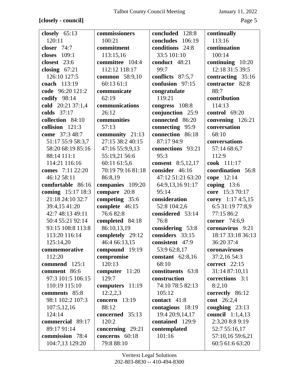## **[closely - council]** Page 5

| closely $65:13$   | commissioners     | concluded 128:8          | continually             |
|-------------------|-------------------|--------------------------|-------------------------|
| 120:11            | 100:21            | concludes 106:19         | 113:16                  |
| closer 74:7       | commitment        | conditions 24:8          | continuation            |
| 109:1<br>closes   | 113:15,16         | 33:5 101:10              | 100:14                  |
| closest 23:6      | committee 104:4   | conduct 48:21            | continuing 10:20        |
| closing $67:21$   | 112:12 118:17     | 99:7                     | 12:18 31:5 39:5         |
| 126:10 127:5      | common 58:9,10    | conflicts 87:5,7         | contracting 35:16       |
| coach 113:19      | 60:13 61:1        | confusion 97:15          | contractor 82:8         |
| code 96:20 121:2  | communicate       | congratulate             | 88:7                    |
| codify $98:14$    | 62:19             | 119:21                   | contribution            |
| cold 20:21 37:1,4 | communications    | congress 108:8           | 114:13                  |
| colds 37:17       | 26:12             | conjunction 25:9         | control $69:20$         |
| collection 84:10  | communities       | connected 86:20          | convening 126:21        |
| collision $121:3$ | 57:13             | connecting 95:9          | conversation            |
| come 37:3 48:7    | community 21:13   | connection 86:18         | 68:10                   |
| 51:17 55:9 58:3,7 | 27:15 38:2 40:15  | 87:17 94:9               | conversations           |
| 58:20 68:19 85:16 | 47:16 55:9,9,13   | connections 93:21        | 57:14 68:6,7            |
| 88:14 111:1       | 55:19,21 56:6     | 95:3                     | 112:9                   |
| 114:21 116:16     | 60:11 61:5,6      | <b>consent</b> 8:5,12,17 | cook 111:17             |
| comes 7:11 22:20  | 70:19 79:16 81:18 | consider 46:16           | coordination 56:8       |
| 46:12 58:11       | 86:8,19           | 47:12 51:21 63:20        | cope 12:14              |
| comfortable 86:16 | companies 109:20  | 64:9,13,16 91:17         | coping $13:6$           |
| coming 15:17 18:3 | compare 20:8      | 95:14                    | core 15:3 70:17         |
| 21:18 24:10 32:7  | competing 35:6    | consideration            | corey 1:17 4:5,15       |
| 39:4,15 41:20     | complete 46:15    | 52:8 104:2,6             | 6:5 31:19 77:8,9        |
| 42:7 48:13 49:11  | 76:682:8          | considered 53:14         | 77:15 86:2              |
| 50:4 55:21 92:14  | completed 84:18   | 76:8                     | <b>corner</b> 74:6,9    |
| 93:15 108:8 113:8 | 86:10,13,19       | considering 53:8         | coronavirus 9:21        |
| 113:20 116:14     | completely 29:12  | considers 33:15          | 18:17 33:18 36:13       |
| 125:14,20         | 46:4 66:13,15     | consistent 47:9          | 36:20 37:4              |
| commemorative     | compound 19:19    | 53:9 62:8,17             | coronaviruses           |
| 112:20            | compromise        | constant $62:8,16$       | 37:2,1654:3             |
| commend 125:1     | 120:13            | 68:10                    | correct $22:15$         |
| comment 86:6      | computer $11:20$  | constituents 63:8        | 31:14 87:10,11          |
| 97:3 101:5 106:15 | 129:7             | construction             | corrections 3:1         |
| 110:19 115:10     | computers 11:19   | 74:10 78:5 82:13         | 8:2,10                  |
| comments 85:8     | 12:2,2,3          | 105:12                   | correctly 86:12         |
| 98:1 102:2 107:3  | concern $13:19$   | contact 41:8             | cost 26:2,4             |
| 107:5,12,16       | 88:12             | contagious 18:19         | coughing $23:13$        |
| 124:14            | concerned 35:13   | 19:4 20:9,14,17          | <b>council</b> 1:1,4,13 |
| commercial 89:17  | 120:2             | contained 129:9          | 2:3,20 8:8 9:19         |
| 89:17 91:14       | concerning 29:21  | contemplated             | 52:7 55:16,17           |
| commission 78:4   | concerns 60:18    | 101:16                   | 57:10,16 59:6,21        |
| 104:7,13 129:20   | 79:8 88:10        |                          | 60:5 61:6 63:20         |
|                   |                   |                          |                         |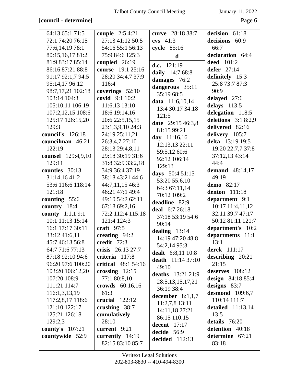# **[council - determine]** Page 6

| 64:13 65:1 71:5    | <b>couple</b> 2:5 4:21     | curve 28:18 38:7       | decision 61:18         |
|--------------------|----------------------------|------------------------|------------------------|
| 72:1 74:20 76:15   | 27:13 41:12 50:5           | $\cos$ 41:3            | decisions 60:9         |
| 77:6,14,19 78:1    | 54:16 55:1 56:13           | cycle 85:16            | 66:7                   |
| 80:15,16,17 81:2   | 75:9 84:6 125:3            | $\mathbf d$            | declaration 64:4       |
| 81:9 83:17 85:14   | coupled $26:19$            | d.c. 121:19            | <b>deed</b> 101:2      |
| 86:16 87:21 88:8   | course 19:1 25:16          | daily 14:7 68:8        | defer 27:14            |
| 91:17 92:1,7 94:5  | 28:20 34:4,7 37:9          | damages 76:2           | definitely 15:3        |
| 95:14,17 96:12     | 116:4                      | dangerous 35:11        | 25:8 73:7 87:3         |
| 98:7,17,21 102:18  | coverings 52:10            | 35:19 68:5             | 90:9                   |
| 103:14 104:3       | covid 9:1 10:2             | <b>data</b> 11:6,10,14 | delayed 27:6           |
| 105:10,11 106:19   | 11:6,13 13:10              | 13:4 30:17 34:18       | delays $113:5$         |
| 107:2,12,15 108:6  | 18:6 19:14,16              | 121:5                  | delegation 118:5       |
| 125:17 126:15,20   | 20:6 22:5,15,15            | date 29:15 46:3,8      | deletions $3:18:2,9$   |
| 129:3              | 23:1,3,9,10 24:3           | 81:15 99:21            | delivered 82:16        |
| council's 126:18   | 24:19 25:11,21             | day 11:16,16           | delivery 105:7         |
| councilman 46:21   | 26:3,4,7 27:10             | 12:13,13 22:11         | delta 13:19 19:5       |
| 122:19             | 28:13 29:4,8,11            | 59:5,12 60:6           | 19:20 22:7,7 37:8      |
| counsel 129:4,9,10 | 29:18 30:19 31:6           | 92:12 106:14           | 37:12,13 43:14         |
| 129:11             | 31:8 32:9 33:2,18          | 129:13                 | 44:4                   |
| counties 30:13     | 34:9 36:4 37:19            | days 50:4 51:15        | demand $48:14,17$      |
| 31:14,1641:2       | 38:18 43:21 44:6           | 53:20 55:6,10          | 49:19                  |
| 53:6 116:6 118:14  | 44:7,11,15 46:3            | 64:3 67:11,14          | demo 82:17             |
| 121:18             | 46:21 47:1 49:4            | 70:12 109:2            | <b>denton</b> 111:18   |
| counting 55:6      | 49:10 54:2 62:11           | deadline 82:9          | department 9:1         |
| country 18:4       | 67:18 69:2,16              | deal 6:7 26:18         | 10:17 11:4,11,12       |
| county 1:1,1 9:1   | 72:2 112:4 115:18          | 37:18 53:19 54:6       | 32:11 39:7 47:17       |
| 10:1 11:13 15:14   | 121:4 124:3                | 90:14                  | 50:12 81:11 121:7      |
| 16:1 17:17 30:11   | craft $97:5$               | dealing $13:14$        | department's 10:2      |
| 33:12 41:6,11      | creating 94:2              | 14:19 47:20 48:8       | departments 11:1       |
| 45:7 46:13 56:8    | credit $72:3$              | 54:2,14 95:3           | 13:1                   |
| 64:7 71:6 77:13    | crisis 26:13 27:7          | dealt 6:8,11 10:8      | derek 111:17           |
| 87:18 92:10 94:6   | criteria 117:8             | death $11:1437:10$     | describing $20:21$     |
| 96:20 97:6 100:20  | <b>critical</b> 48:1 54:16 | 49:10                  | 21:15                  |
| 103:20 106:12,20   | crossing $12:15$           | deaths 13:21 21:9      | deserves 108:12        |
| 107:20 108:9       | 77:1 80:8,10               | 28:5, 13, 15, 17, 21   | design $84:1885:4$     |
| 111:21 114:7       | crowds 60:16,16            | 36:19 38:4             | designs $83:7$         |
| 116:1,3,13,19      | 61:3                       | december $8:1,1,7$     | <b>desmond</b> 109:6,7 |
| 117:2,8,17 118:6   | crucial $122:12$           | 11:2,7,8 13:11         | 110:14 111:7           |
| 121:10 122:17      | crushing 38:7              | 14:11,18 27:21         | detailed $11:13,14$    |
| 125:21 126:18      | cumulatively               | 86:15 110:15           | 13:5                   |
| 129:2,3            | 28:10                      | decent $17:17$         | details 76:20          |
| county's 107:21    | current 9:21               | decide 56:9            | detention 40:18        |
| countywide 52:9    | currently $14:19$          | decided 112:13         | determine 67:21        |
|                    | 82:15 83:10 85:7           |                        | 83:18                  |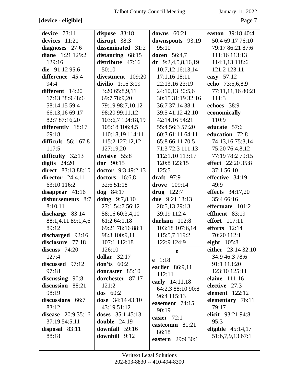**[device - eligible]** Page 7

| January 11, 2022 |  |  |
|------------------|--|--|
|------------------|--|--|

| device $73:11$             | dispose $83:18$     | downs $60:21$        | easton 39:18 40:4        |
|----------------------------|---------------------|----------------------|--------------------------|
| devices 11:21              | disrupt $38:3$      | downspouts 93:19     | 50:4 69:17 76:10         |
| diagnoses 27:6             | disseminated 31:2   | 95:10                | 79:17 86:21 87:6         |
| diane 1:21 129:2           | distancing 68:15    | <b>dozen</b> 56:4,7  | 111:16 113:13            |
| 129:16                     | distribute $47:16$  | $dr$ 9:2,4,5,8,16,19 | 114:1,13 118:6           |
| die $91:1295:6$            | 50:10               | 10:7,12 16:13,14     | 121:2 123:11             |
| difference 45:4            | divestment 109:20   | $17:1,16$ 18:11      | easy 57:12               |
| 94:4                       | divilio $1:163:19$  | 22:13,16 23:19       | echo 73:5,6,8,9          |
| different 14:20            | 3:20 65:8,9,11      | 24:10,13 30:5,6      | 77:11,11,16 80:21        |
| 17:13 38:9 48:6            | 69:7 78:9,20        | 30:15 31:19 32:16    | 111:3                    |
| 58:14,15 59:4              | 79:19 98:7,10,12    | 36:7 37:14 38:1      | echoes 38:9              |
| 66:13,16 69:17             | 98:20 99:11,12      | 39:5 41:12 42:10     | economically             |
| 82:7 87:16,20              | 103:6,7 104:18,19   | 42:14,16 54:21       | 110:9                    |
| differently 18:17          | 105:18 106:4,5      | 55:4 56:3 57:20      | educate 57:6             |
| 69:18                      | 110:18,19 114:11    | 60:3 61:11 64:11     | education 72:8           |
| <b>difficult</b> 56:1 67:8 | 115:2 127:12,12     | 65:8 66:11 70:5      | 74:13,16 75:3,14         |
| 117:5                      | 127:19,20           | 71:3 72:3 111:13     | 75:20 76:4,8,12          |
| difficulty 32:13           | divisive 55:8       | 112:1,10 113:17      | 77:19 78:2 79:15         |
| digits $24:20$             | dnr $90:15$         | 120:8 123:15         | <b>effect</b> 22:20 35:8 |
| direct 83:13 88:10         | doctor $9:349:2,13$ | 125:5                | 37:1 56:10               |
| director $24:4,11$         | doctors 16:6,8      | draft $97:9$         | effective 34:19          |
| 63:10 116:2                | 32:651:18           | drove 109:14         | 49:9                     |
| disappear $41:16$          | $\log$ 84:17        | drug $122:7$         | effects 34:17,20         |
| disbursements 8:7          | doing $9:7,8,10$    | due 9:21 18:13       | 35:4 66:16               |
| 8:10,11                    | 27:1 54:7 56:12     | 28:5,13 29:13        | effectuate 101:2         |
| discharge 83:14            | 58:16 60:3,4,10     | 39:19 112:4          | effluent 83:19           |
| 88:1,4,11 89:1,4,6         | 61:2 64:1,18        | durham $102:8$       | <b>effort</b> 117:11     |
| 89:12                      | 69:21 78:16 88:1    | 103:18 107:6,14      | efforts 12:14            |
| discharged 92:16           | 98:3 100:9,11       | 115:5,7 119:2        | 70:20 112:1              |
| disclosure 77:18           | 107:1 112:18        | 122:9 124:9          | eight $105:8$            |
| discuss $74:20$            | 126:10              | e                    | either $23:1432:10$      |
| 127:4                      | dollar $32:17$      | $e$ 1:18             | 34:9 46:3 78:6           |
| discussed 97:12            | don'ts $60:2$       | earlier 86:9,11      | 91:1 113:20              |
| 97:18                      | doncaster 85:10     | 112:11               | 123:10 125:11            |
| discussing $90:8$          | dorchester 87:17    | early 14:11,18       | elaine 111:16            |
| discussion 88:21           | 121:2               | 64:2,3 88:10 90:8    | elective 27:3            |
| 98:19                      | $\textbf{dos}$ 60:2 | 96:4 115:13          | element $122:12$         |
| discussions 66:7           | dose $34:1443:10$   | easement 74:15       | elementary 76:11         |
| 83:12                      | 43:19 51:12         | 90:19                | 79:17                    |
| disease 20:9 35:16         | doses $35:145:13$   | easier $72:1$        | elicit 93:21 94:8        |
| 37:19 54:5,11              | double $24:19$      | eastcomm 81:21       | 95:3                     |
| disposal $83:11$           | downfall 59:16      | 86:18                | eligible $45:14,17$      |
| 88:18                      | downhill 9:12       | eastern 29:9 30:1    | 51:6,7,9,13 67:1         |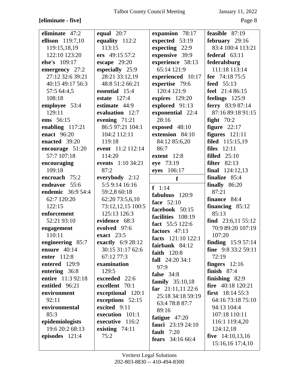# **[eliminate - five]** Page 8

| eliminate 47:2           | equal $20:7$      | expansion 78:17         | feasible $87:19$           |
|--------------------------|-------------------|-------------------------|----------------------------|
| ellison 119:7,10         | equality $112:2$  | expected 53:19          | february 29:16             |
| 119:15,18,19             | 113:15            | expecting 22:9          | 83:4 100:4 113:21          |
| 122:10 123:20            | ers 49:15 57:2    | expensive 39:9          | federal $63:11$            |
| else's 109:17            |                   |                         | federalsburg               |
|                          | escape $29:20$    | experience 58:13        |                            |
| emergency $27:2$         | especially 25:9   | 65:14 121:9             | 111:18 113:14              |
| 27:12 32:6 39:21         | 28:21 33:12,19    | experienced 10:17       | fee $74:1875:5$            |
| 40:15 49:17 56:3         | 48:8 51:2 66:21   | expertise 79:6          | <b>feed</b> 55:13          |
| 57:5 64:4,5              | essential 15:4    | 120:4 121:9             | feel 21:4 86:15            |
| 108:18                   | estate $127:4$    | expires $129:20$        | feelings 125:9             |
| employee 53:4            | estimate 44:9     | explored 91:13          | ferry 83:9 87:14           |
| 129:11                   | evaluation 12:7   | exponential 22:4        | 87:16 89:18 91:15          |
| ems 56:15                | evening $71:21$   | 28:16                   | fight $70:2$               |
| enabling $117:21$        | 86:5 97:21 104:1  | exposed 48:10           | figure $22:17$             |
| <b>enact</b> 96:20       | 104:2 112:11      | extension 84:10         | figures $121:11$           |
| enacted 39:20            | 119:18            | 84:12 85:6,20           | filed 115:15,19            |
| encourage 51:20          | event 11:2 112:14 | 86:7                    | files $12:11$              |
| 57:7 107:18              | 114:20            | extent 12:8             | filled $25:10$             |
| encouraging              | events 1:10 34:21 | eye 73:19               | <b>filter</b> 82:13        |
| 109:18                   | 87:2              | eyes 106:17             | final $124:12,13$          |
| encroach 75:2            | everybody 2:12    | f                       | finalize 85:4              |
| endeavor 55:6            | 5:5 9:14 16:16    | $f \ 1:14$              | finally 86:20              |
| <b>endemic</b> 36:9 54:4 | 59:2,8 60:18      | fabulous 120:9          | 87:21                      |
| 62:7 120:20              | 62:20 73:5,6,10   |                         | finance 84:4               |
| 122:15                   | 73:12,12,15 100:5 | face 52:10              | financing $85:12$          |
| enforcement              | 125:13 126:3      | facebook 50:15          | 85:13                      |
| 52:21 93:10              | evidence 68:3     | facilities 108:19       | find $23:6,11\,55:12$      |
| engagement               | evolved 97:6      | fact 55:5 122:6         | 70:9 89:20 107:19          |
| 110:11                   | exact 23:5        | factors 47:13           | 107:20                     |
| engineering 85:7         | exactly 6:9 28:12 | facts 121:10 122:1      | <b>finding</b> $15:957:14$ |
| ensure $40:14$           | 30:15 31:17 62:6  | fairbank 84:12          | <b>fine</b> $9:83:259:11$  |
|                          |                   | faith 120:8             |                            |
| enter 112:8              | 67:12 77:3        | fall $24:2034:1$        | 72:19                      |
| entered 129:9            | examination       | 97:9                    | fingers $12:16$            |
| entering 36:8            | 129:5             | false $34:8$            | finish $87:4$              |
| entire 11:3 92:18        | exceeded 22:6     | family $35:10,18$       | finishing $82:9$           |
| entitled 96:21           | excellent 70:1    | far $21:11,1122:6$      | fire $40:18$ 120:21        |
| environment              | exceptional 120:1 | 25:18 34:18 59:19       | first $18:1455:3$          |
| 92:11                    | exceptions 52:15  | 63:4 78:8 87:7          | 64:16 73:18 75:10          |
| environmental            | excited 9:11      | 89:16                   | 94:13 104:4                |
| 85:3                     | execution 101:1   | fatigue $47:20$         | 107:18 110:11              |
| epidemiologists          | executive 116:2   | fauci $23:19\,24:10$    | 116:1 119:4,20             |
| 19:6 20:2 68:13          | existing $74:11$  | fault $7:20$            | 124:12,18                  |
| episodes 121:4           | 75:2              |                         | five $14:10,13,16$         |
|                          |                   | <b>fears</b> 34:16 66:4 | 15:16,16 17:4,10           |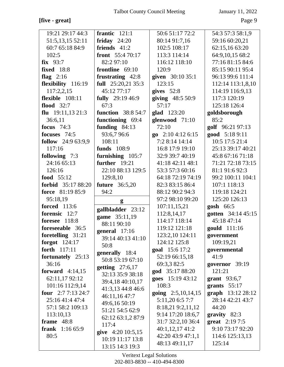## **[five - great]** Page 9

| 19:21 29:17 44:3        | frantic $121:1$           | 50:6 51:17 72:2      | 54:3 57:3 58:1,9       |
|-------------------------|---------------------------|----------------------|------------------------|
| 51:5,13,15 52:11        | friday $24:20$            | 80:14 91:7,16        | 59:16 60:20,21         |
| 60:7 65:18 84:9         | friends 41:2              | 102:5 108:17         | 62:15,16 63:20         |
| 102:5                   | <b>front</b> $55:470:17$  | 113:3 114:14         | 64:9,10,15 68:2        |
| $fix$ 93:7              | 82:2 97:10                | 116:12 118:10        | 77:16 81:15 84:6       |
| <b>fixed</b> 18:8       | frontline 69:10           | 120:9                | 85:15 90:11 95:4       |
| flag $2:16$             | frustrating 42:8          | given 30:10 35:1     | 96:13 99:6 111:4       |
| flexibility 116:19      | full 25:20,21 35:3        | 123:15               | 112:14 113:1,8,10      |
| 117:2,2,15              | 45:12 77:17               | gives $52:8$         | 114:19 116:9,13        |
| flexible 108:11         | fully 29:19 46:9          | giving 48:5 50:9     | 117:3 120:19           |
| flood $32:7$            | 67:3                      | 57:17                | 125:18 126:4           |
| flu $19:11,1321:3$      | <b>function</b> 38:8 54:7 | glad 123:20          | goldsborough           |
| 36:6,11                 | functioning 69:4          | glenwood 71:10       | 85:2                   |
| focus $74:3$            | funding 84:13             | 72:10                | golf 96:21 97:13       |
| focuses 74:5            | 93:6,7 96:6               | go $2:104:126:15$    | good 5:18 9:11         |
| follow 24:9 63:9,9      | 108:11                    | 7:2 8:14 14:14       | 10:5 17:5 21:4         |
| 117:16                  | <b>funds</b> 108:9        | 16:8 17:9 19:10      | 25:13 39:17 40:21      |
| following 7:3           | furnishing 105:7          | 32:9 39:7 40:19      | 45:8 67:16 71:18       |
| 24:16 65:13             | further 19:21             | 41:18 42:11 48:1     | 71:21 72:18 73:15      |
| 126:16                  | 22:10 88:13 129:5         | 53:3 57:3 60:16      | 81:1 91:6 92:3         |
| food 55:12              | 129:8,10                  | 64:18 72:19 74:19    | 99:2 100:11 104:1      |
| forbid 35:17 88:20      | <b>future</b> 36:5,20     | 82:3 83:15 86:4      | 107:1 118:13           |
| force 81:19 85:9        | 94:2                      | 88:12 90:2 94:3      | 119:18 124:21          |
| 95:18,19                | g                         | 97:2 98:10 99:20     | 125:20 126:13          |
| <b>forced</b> 113:6     | gallbladder 23:12         | 107:11,15,21         | $gosh \ 66:5$          |
| forensic 12:7           | game 35:11,19             | 112:8,14,17          | gotten 34:14 45:15     |
| foresee 118:8           | 88:11 90:10               | 114:17 118:14        | 45:18 47:14            |
| foreseeable 36:5        | general $17:16$           | 119:12 121:18        | gould 111:16           |
| foretelling 31:21       | 39:14 40:13 41:10         | 123:2,10 124:11      | government             |
| forgot $124:17$         | 50:8                      | 124:12 125:8         | 109:19,21              |
| forth 117:11            | generally 18:4            | goal 15:6 17:2       | governmental           |
| fortunately 25:13       | 50:8 53:19 67:10          | 52:19 66:15,18       | 41:9                   |
| 36:16                   | getting $27:6,17$         | 69:3,3 82:5          | governor 39:19         |
| forward $4:14,15$       | 32:13 35:9 38:18          | god 35:17 88:20      | 121:21                 |
| 62:11,17 92:12          | 39:4,18 40:10,17          | goes 15:19 43:12     | grant $93:6,7$         |
| 101:16 112:9,14         | 41:3,13 44:8 46:6         | 108:3                | grants $55:17$         |
| four $2:77:1324:7$      | 46:11,16 47:7             | going $2:5,10,14,15$ | graph $13:12\,28:12$   |
| 25:16 41:4 47:4         | 49:6,16 50:19             | 5:11,20 6:5 7:7      | 28:14 42:21 43:7       |
| 57:1 58:2 109:13        | 51:21 54:5 62:9           | 8:18,21 9:2,11,12    | 44:20                  |
| 113:10,13               | 62:12 63:1,2 87:9         | 9:14 17:20 18:6,7    | $gravity$ 82:3         |
| frame 48:8              | 117:4                     | 31:7 32:2,10 36:4    | <b>great</b> $2:197:5$ |
| <b>frank</b> $1:1665:9$ | give 4:20 10:5,15         | 40:1,12,1741:2       | 9:10 73:17 92:20       |
| 80:5                    | 10:19 11:17 13:8          | 42:20 43:9 47:1,1    | 114:6 125:13,13        |
|                         | 13:15 14:3 19:3           | 48:13 49:11,17       | 125:14                 |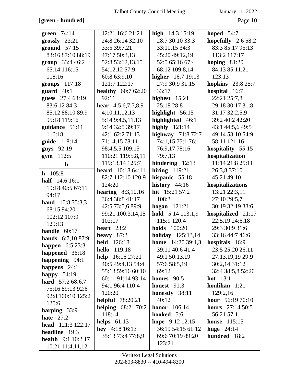# **[green - hundred]** Page 10

| green $74:14$                                | 12:21 16:6 21:21           | high $14:3 15:19$        | hoped $54:7$             |
|----------------------------------------------|----------------------------|--------------------------|--------------------------|
| grossly 23:21                                | 24:8 26:14 32:10           | 28:7 30:10 33:3          | hopefully $2:658:2$      |
| ground $57:15$                               | 33:5 39:7,21               | 33:10,15 34:3            | 83:3 85:17 95:13         |
| 83:16 87:10 88:19                            | 47:17 50:3,13              | 45:20 49:12,19           | 113:2 117:17             |
| group 33:4 46:2                              | 52:8 53:12,13,15           | 52:5 65:16 67:4          | hoping $81:20$           |
| 65:14 116:15                                 | 54:12,12 57:9              | 68:12 109:8,14           | 84:13 85:11,21           |
| 118:16                                       | 60:8 63:9,10               | higher 16:7 19:13        | 123:13                   |
| groups $117:18$                              | 121:7 122:17               | 27:9 30:9 31:15          | <b>hopkins</b> 23:8 25:7 |
| guard $40:1$                                 | <b>healthy</b> $60:762:20$ | 33:17                    | hospital 16:7            |
| guess 27:4 63:19                             | 92:11                      | highest $15:21$          | 22:21 25:7,8             |
| 83:6,12 84:3                                 | hear $4:5,6,7,7,8,9$       | 25:18 28:8               | 29:18 30:17 31:8         |
| 85:12 88:10 89:9                             | 4:10,11,12,13              | highlight $56:15$        | 31:17 32:2,5,9           |
| 95:18 119:16                                 | 5:14 9:4,5,11,13           | highlighted 46:1         | 39:2 40:2 42:20          |
| guidance 51:11                               | 9:14 32:5 39:17            | highly $121:14$          | 43:1 44:5,6 49:5         |
| 116:18                                       | 42:1 62:2 71:13            | highway $71:872:7$       | 49:14 53:10 54:9         |
| guide 118:14                                 | 71:14,15 78:11             | 74:1,15 75:1 76:1        | 58:11 121:16             |
| guys 92:19                                   | 98:4,5,5 109:15            | 76:9,17 78:16            | hospitality 55:15        |
| 112:5<br>gym                                 | 110:21 119:5,8,11          | 79:7,13                  | hospitalization          |
| $\mathbf{h}$                                 | 119:13,14 125:7            | hindering $12:13$        | 11:14 21:8 25:11         |
|                                              | <b>heard</b> 10:18 64:11   | hiring $119:21$          | 26:3,8 37:10             |
| $h$ 105:8                                    | 82:7 112:10 120:9          | hispanic 55:18           | 45:21 49:10              |
| half 14:6 16:1                               | 124:20                     | history 44:16            | hospitalizations         |
| 19:18 40:5 67:11<br>94:17                    | <b>hearing</b> $8:3,10,16$ | hit 15:21 57:2           | 13:21 22:3,11            |
|                                              | 36:4 38:8 41:17            | 108:3                    | 27:10 29:5,7             |
| <b>hand</b> $10:835:3,3$<br>68:15 94:20      | 42:5 73:5,6 89:9           | hogan $121:21$           | 30:19 32:19 33:6         |
|                                              | 99:21 100:3,14,15          | hold $5:14$ 113:1,9      | hospitalized 21:17       |
| 102:12 107:9                                 | 102:17                     | 115:9 120:4              | 22:5,19 24:6,18          |
| 129:13                                       | heart $23:2$               | <b>holds</b> 100:20      | 29:3 30:9 31:6           |
| handle $60:17$                               | heavy $87:2$               | <b>holiday</b> 125:13,14 | 33:16 44:7 46:6          |
| hands 6:7,10 87:9                            | held 126:18                | <b>home</b> 14:20 39:1,3 | hospitals 16:9           |
| <b>happen</b> $6:523:3$                      | <b>hello</b> 119:18        | 39:11 40:6 41:4          | 23:5 25:20 26:11         |
| happened 36:18                               | <b>help</b> $16:16\ 27:21$ | 49:1 50:13,19            | 27:13,19,19 29:9         |
| happening 94:1                               | 40:5 49:4,13 54:4          | 57:6 58:5,19             | 30:2,14 31:12            |
| happens $24:1$                               | 55:13 59:16 60:10          | 69:12                    | 32:4 38:5,8 52:20        |
| happy $54:19$                                | 60:11 91:14 93:14          | homes $90:5$             | hot $13:1$               |
| <b>hard</b> $57:268:6,7$<br>75:16 89:13 92:6 | 94:1 96:4 110:4            | honest $91:3$            | houlihan 1:21            |
| 92:8 100:10 125:2                            | 120:20                     | honestly 38:11           | 129:2,16                 |
| 125:6                                        | <b>helpful</b> 78:20,21    | 40:12                    | hour 56:19 70:10         |
|                                              | <b>helping</b> 68:21 70:2  | <b>honor</b> 106:14      | <b>hours</b> $27:1450:5$ |
| harping 33:9<br>hate $27:2$                  | 118:14                     | hooked 5:6               | 56:21 57:1               |
| head 121:3 122:17                            | helps $61:13$              | hope 9:12 12:15          | <b>house</b> 115:15      |
| headline 19:3                                | hey $4:1816:13$            | 36:19 54:15 61:12        | huge $24:14$             |
|                                              | 35:13 73:4 77:8,9          | 69:6 70:19 89:20         | hundred 18:2             |
| <b>health</b> $9:1 10:2,17$                  |                            | 123:21                   |                          |
| 10:21 11:4,11,12                             |                            |                          |                          |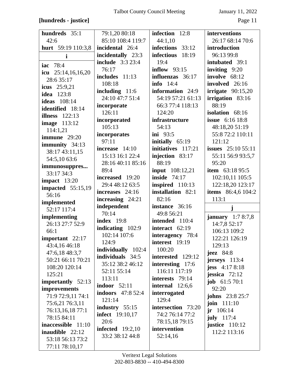## **[hundreds - justice]** Page 11

| hundreds 35:1                       | 79:1,20 80:18            | infection 12:8         | interventions                     |
|-------------------------------------|--------------------------|------------------------|-----------------------------------|
| 42:6                                | 85:10 108:4 119:7        | 44:1,10                | 26:17 68:14 70:6                  |
| <b>hurt</b> 59:19 110:3,8           | incidental 26:4          | infections 33:12       | introduction                      |
| $\mathbf i$                         | incidentally 23:3        | infectious 18:19       | 96:13 99:8                        |
| iac 78:4                            | <b>include</b> 3:3 23:4  | 19:4                   | intubated 39:1                    |
|                                     | 76:17                    | inflow $93:15$         | inviting $9:20$                   |
| icu $25:14,16,16,20$                | includes $11:13$         | influenzas 36:17       | involve 68:12                     |
| 28:6 35:17                          | 108:18                   | <b>info</b> 14:4       | involved 26:16                    |
| <b>icus</b> 25:9,21                 | including $11:6$         | information 24:9       | irrigate $90:15,20$               |
| <b>idea</b> 123:8                   | 24:10 47:7 51:4          | 54:19 57:21 61:13      | irrigation 83:16                  |
| <b>ideas</b> 108:14                 | incorporate              | 66:3 77:4 118:13       | 88:19                             |
| identified 18:14                    | 126:11                   | 124:20                 | isolation 68:16                   |
| illness $122:13$                    | incorporated             | infrastructure         | <b>issue</b> 6:16 18:8            |
| <b>image</b> 113:12                 | 105:13                   | 54:13                  | 48:18,20 51:19                    |
| 114:1,21                            | incorporates             | ini $93:5$             | 55:8 72:2 110:11                  |
| immune $29:20$                      | 97:11                    | initially 65:19        | 121:12                            |
| immunity 34:13                      | increase 14:10           | initiatives 117:21     | <b>issues</b> 25:10 55:11         |
| 38:17 43:11,15                      | 15:13 16:1 22:4          | injection 83:17        | 55:11 56:9 93:5,7                 |
| 54:5,10 63:6                        | 28:16 40:11 85:16        | 88:19                  | 95:20                             |
| immunosuppres                       | 89:4                     | <b>input</b> 108:12,21 | <b>item</b> $63:1895:5$           |
| 33:17 34:3                          | increased 19:20          | <b>inside</b> 74:17    | 102:10,11 105:5                   |
| impact 13:20                        | 29:4 48:12 63:5          | inspired 110:13        | 122:18,20 123:17                  |
| impacted $55:15,19$                 | increases 24:16          | installation 82:1      | <b>items</b> 86:4,6 104:2         |
| 56:16                               | increasing 24:21         | 82:16                  | 113:1                             |
| implemented                         | independent              | instance 36:16         |                                   |
| 52:17 117:4                         | 70:14                    | 49:8 56:21             | j                                 |
| implementing                        | <b>index</b> 19:8        | intended 110:4         | <b>january</b> $1:78:7,8$         |
| 26:13 27:7 52:9                     |                          |                        |                                   |
|                                     |                          |                        | 14:7,8 52:17                      |
| 66:1                                | indicating 102:9         | interact 62:19         | 106:13 109:2                      |
| important $22:17$                   | 102:14 107:6             | interagency 78:4       | 122:21 126:19                     |
| 43:4,16 46:18                       | 124:9                    | interest 19:19         | 129:13                            |
| 47:6,18 48:3,7                      | individually 102:4       | 100:20                 | jeez $84:8$                       |
| 50:21 66:11 70:21                   | <b>individuals</b> 34:5  | interested 129:12      | $j$ erseys $113:4$                |
| 108:20 120:14                       | 35:12 38:2 46:12         | interesting 17:6       | jess $4:178:18$                   |
| 125:21                              | 52:11 55:14              | 116:11 117:19          | jessica $72:12$                   |
|                                     | 113:11                   | interests 79:14        |                                   |
| importantly 52:13                   | indoor $52:11$           | internal $12:6,6$      | <b>job</b> $61:570:1$<br>92:20    |
| improvements                        | <b>indoors</b> 47:8 52:4 | interrogated           |                                   |
| 71:9 72:9,11 74:1                   | 121:14                   | 129:4                  | <b>johns</b> 23:8 25:7            |
| 75:6,21 76:3,11<br>76:13,16,18 77:1 | industry 55:15           | intersection 73:20     | <b>join</b> $111:10$<br>jr 106:14 |
| 78:15 84:11                         | <b>infect</b> 19:10,17   | 74:2 76:14 77:2        |                                   |
| inaccessible 11:10                  | 20:6                     | 78:15,18 79:15         | july $117:4$                      |
|                                     | <b>infected</b> 19:2,10  | intervention           | justice $110:12$                  |
| inaudible 22:12                     | 33:2 38:12 44:8          | 52:14,16               | 112:2 113:16                      |
| 53:18 56:13 73:2<br>77:11 78:10,17  |                          |                        |                                   |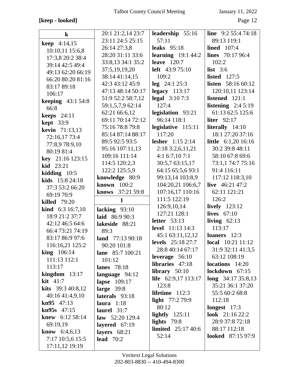## **[keep - looked]** Page 12

| $\bf k$                   | 20:1 21:2,14 23:7       | leadership 55:16           | <b>line</b> $9:2 55:4 74:18$ |
|---------------------------|-------------------------|----------------------------|------------------------------|
| <b>keep</b> 4:14,15       | 23:11 24:5 25:15        | 57:11                      | 89:13 119:1                  |
| 10:10,11 15:6,8           | 26:14 27:3,8            | leaks $95:18$              | <b>lined</b> 107:4           |
| 17:3,8 20:2 38:4          | 28:20 31:11 33:6        | learning $19:144:2$        | <b>lines</b> $70:1796:4$     |
| 39:14 42:5 49:4           | 33:8,13 34:1 35:2       | leave $120:7$              | 102:2                        |
| 49:13 62:20 66:19         | 37:5,19,19,20           | <b>left</b> $43:975:10$    | list $3:6$                   |
| 66:20 80:20 81:16         | 38:14 41:14,15          | 109:2                      | listed $127:5$               |
| 83:17 89:18               | 42:3 43:12 45:9         | $leg$ 24:1 25:3            | <b>listen</b> 58:16 60:12    |
| 106:17                    | 47:13 48:14 50:17       | $legacy$ 113:17            | 120:10,11 123:14             |
| <b>keeping</b> 43:1 54:8  | 51:9 52:2 58:7,12       | <b>legal</b> 3:10 7:3      | listened 121:1               |
| 66:8                      | 59:1,5,7,9 62:14        | 127:4                      | listening $2:45:19$          |
| keeps $24:11$             | 62:21 66:6,12           | legislation 93:21          | 61:13 62:5 125:6             |
| <b>kept</b> 33:9          | 69:11 70:14 72:12       | 96:14 118:1                | liter $92:17$                |
| <b>kevin</b> 71:13,13     | 75:16 78:8 79:8         | legislative 115:11         | literally $14:10$            |
| 72:16,17 73:4             | 85:14 87:14 88:17       | 117:20                     | 18:1 27:20 37:16             |
| 77:8,978:9,10             | 89:5 92:5 93:5          | <b>lesher</b> $1:152:14$   | little 6:1,20 16:16          |
| 80:19 81:4                | 95:16 107:11,13         | 2:18 3:2,6,11,21           | 30:2 39:8 48:11              |
| <b>key</b> $21:16$ 123:15 | 109:16 111:14           | 4:1 6:7,10 7:1             | 58:10 67:8 69:6              |
| <b>kid</b> $23:21$        | 114:5 120:2,3           | 30:5,7 63:15,17            | 73:1,1 74:7 75:16            |
| kidding $10:5$            | 122:2 125:5,9           | 64:15 65:5,6 93:1          | 91:4 116:11                  |
| kids 15:8 24:18           | knowledge 80:9          | 99:13,14 103:8,9           | 117:12 118:3,10              |
| 37:3 53:2 66:20           | known 100:2             | 104:20,21 106:6,7          | live 46:21 47:2              |
| 69:19 70:9                | <b>knows</b> 37:21 59:8 | 107:16,17 110:16           | 62:11 121:21                 |
| <b>killed</b> 79:20       | $\mathbf{l}$            | 111:5 122:19               | 126:2                        |
| <b>kind</b> $6:316:7,10$  | lacking $93:10$         | 126:9,10,14                | lively 123:12                |
| 18:9 21:2 37:7            | laid 86:9 90:3          | 127:21 128:1               | lives $67:10$                |
| 42:12 46:5 64:6           | lakeside 88:21          | letter $53:13$             | living $62:13$               |
| 66:4 73:21 74:19          | 89:3                    | <b>level</b> 11:13 14:3    | 113:17                       |
| 83:17 86:9 97:6           | land $77:1390:18$       | 45:1 63:11,12,12           | loaners 12:3                 |
| 116:16,21 125:2           | 90:20 101:8             | <b>levels</b> 25:18 27:7   | <b>local</b> $10:21$ $11:12$ |
| $\text{king}$ 106:14      | lane 85:7 100:21        | 28:8 40:14 67:17           | 31:9 32:11 41:3,5            |
| 111:13 112:1              | 101:12                  | leverage $56:10$           | 63:12 108:19                 |
| 113:17                    | <b>lanes</b> 78:18      | libraries $47:18$          | $locations$ 14:20            |
| $kingdom$ 13:17           | language 94:12          | library $50:10$            | lockdown 67:15               |
| kit $41:7$                | lapse 109:17            | <b>life</b> 62:9,17 113:17 | $long$ 34:17 35:8,13         |
| <b>kits</b> $39:340:8,12$ | large $39:8$            | 123:8                      | 35:21 36:1 37:20             |
| 40:1641:4,9,10            | laterals 93:18          | lifetime $112:3$           | 55:5 60:2 68:8               |
| $kn95$ 47:13              | laura $1:18$            | light 77:2 79:9            | 112:18                       |
| $kn95s$ 47:15             | laurel $31:7$           | 80:12                      | longest $17:3$               |
| <b>knew</b> $6:1258:14$   | law $52:20129:4$        | lightly $125:11$           | <b>look</b> $21:1622:2$      |
| 69:19,19                  | layered $67:19$         | lights $79:8$              | 28:9 37:8 72:18              |
| <b>know</b> $6:4,6,13$    | layers $68:21$          | <b>limited</b> 25:17 40:6  | 88:17 112:18                 |
| 7:17 10:5,6 15:5          | lead $70:2$             | 52:14                      | <b>looked</b> 87:15 97:9     |
| 17:11,12 19:19            |                         |                            |                              |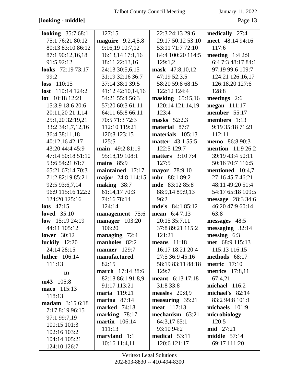## **[looking - middle]** Page 13

| <b>looking</b> 35:7 68:1 | 127:15                     | 22:3 24:13 29:6         | medically 27:4            |
|--------------------------|----------------------------|-------------------------|---------------------------|
| 75:1 76:21 80:12         | <b>maguire</b> $9:2,4,5,8$ | 29:17 50:12 53:10       | meet 48:14 94:16          |
| 80:13 83:10 86:12        | 9:16,19 10:7,12            | 53:11 71:7 72:10        | 117:6                     |
| 87:1 90:12,16,18         | 16:13,14 17:1,16           | 84:4 100:20 114:5       | meeting $1:42:9$          |
| 91:5 92:12               | 18:11 22:13,16             | 129:1,2                 | 6:4 7:3 48:17 84:1        |
| <b>looks</b> 72:19 73:17 | 24:13 30:5,6,15            | mask 47:8,10,12         | 97:19 99:6 109:7          |
| 99:2                     | 31:19 32:16 36:7           | 47:19 52:3,5            | 124:21 126:16,17          |
| $loss$ 110:15            | 37:14 38:1 39:5            | 58:20 59:8 68:15        | 126:18,20 127:6           |
| lost $110:14$ 124:2      | 41:12 42:10,14,16          | 122:12 124:4            | 128:8                     |
| <b>lot</b> 10:18 12:21   | 54:21 55:4 56:3            | masking $65:15,16$      | meetings 2:6              |
| 15:3,9 18:6 20:6         | 57:20 60:3 61:11           | 120:14 121:14,19        | <b>megan</b> 111:17       |
| 20:11,20 21:1,14         | 64:11 65:8 66:11           | 123:4                   | member 55:17              |
| 25:1,20 32:19,21         | 70:5 71:3 72:3             | masks $52:2,3$          | members 1:13              |
| 33:2 34:1,7,12,16        | 112:10 119:21              | material 87:7           | 9:19 35:18 71:21          |
| 36:4 38:11,18            | 120:8 123:15               | materials $105:13$      | 112:11                    |
| 40:12,16 42:17           | 125:5                      | <b>matter</b> 43:1 55:5 | <b>memo</b> 86:8 90:3     |
| 43:20 44:4 45:9          | main 49:2 81:19            | 122:5 129:7             | <b>mention</b> $11:926:2$ |
| 47:14 50:18 51:10        | 95:18,19 108:1             | <b>matters</b> 3:10 7:4 | 39:19 43:4 50:11          |
| 53:6 54:21 61:7          | mains $85:9$               | 127:5                   | 50:16 70:7 116:5          |
| 65:21 67:14 70:3         | maintained 17:17           | mayor 78:9,10           | mentioned 10:4,7          |
| 71:2 82:19 85:21         | major 24:8 114:15          | <b>mbr</b> 88:1 89:2    | 27:16 45:7 46:21          |
| 92:5 93:6,7,14           | making 38:7                | mde 83:12 85:8          | 48:11 49:20 51:4          |
| 96:9 115:16 122:2        | 61:14,17 70:3              | 88:9,14 89:9,13         | 54:17 65:18 109:5         |
| 124:20 125:16            | 74:16 78:14                | 96:2                    | message 28:3 34:6         |
| lots $47:15$             | 124:14                     | <b>mde's</b> 84:1 85:12 | 46:20 47:9 60:14          |
| loved $35:10$            | management 75:6            | <b>mean</b> $6:47:13$   | 63:8                      |
| low 15:19 24:19          | manager 103:20             | 20:15 35:7,11           | messages 48:5             |
| 44:11 105:12             | 106:20                     | 37:8 89:21 115:2        | $messageing 32:14$        |
| lower $30:12$            | managing 72:4              | 121:21                  | $\text{messing}$ 6:3      |
| luckily $12:20$          | manholes 82:2              | means $11:18$           | met 68:9 115:13           |
| 24:14 28:15              | manner $129:7$             | 16:17 18:21 20:4        | 115:13 116:15             |
| <b>luther</b> 106:14     | manufactured               | 27:5 36:9 45:16         | methods 68:17             |
| 111:13                   | 82:15                      | 58:19 83:11 88:18       | <b>metric</b> 17:10       |
| $\mathbf{m}$             | <b>march</b> 17:14 38:6    | 129:7                   | <b>metrics</b> 17:8,11    |
| m43 105:8                | 82:18 86:1 91:8,9          | meant 6:13 17:18        | 67:4,21                   |
| maco 115:13              | 91:17 113:21               | 31:8 33:8               | michael $116:2$           |
| 118:13                   | <b>maria</b> 119:21        | measles $20:8,9$        | michael's 82:14           |
| madam 3:15 6:18          | marina $87:14$             | measuring 35:21         | 83:2 94:8 101:1           |
| 7:17 8:19 96:15          | marked 74:18               | <b>meat</b> 117:13      | michaels $101:9$          |
| 97:1 99:7,19             | marking 78:17              | mechanism 63:21         | microbiology              |
| 100:15 101:3             | <b>martin</b> 106:14       | 64:3,17 65:1            | 120:5                     |
| 102:16 103:2             | 111:13                     | 93:10 94:2              | <b>mid</b> 27:21          |
| 104:14 105:21            | $maryland 1:1$             | medical 53:11           | middle $57:14$            |
| 124:10 126:7             | 10:16 11:4,11              | 120:6 121:17            | 69:17 111:20              |
|                          |                            |                         |                           |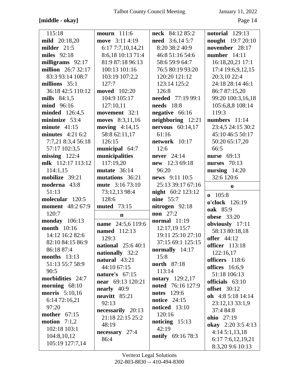# **[middle - okay]** Page 14

| 115:18                  | mourn 111:6               | neck 84:12 85:2          | notorial 129:13                       |
|-------------------------|---------------------------|--------------------------|---------------------------------------|
| <b>mild</b> 20:18,20    | move 3:11 4:19            | <b>need</b> $3:6,145:7$  | <b>nought</b> 19:7 20:10              |
| milder 21:5             | 6:17 7:7,10,14,21         | 8:20 38:2 40:9           | november 28:17                        |
| miles 92:18             | 8:6,18 10:13 71:4         | 46:8 51:16 54:6          | number $14:11$                        |
| milligrams 92:17        | 81:9 87:18 96:13          | 58:6 59:9 64:7           | 16:18,20,21 17:1                      |
| million 26:7 32:17      | 100:13 101:16             | 76:5 80:19 93:20         | 17:4 19:6,9,12,15                     |
| 83:3 93:14 108:7        | 103:19 107:2,2            | 120:20 121:12            | 20:3,10 22:4                          |
| millions 35:1           | 127:7                     | 123:14 125:2             | 24:18 28:14 46:1                      |
| 36:18 42:5 110:12       | <b>moved</b> 102:20       | 126:8                    | 86:7 87:15,20                         |
| mills $84:1,5$          | 104:9 105:17              | <b>needed</b> 77:19 99:1 | 99:20 100:3,16,18                     |
| mind 96:16              | 127:10,11                 | <b>needs</b> 18:8        | 105:6,8,8 108:14                      |
| <b>minded</b> 126:4,5   | movement 32:1             | negative 66:16           | 119:3                                 |
| minimize 53:4           | moves 8:3,11,16           | neighboring 12:21        | numbers 11:14                         |
| minute $41:15$          | moving $4:14,15$          | nervous $60:14,17$       | 23:4,5 24:15 30:2                     |
| minutes $4:21$ 6:2      | 58:8 62:11,17             | 61:16                    | 45:10 46:5 50:17                      |
| 7:7,21 8:3,4 56:18      | 126:15                    | network 10:17            | 50:20 65:17,20                        |
| 57:17 102:3,5           | municipal 64:7            | 12:6                     | 66:5                                  |
| $missing$ 122:4         | municipalities            | never $24:14$            | nurse 69:13                           |
| mlk 112:17 113:12       | 117:19,20                 | new 12:3 69:18           | <b>nurses</b> 70:13                   |
| 114:1,15                | mutate $36:14$            | 96:20                    | nursing $14:20$                       |
| mobilize 39:21          | mutations 36:21           | news 9:11 10:5           | 32:6 120:6                            |
| moderna 43:8            | mute 3:16 73:10           | 25:13 39:17 67:16        | $\bf{0}$                              |
|                         |                           |                          |                                       |
| 51:13                   | 73:12,13 98:4             | <b>night</b> 60:2 123:12 |                                       |
| molecular 120:5         | 128:6                     | <b>nine</b> 55:7         | $0$ 105:8                             |
| <b>moment</b> 48:2 67:9 | <b>muted</b> 73:15        | nitrogen 92:18           | o'clock 126:19                        |
| 120:7                   | $\mathbf n$               | <b>non</b> 27:2          | <b>oak</b> 85:9                       |
| <b>monday</b> 106:13    |                           | normal $11:19$           | <b>obese</b> 33:20                    |
| <b>month</b> 10:16      | 24:5,6 119:6<br>name      | 12:17,19 15:7            | obviously 17:11                       |
| 14:12 16:2 82:6         | named 112:13              | 19:11 25:10 27:10        | 58:13 80:18,18                        |
| 82:10 84:15 86:9        | 129:3                     | 37:15 69:1 125:15        | <b>offer</b> 44:12                    |
| 86:18 87:4              | <b>national</b> 25:6 40:1 | normally 14:17           | <b>officer</b> 113:18                 |
| months $13:13$          | nationally 32:2           | 15:8                     | 122:16,17                             |
| 51:13 55:7 58:9         | natural 43:21             | <b>north</b> 87:18       | officers 118:6                        |
| 90:5                    | 44:10 67:15               | 113:14                   | <b>offices</b> 16:6,9                 |
| morbidities 24:7        | nature's $67:15$          | <b>notary</b> 129:2,17   | 51:18 106:13                          |
| morning 68:10           | <b>near</b> 69:13 120:21  | noted 76:16 127:9        | officials 63:10                       |
| <b>morris</b> 5:10,16   | nearly 40:9               | <b>notes</b> 129:6       | <b>offset</b> 30:12                   |
| 6:14 72:16,21           | neavitt 85:21             | notice $24:15$           | oh $4:85:1814:14$                     |
| 97:20                   | 92:13                     | <b>noticed</b> 13:10     | 23:12,13 33:1,9                       |
| <b>mother</b> 67:15     | necessarily 20:13         | 120:16                   | 37:4 84:8                             |
| motion $7:1,2$          | 21:18 22:15 25:2          | noticing $15:13$         | ohio 27:19                            |
| 102:18 103:1            | 48:19                     | 42:19                    | okay 2:20 3:5 4:13                    |
| 104:8,10,12             | $necessary$ 27:4          | <b>notify</b> 69:16 78:3 | 4:145:1,13,18                         |
| 105:19 127:7,14         | 86:4                      |                          | 6:17 7:6,12,19,21<br>8:3,20 9:6 10:13 |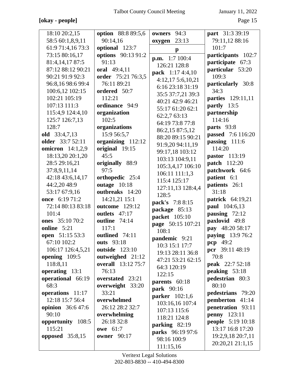## **[okay - people]** Page 15

| 18:10 20:2,15            | option 88:8 89:5,6        | 94:3<br>owners                       | <b>part</b> 31:3 39:19   |
|--------------------------|---------------------------|--------------------------------------|--------------------------|
| 58:5 60:1,8,9,11         | 90:14,16                  | 23:13<br>oxygen                      | 79:11,12 88:16           |
| 61:9 71:4,16 73:3        | optional 123:7            |                                      | 101:7                    |
| 73:15 80:16,17           | options 90:13 91:2        | $\mathbf{p}$                         | participants 102:7       |
| 81:4,14,17 87:5          | 91:13                     | p.m. 1:7 100:4                       | participate 67:3         |
| 87:12 88:12 90:21        | oral 49:4,11              | 126:21 128:8                         | particular 53:20         |
| 90:21 91:9 92:3          | order 75:21 76:3,5        | pack 1:17 4:4,10                     | 109:3                    |
| 96:8,16 98:6 99:4        | 76:11 89:21               | 4:12,175:6,10,21<br>6:16 23:18 31:19 | particularly 30:8        |
| 100:6,12 102:15          | ordered 50:7              | 35:5 37:7,21 39:3                    | 34:3                     |
| 102:21 105:19            | 112:21                    | 40:21 42:9 46:21                     | parties 129:11,11        |
| 107:13 111:3             | ordinance 94:9            | 55:17 61:20 62:1                     | partly 13:5              |
| 115:4,9 124:4,10         | organization              | 62:2,7 63:13                         | partnership              |
| 125:7 126:7,13           | 102:5                     | 64:19 73:8 77:8                      | 114:16                   |
| 128:7                    | organizations             | 86:2,15 87:5,12                      | parts 93:8               |
| old 33:4,7,13            | 15:9 56:5,7               | 88:20 89:15 90:21                    | <b>passed</b> 7:6 116:20 |
| older 33:7 52:11         | organizing 112:12         | 91:9,20 94:11,19                     | passing 111:6            |
| omicron $14:1,2,9$       | original 19:15            | 99:17,18 103:12                      | 114:20                   |
| 18:13,20 20:1,20         | 45:5                      | 103:13 104:9,11                      | <b>pastor</b> 113:19     |
| 28:5 29:16,21            | originally 88:9           | 105:3,4,17 106:10                    | <b>patch</b> 112:20      |
| 37:8,9,11,14             | 97:5                      | 106:11 111:1,3                       | patchwork 64:6           |
| 42:18 43:6,14,17         | orthopedic 25:4           | 115:4 125:17                         | patient 6:1              |
| 44:2,20 48:9             | outage 10:18              | 127:11,13 128:4,4                    | patients 26:1            |
| 53:17 67:9,16            | outbreaks 14:20           | 128:5                                | 31:18                    |
| once 6:19 71:2           | 14:21,21 15:1             | pack's 7:8 8:15                      | <b>patrick</b> 64:19,21  |
| 72:14 80:13 83:18        | outcome 129:12            | package 85:13                        | paul 104:6,13            |
| 101:4                    | outlets 47:17             | packet 105:10                        | pausing $72:12$          |
| ones 35:10 70:2          | outline 74:14             | page 50:15 107:21                    | paxlovid 49:8            |
| online 5:21              | 117:1                     | 108:1                                | pay 48:20 58:17          |
| open 51:15 53:3          | outlined 74:11            | pandemic 9:21                        | paying 13:9 76:2         |
| 67:10 102:2              | outs 93:18                | 10:3 15:1 17:7                       | pcp $49:2$               |
| 106:17 126:4,5,21        | <b>outside</b> 123:10     | 19:13 28:11 36:8                     | pcr 39:11 48:19          |
| opening 109:5            | outweighed 21:12          | 47:21 53:21 62:15                    | 70:8                     |
| 118:8,11                 | <b>overall</b> 13:12 75:7 | 64:3 120:19                          | <b>peak</b> 22:7 52:18   |
| operating 13:1           | 76:13                     | 122:15                               | peaking $53:18$          |
| operational 66:19        | overstated 23:21          | parents 60:18                        | pedestrian 80:3          |
| 68:3                     | overweight 33:20          | park 90:16                           | 80:10                    |
| operations 11:17         | 33:21                     | <b>parker</b> 102:1,6                | pedestrians 79:20        |
| 12:18 15:7 56:4          | overwhelmed               | 103:16,16 107:4                      | pemberton 41:14          |
| <b>opinion</b> 36:6 47:6 | 26:12 28:2 32:7           | 107:13 115:6                         | penetration 93:11        |
| 90:10                    | overwhelming              | 118:21 124:8                         | <b>penny</b> 123:11      |
| opportunity 108:5        | 26:18 32:8                | parking 82:19                        | <b>people</b> 5:19 10:18 |
| 115:21                   | <b>owe</b> 61:7           | parks 96:19 97:6                     | 13:17 16:8 17:20         |
| opposed $35:8,15$        | <b>owner</b> 90:17        | 98:16 100:9                          | 19:2,9,18 20:7,11        |
|                          |                           | 111:15,16                            | 20:20,21 21:1,15         |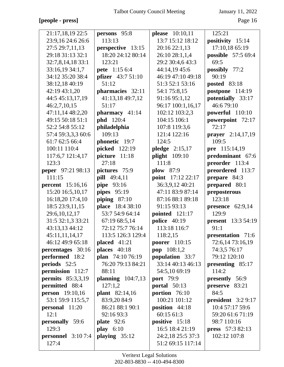## **[people - press]** Page 16

| 21:17,18,19 22:5           | persons 95:8          | please 10:10,11      | 125:21                    |
|----------------------------|-----------------------|----------------------|---------------------------|
| 23:9,16 24:6 26:6          | 113:13                | 13:7 15:12 18:12     | positivity 15:14          |
| 27:5 29:7,11,13            | perspective 13:15     | 20:16 22:1,13        | 17:10,18 65:19            |
| 29:18 31:13 32:1           | 18:20 24:12 80:14     | 26:10 28:1,1,4       | possible 57:5 69:4        |
| 32:7,8,14,18 33:1          | 123:21                | 29:2 30:4,6 43:3     | 69:5                      |
| 33:16,19 34:1,7            | pete 1:15 6:4         | 44:14,19 45:6        | possibly 77:2             |
| 34:12 35:20 38:4           | pfizer 43:7 51:10     | 46:19 47:10 49:18    | 90:19                     |
| 38:12,18 40:19             | 51:12                 | 51:3 52:1 53:16      | posted 83:18              |
| 42:19 43:1,20              | pharmacies 32:11      | 54:1 75:8,15         | postpone 114:19           |
| 44:5 45:13,17,19           | 41:13,18 49:7,12      | 91:16 95:1,12        | potentially 33:17         |
| 46:2,7,10,15               | 51:17                 | 96:17 100:1,16,17    | 46:679:10                 |
| 47:11,14 48:2,20           | pharmacy 41:14        | 102:12 103:2,3       | powerful 110:10           |
| 49:15 50:18 51:1           | <b>phd</b> 120:4      | 104:15 106:1         | powerpoint 72:17          |
| 52:2 54:8 55:12            | philadelphia          | 107:8 119:3,6        | 72:17                     |
| 57:4 59:3,3,3 60:6         | 109:13                | 121:4 122:16         | prayer 2:14,17,19         |
| 61:7 62:5 66:4             | phonetic 19:7         | 124:5                | 109:5                     |
| 100:11 110:4               | picked 122:19         | pledge $2:15,17$     | pre 115:14,19             |
| 117:6,7 121:4,17           | picture 11:18         | <b>plight</b> 109:10 | predominant 67:6          |
| 123:3                      | 27:18                 | 111:8                | preorder 113:4            |
| peper 97:21 98:13          | pictures 75:9         | <b>plow</b> 87:9     | preordered 113:7          |
| 111:15                     | pill 49:4,11          | point 17:12 22:17    | prepare 84:3              |
| <b>percent</b> 15:16,16    | pipe 93:16            | 36:3,9,12 40:21      | prepared 80:1             |
| 15:20 16:5,10,17           | pipes 95:19           | 47:11 83:9 87:14     | preposterous              |
| 16:18,20 17:4,10           | piping $87:10$        | 87:16 88:1 89:18     | 123:18                    |
| 18:5 23:9,11,15            | place 18:4 38:10      | 91:15 93:13          | presence $62:9,14$        |
| 29:6,10,12,17              | 53:7 54:9 64:14       | pointed $121:17$     | 129:9                     |
| 31:5 32:1,3 33:21          | 67:19 68:5,14         | <b>police</b> 40:19  | <b>present</b> 13:3 54:19 |
| 43:13,13 44:12             | 72:12 75:7 76:14      | 113:18 116:7         | 91:1                      |
| 45:11,11,14,17             | 113:5 126:3 129:4     | 118:2,15             | presentation 71:6         |
| 46:12 49:9 65:18           | placed 41:21          | <b>poorer</b> 110:15 | 72:6,14 73:16,19          |
| percentages 30:16          | places $40:18$        | <b>pop</b> $108:1,2$ | 74:3,5 76:17              |
| performed 18:2             | plan 74:10 76:19      | population 33:7      | 79:12 120:10              |
| periods 52:5               | 76:20 79:13 84:21     | 33:14 40:13 46:13    | presenting 85:17          |
| permission 112:7           | 88:11                 | 54:5,10 69:19        | 114:2                     |
| <b>permits</b> 85:3,3,19   | planning $104:7,13$   | <b>port</b> 79:9     | presently 56:9            |
| permitted 88:4             | 127:1,2               | portal $50:13$       | preserve 83:21            |
| <b>person</b> 19:10,16     | <b>plant</b> 82:14,16 | portion 76:10        | 84:5                      |
| 53:1 59:9 115:5,7          | 83:9,20 84:9          | 100:21 101:12        | president $3:29:17$       |
| <b>personal</b> 11:20      | 86:21 88:1 90:1       | position $44:18$     | 10:4 57:17 59:6           |
| 12:1                       | 92:16 93:3            | 60:15 61:3           | 59:20 61:6 71:19          |
| personally 59:6            | plate $92:6$          | positive 15:18       | 98:7 110:16               |
| 129:3                      | play $6:10$           | 16:5 18:4 21:19      | press 57:3 82:13          |
| <b>personnel</b> $3:107:4$ | playing $35:12$       | 24:2,18 25:5 37:3    | 102:12 107:8              |
| 127:4                      |                       | 51:2 69:15 117:14    |                           |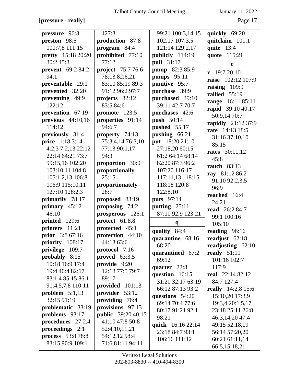## **[pressure - really]** Page 17

| pressure 96:3                     | 127:3                            | 99:21 100:3,14,15 | quickly 69:20         |
|-----------------------------------|----------------------------------|-------------------|-----------------------|
| preston 98:5                      | production 87:8                  | 102:17 107:3,5    | quitclaim 101:1       |
| 100:7,8 111:15                    | program 84:4                     | 121:14 129:2,17   | quite 13:4            |
| <b>pretty</b> 15:18 20:20         | prohibited 77:10                 | publicly 114:19   | quote 115:21          |
| 30:245:8                          | 77:12                            | <b>pull</b> 31:17 | r                     |
| prevent 69:2 84:2                 | project 75:7 76:6                | pump 82:3 85:9    | $r$ 19:7 20:10        |
| 94:1                              | 78:13 82:6,21                    | pumps 95:11       | raise 102:12 107:9    |
| preventable 29:1                  | 83:10 85:19 89:3                 | punitive 95:7     | raising $109:9$       |
| prevented 32:20                   | 91:12 96:2 97:7                  | purchase 39:9     | rallied 55:19         |
| preventing 49:9                   | projects 82:12                   | purchased 39:10   | range 16:11 85:11     |
| 122:12                            | 83:5 84:6                        | 39:11 42:7 70:7   | rapid 39:10 40:17     |
| prevention 67:19                  | promote 123:5                    | purchases 42:6    | 50:9,14 70:7          |
| previous $44:10,16$               | properties 91:14                 | <b>push</b> 50:14 | rapidly 21:12 37:9    |
| 114:12                            | 94:6,7                           | pushed 55:17      | rate 14:13 18:5       |
| previously 31:4                   | property 74:13                   | pushing $66:21$   | 31:16 37:10,10        |
| <b>price</b> 1:18 3:14            | 75:3,4,14 76:3,10                | put 18:20 21:10   | 85:15                 |
| 4:2,3 7:2,13 22:12                | 77:13 90:1,17                    | 27:18,20 60:15    | <b>rates</b> 30:11,12 |
| 22:14 64:21 73:7                  | 94:3                             | 61:2 64:14 68:14  | 45:8                  |
| 99:15,16 102:20                   | proportion 30:9                  | 82:20 87:3 96:2   | <b>rauch</b> 83:13    |
| 103:10,11 104:8                   | proportionally                   | 107:20 116:17     | ray 81:12 86:2        |
| 105:1,2,13 106:8                  | 25:15                            | 117:11,13 118:15  | 91:10 92:2,3,5        |
| 106:9 115:10,11                   | proportionately                  | 118:18 120:8      | 96:9                  |
| 127:10 128:2,3                    | 28:7                             | 122:8,10          | reached 16:4          |
| primarily 78:17                   | proposed 83:19                   | <b>puts</b> 97:14 | 24:21                 |
| primary $45:12$                   | proposing 74:2                   | putting 25:11     | <b>read</b> 26:2 84:7 |
| 46:10                             | prosperous 126:1                 | 87:10 92:9 123:21 | 99:1 100:16           |
| printed 129:6                     | protect 61:8,8<br>protected 45:1 | $\mathbf{q}$      | 105:10                |
| printers 11:21<br>prior 3:8 67:16 | protection 44:10                 | quality 84:4      | reading 96:16         |
| priority 108:17                   | 44:13 63:6                       | quarantine 68:16  | readjust 62:18        |
| privilege<br>109:7                | protocol 7:16                    | 68:20             | readjusting 62:10     |
| probably $8:15$                   | proved $63:3,5$                  | quarantined 67:2  | ready $51:11$         |
| 10:18 16:9 17:4                   | provide 9:20                     | 69:12             | 101:16 102:7          |
| 19:4 40:4 82:17                   | 12:18 77:5 79:7                  | quarter 22:8      | 117:9                 |
| 83:1,4 85:15 86:1                 | 89:17                            | question 16:15    | real $22:1482:12$     |
| 91:4,5,7,8 110:11                 | provided 101:13                  | 31:20 32:17 63:19 | 84:7 127:4            |
| problem $5:1,13$                  | provider 53:12                   | 66:12 87:13 93:2  | really 14:2,8 15:6    |
| 32:15 91:19                       | providing 76:4                   | questions 54:20   | 15:10,20 17:3,9       |
| problematic 33:19                 | provisions 97:13                 | 69:14 70:4 77:6   | 19:3,4 20:1,5,17      |
| problems 93:17                    | <b>public</b> 39:20 40:15        | 80:17 91:21 92:1  | 23:18 25:11 26:8      |
| procedures 27:2,4                 | 41:10 47:8 50:8                  | 98:21             | 46:3,14,20 47:4       |
| proceedings 2:1                   | 52:4, 10, 11, 21                 | quick 16:16 22:14 | 49:15 52:18,19        |
| process 53:8 78:8                 | 54:12,12 58:4                    | 23:18 84:7 93:1   | 56:14 57:20,20        |
| 83:15 90:9 109:1                  |                                  | 106:16 111:12     | 60:21 61:11,14        |
|                                   | 71:6 81:11 94:11                 |                   | 66:5,15,18,21         |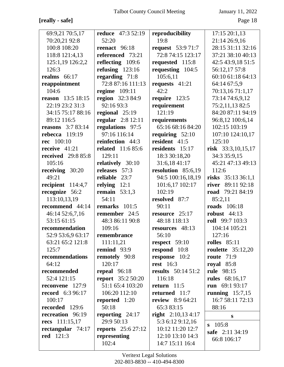## **[really - safe]** Page 18

| 69:9,21 70:5,17           | <b>reduce</b> 47:3 52:19   | reproducibility           | $17:15\,20:1,13$         |
|---------------------------|----------------------------|---------------------------|--------------------------|
| 70:20,21 92:8             | 52:20                      | 19:8                      | 21:14 26:9,16            |
| 100:8 108:20              | reenact 96:18              | <b>request</b> 53:9 71:7  | 28:15 31:11 32:16        |
| 118:8 121:4,13            | referenced 73:21           | 72:8 74:15 123:17         | 37:21 38:10 40:13        |
| 125:1,19 126:2,2          | reflecting 109:6           | requested 115:8           | 42:5 43:9,18 51:5        |
| 126:3                     | refusing $123:16$          | requesting $104:5$        | 56:12,17 57:8            |
| realms $66:17$            | regarding 71:8             | 105:6,11                  | 60:10 61:18 64:13        |
| reappointment             | 72:8 87:16 111:13          | requests 41:21            | 64:14 67:5,9             |
| 104:6                     | regime 109:11              | 42:2                      | 70:13,16 71:1,17         |
| <b>reason</b> 13:5 18:15  | region 32:3 84:9           | require 123:5             | 73:14 74:6,9,12          |
| 22:19 23:2 31:3           | 92:16 93:3                 | requirement               | 75:2,11,13 82:5          |
| 34:15 75:17 88:16         | regional 25:19             | 121:19                    | 84:20 87:11 94:19        |
| 89:12 116:5               | <b>regular</b> 2:8 12:11   | requirements              | 96:8,12 100:6,14         |
| <b>reasons</b> 3:7 83:14  | regulations 97:5           | 65:16 68:16 84:20         | 102:15 103:19            |
| rebecca $119:19$          | 97:16 116:14               | requiring $52:10$         | 107:10 124:10,17         |
| <b>rec</b> 100:10         | reinfection 44:3           | resident 41:5             | 125:10                   |
| receive 41:21             | <b>related</b> 11:6 85:6   | residents 15:17           | risk 33:3,10,15,17       |
| <b>received</b> 29:8 85:8 | 129:11                     | 18:3 30:18,20             | 34:3 35:9,15             |
| 105:16                    | relatively 30:10           | 31:6,18 41:17             | 45:21 47:13 49:13        |
| receiving $30:20$         | releases 57:3              | resolution 85:6,19        | 112:6                    |
| 49:21                     | reliable 23:7              | 94:5 100:16,18,19         | risks 35:13 36:1,1       |
| recipient 114:4,7         | relying $12:1$             | 101:6,17 102:17           | river 89:11 92:18        |
| recognize 56:2            | remain $53:1,3$            | 102:19                    | road 79:21 84:19         |
| 113:10,13,19              | 54:11                      | resolved 87:7             | 85:2,11                  |
| recommend 44:14           | remarks $101:5$            | 90:11                     | <b>roads</b> 106:18      |
| 46:14 52:6,7,16           | remember 24:5              | resource 25:17            | robust $44:13$           |
| 53:15 61:15               | 48:3 86:11 90:8            | 48:18 118:13              | roll 99:7 103:3          |
| recommendation            | 109:16                     | resources 48:13           | 104:14 105:21            |
| 52:9 53:6,9 63:17         | remembrance                | 56:10                     | 127:16                   |
| 63:21 65:2 121:8          | 111:11,21                  | respect $59:10$           | rolles $85:11$           |
| 125:7                     | remind 93:9                | respond 10:8              | <b>roulette</b> 35:12,20 |
| recommendations           | remotely 90:8              | response 10:2             | route $71:9$             |
| 64:12                     | 120:17                     | <b>rest</b> 16:3          | royal $85:8$             |
| recommended               | repeal $96:18$             | <b>results</b> 50:14 51:2 | rule 98:15               |
| 52:4 121:15               | <b>report</b> 35:2 50:20   | 116:18                    | <b>rules</b> 68:16,17    |
| reconvene 127:9           | 51:1 65:4 103:20           | return $11:5$             | run $69:193:17$          |
| <b>record</b> 6:3 96:17   | 106:20 112:10              | returned 11:7             | running $15:7,15$        |
| 100:17                    | reported 1:20              | <b>review</b> 8:9 64:21   | 16:7 58:11 72:13         |
| recorded 129:6            | 50:18                      | 65:3 83:15                | 88:16                    |
| recreation 96:19          | reporting $24:17$          | right $2:10,134:17$       | S                        |
| recs $111:15,17$          | 29:9 50:13                 | 5:3 6:12 9:12,16          | 105:8<br>$\bf{s}$        |
| rectangular 74:17         | <b>reports</b> $25:627:12$ | 10:12 11:20 12:7          | safe 2:11 34:19          |
| <b>red</b> 121:3          | representing               | 12:10 13:10 14:3          | 66:8 106:17              |
|                           | 102:4                      | 14:7 15:11 16:4           |                          |
|                           |                            |                           |                          |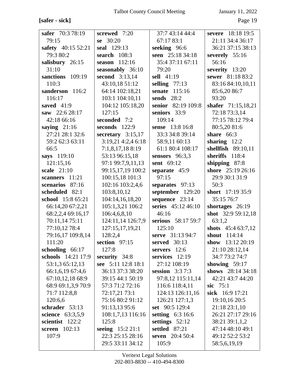**[safer - sick]** Page 19

| safer 70:3 78:19                | screwed 7:20          | 37:7 43:14 44:4    | severe 18:18 19:5   |
|---------------------------------|-----------------------|--------------------|---------------------|
| 79:15                           | se 30:20              | 67:17 83:1         | 21:11 34:4 36:17    |
| safety 40:15 52:21<br>79:3 80:2 | seal 129:13           | seeking 96:6       | 36:21 37:15 38:13   |
|                                 | search $108:3$        | seen 25:18 34:18   | severely 55:16      |
| salisbury 26:15                 | season $112:16$       | 35:4 37:11 67:11   | 56:16               |
| 31:10                           | seasonably 36:10      | 79:20              | severity 13:20      |
| sanctions 109:19                | <b>second</b> 3:13,14 | sell 41:19         | sewer 81:18 83:2    |
| 110:3                           | 43:10,18 51:12        | selling $77:13$    | 83:16 84:10,10,11   |
| sanderson 116:2                 | 64:14 102:18,21       | senate 115:16      | 85:6,20 86:7        |
| 116:17                          | 103:1 104:10,11       | sends $28:2$       | 93:20               |
| saved $41:9$                    | 104:12 105:18,20      | senior 82:19 109:8 | shafer 71:15,18,21  |
| saw 22:6 28:17                  | 127:15                | seniors 33:9       | 72:18 73:3,14       |
| 42:18 66:16                     | seconded 7:2          | 109:14             | 77:15 78:12 79:4    |
| saying $21:16$                  | seconds 122:9         | sense 13:8 16:8    | 80:5,20 81:6        |
| 27:21 28:1 32:6                 | secretary $3:15,17$   | 33:3 34:8 39:14    | share $66:3$        |
| 59:2 62:3 63:11                 | 3:19,214:2,46:18      | 58:9,11 60:13      | sharing $12:2$      |
| 66:5                            | 7:1,8,17,18 8:19      | 61:1 80:4 108:17   | shellfish 89:10,11  |
| says 119:10                     | 53:13 96:15,18        | sensors $96:3,3$   | sheriffs 118:4      |
| 121:15,16                       | 97:1 99:7,9,11,13     | sent 69:12         | shipping $87:8$     |
| scale 21:10                     | 99:15,17,19 100:2     | separate $45:9$    | shore 25:19 26:16   |
| scanners 11:21                  | 100:15,18 101:3       | 97:15              | 29:9 30:1 31:9      |
| scenarios 87:16                 | 102:16 103:2,4,6      | separates 97:13    | 50:3                |
| scheduled 82:1                  | 103:8,10,12           | september 129:20   | short 17:19 35:9    |
| school 15:8 65:21               | 104:14,16,18,20       | sequence 23:14     | 35:15 76:7          |
| 66:14,20 67:2,21                | 105:1,3,21 106:2      | series 45:12 46:10 | shortages 26:19     |
| 68:2,2,4 69:16,17               | 106:4,6,8,10          | 46:16              | shot 32:9 59:12,18  |
| 70:11,14 75:11                  | 124:11,14 126:7,9     | serious 58:17 59:7 | 63:1,2              |
| 77:10,12 78:4                   | 127:15,17,19,21       | 125:10             | shots $45:463:7,12$ |
| 79:16,17 109:8,14               | 128:2,4               | serve 31:13 94:7   | <b>shout</b> 114:14 |
| 111:20                          | section $97:15$       | served $30:13$     | show 13:12 20:19    |
| schooling 66:17                 | 127:8                 | servers $12:6$     | 21:10 28:12,14      |
| schools 14:21 17:9              | security 34:8         | services $12:19$   | 34:7 73:2 74:7      |
| 53:1,3 65:12,13                 | see 5:11 12:8 18:1    | 27:12 108:19       | showing $59:17$     |
| 66:1,6,19 67:4,6                | 36:13 37:3 38:20      | session $3:37:3$   | shows 28:14 34:18   |
| 67:10,12,18 68:9                | 39:15 44:1 50:19      | 97:8,12 115:11,14  | 42:21 43:7 44:20    |
| 68:9 69:1,3,9 70:9              | 57:3 71:2 72:16       | 116:6 118:4,11     | sic $75:1$          |
| 71:7 112:8,8                    | 72:17,21 73:1         | 124:13 126:11,16   | sick 16:9 17:21     |
| 120:6,6                         | 75:16 80:2 91:12      | 126:21 127:1,3     | 19:10,16 20:5       |
| schrader 53:13                  | 91:13,13 95:6         | set 90:5 129:4     | 21:18 23:1,10       |
| science 63:3,5,9                | 108:1,7,13 116:16     | setting 6:3 16:6   | 26:21 27:17 29:16   |
| scientist 122:2                 | 125:8                 | settings $52:12$   | 38:21 39:1,1,2      |
| screen 102:13                   | seeing $15:221:1$     | settled 87:21      | 47:14 48:10 49:1    |
| 107:9                           | 22:3 25:15 28:16      | seven 20:4 50:4    | 49:12 52:2 53:2     |
|                                 | 29:5 33:11 34:12      | 105:9              | 58:5,6,19,19        |
|                                 |                       |                    |                     |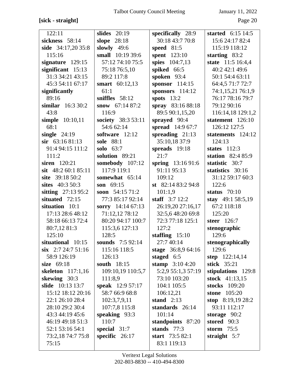# **[sick - straight]** Page 20

| 122:11                | slides $20:19$     | specifically 28:9   | started $6:15$ 14:5 |
|-----------------------|--------------------|---------------------|---------------------|
| sickness 58:14        | slope 28:18        | 30:18 43:7 70:8     | 15:6 24:17 82:4     |
| side 34:17,20 35:8    | slowly $49:6$      | speed 81:5          | 115:19 118:12       |
| 115:16                | small 10:19 39:6   | <b>spent</b> 123:10 | starting $83:2$     |
| signature 129:15      | 57:12 74:10 75:5   | spies 104:7,13      | state 11:5 16:4,4   |
| significant $15:13$   | 75:18 76:5,10      | spiked 66:5         | 40:2 42:1 49:6      |
| 31:3 34:21 43:15      | 89:2 117:8         | spoken 93:4         | 50:1 54:4 63:11     |
| 45:3 54:11 67:17      | smart 60:12,13     | sponsor $114:15$    | 64:4,5 71:7 72:7    |
| significantly         | 61:1               | sponsors $114:12$   | 74:1,15,21 76:1,9   |
| 89:16                 | sniffles $58:12$   | spots $13:2$        | 76:17 78:16 79:7    |
| similar $16:330:2$    | snow $67:1487:2$   | spray 83:16 88:18   | 79:12 90:16         |
| 43:8                  | 116:9              | 89:5 90:1,15,20     | 116:14,18 129:1,2   |
| simple 10:10,11       | society 38:3 53:11 | sprayed 90:4        | statement 126:10    |
| 68:1                  | 54:6 62:14         | spread 14:9 67:7    | 126:12 127:5        |
| single $24:19$        | software $12:12$   | spreading $21:13$   | statements 124:12   |
| $sir$ 63:16 81:13     | sole 88:1          | 35:10,18 37:9       | 124:13              |
| 91:4 94:15 111:2      | solo $63:7$        | spreads 19:18       | states $112:3$      |
| 111:2                 | solution 89:21     | 21:7                | station $82:485:9$  |
| siren 120:21          | somebody 107:12    | spring 13:16 91:6   | statistic 30:7      |
| sit $48:260:185:11$   | 117:9 119:1        | 91:11 95:13         | statistics 30:16    |
| site 39:18 50:2       | somewhat 65:14     | 109:12              | 31:12 59:17 60:3    |
| sites 40:3 50:3       | son $69:15$        | st $82:1483:294:8$  | 122:6               |
| sitting $27:1395:2$   | soon $54:1571:2$   | 101:1,9             | status $70:10$      |
| situated $72:15$      | 77:3 85:17 92:14   | staff $3:712:2$     | stay 49:1 58:5,19   |
| situation 10:1        | sorry 14:14 67:13  | 26:19,20 27:16,17   | 67:2 118:18         |
| 17:13 28:6 48:12      | 71:12,12 78:12     | 32:5,6 48:20 69:8   | 125:20              |
| 58:18 66:13 72:4      | 80:20 94:17 100:7  | 72:3 77:18 125:1    | steer 126:7         |
| 80:7,12 81:3          | 115:3,6 127:13     | 127:2               | stenographic        |
| 125:10                | 128:5              | staffing $15:10$    | 129:6               |
| situational 10:15     | sounds $7:592:14$  | 27:7 40:14          | stenographically    |
| $\sin$ 2:7 24:7 51:16 | 115:16 118:5       | stage 36:8,9 64:16  | 129:6               |
| 58:9 126:19           | 126:13             | staged 6:5          | step $122:14,14$    |
| size $69:18$          | south 18:15        | stamp $3:104:20$    | stick 35:21         |
| skeleton 117:1,16     | 109:10,19 110:5,7  | 5:2,9 55:1,3 57:19  | stipulations 129:8  |
| skewing 30:3          | 111:8,9            | 73:10 103:20        | stock 41:13,15      |
| slide 10:13 13:7      | speak 12:9 57:17   | 104:1 105:5         | stocks 109:20       |
| 15:12 18:12 20:16     | 58:7 66:9 68:8     | 106:12,21           | stone 105:20        |
| 22:1 26:10 28:4       | 102:3,7,9,11       | stand $2:13$        | stop $8:19,1928:2$  |
| 28:10 29:2 30:4       | 107:7,8 115:8      | standards 26:14     | 93:11 112:17        |
| 43:3 44:19 45:6       | speaking 93:3      | 101:14              | storage $90:2$      |
| 46:19 49:18 51:3      | 110:7              | standpoints 87:20   | stored 90:3         |
| 52:1 53:16 54:1       | special $31:7$     | stands $77:3$       | storm $75:5$        |
| 73:2,18 74:7 75:8     | specific $26:17$   | start 73:5 82:1     | straight $5:7$      |
| 75:15                 |                    | 83:1 119:13         |                     |
|                       |                    |                     |                     |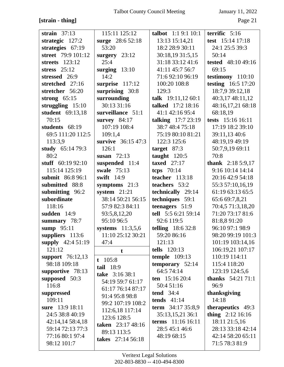# **[strain - thing]** Page 21

| strain $37:13$                     | 115:11 125:12             | talbot 1:1 9:1 10:1                   | terrific $5:16$                     |
|------------------------------------|---------------------------|---------------------------------------|-------------------------------------|
| strategic $127:2$                  | surge 28:6 52:18          | 13:13 15:14,21                        | test 15:14 17:18                    |
| strategies $67:19$                 | 53:20                     | 18:2 28:9 30:11                       | 24:1 25:5 39:3                      |
| street 79:9 101:12                 | surgery $23:12$           | 30:18,19 31:5,15                      | 50:14                               |
| streets 123:12                     | 25:4                      | 31:18 33:12 41:6                      | <b>tested</b> 48:10 49:16           |
| stress $25:12$                     | surging $13:10$           | 41:11 45:7 56:7                       | 69:15                               |
| stressed 26:9                      | 14:2                      | 71:6 92:10 96:19                      | testimony 110:10                    |
| stretched 27:16                    | surprise 117:12           | 100:20 108:8                          | <b>testing</b> 16:5 17:20           |
| stretcher 56:20                    | surprising 30:8           | 129:3                                 | 18:7,9 39:12,18                     |
| strong $65:15$                     | surrounding               | talk $19:11,1260:1$                   | 40:3,17 48:11,12                    |
| struggling $15:10$                 | 30:13 31:16               | talked 17:2 18:16                     | 48:16,17,21 68:18                   |
| student 69:13,18                   | surveillance 51:1         | 41:1 42:16 95:4                       | 68:18,19                            |
| 70:15                              | survey $84:17$            | talking $17:723:19$                   | tests 15:16 16:11                   |
| students 68:19                     | 107:19 108:4              | 38:7 48:4 75:18                       | 17:19 18:2 39:10                    |
| 69:5 111:20 112:5                  | 109:1,4                   | 75:19 80:10 81:21                     | 39:11,13 40:6                       |
| 113:3,9                            | survive 36:15 47:3        | 122:3 125:6                           | 48:19,19 49:19                      |
| study 65:14 79:3                   | 126:1                     | target $87:3$                         | 50:7,9,19 69:11                     |
| 80:2                               | susan $72:13$             | taught $120:5$                        | 70:8                                |
| stuff $60:1992:10$                 | suspended 11:4            | taxed $27:17$                         | thank 2:18 5:9,17                   |
| 115:14 125:19                      | swale 75:13               | tcps $70:14$                          | 9:16 10:14 14:14                    |
| submit 86:8 96:1                   | swift $14:9$              | teacher $113:18$                      | 20:16 42:9 54:18                    |
| submitted 88:8                     | symptoms $21:3$           | teachers 53:2                         | 55:3 57:10,16,19                    |
| submitting 96:2                    | system $21:21$            | technically 29:14                     | 61:19 63:13 65:5                    |
|                                    |                           |                                       |                                     |
|                                    |                           |                                       |                                     |
| subordinate<br>118:16              | 38:14 50:21 56:15         | techniques 59:1                       | 65:6 69:7,8,21                      |
|                                    | 57:9 82:3 84:11           | teenagers 51:9                        | 70:4,5 71:3,18,20                   |
| sudden $14:9$                      | 93:5,8,12,20              | tell 5:5 6:21 59:14<br>92:6 119:5     | 71:20 73:17 81:6                    |
| summary 78:7                       | 95:10 96:5                |                                       | 81:8,8 91:20                        |
| sump 95:11                         | systems $11:3,5,6$        | telling $18:632:8$                    | 96:10 97:1 98:9                     |
| suppliers 113:6                    | 11:10 25:12 30:21<br>47:4 | 59:20 86:16<br>121:13                 | 98:20 99:19 101:3                   |
| supply 42:4 51:19<br>121:12        |                           | tells 120:13                          | 101:19 103:14,16                    |
|                                    | t                         |                                       | 106:19,21 107:17<br>110:19 114:11   |
| support $76:12,13$<br>98:18 109:18 | $t$ 105:8                 | temple $109:13$<br>temporary $52:14$  | 115:4 118:20                        |
|                                    | tail 18:9                 | 64:5 74:14                            |                                     |
| supportive 78:13                   | take 3:16 38:1            |                                       | 123:19 124:5,6                      |
| supposed 50:3                      | 54:19 59:7 61:17          | ten $15:1620:4$                       | <b>thanks</b> $54:2171:1$<br>96:9   |
| 116:8                              | 61:17 76:14 87:17         | 50:4 51:16<br>tend $34:4$             |                                     |
| suppressed                         | 91:4 95:8 98:8            | tends $41:14$                         | thanksgiving<br>14:18               |
| 109:11                             | 99:2 107:19 108:2         |                                       |                                     |
| sure 13:9 18:11<br>24:5 38:8 40:19 | 112:6,18 117:14           | term 34:17 35:8,9<br>35:13,15,21 36:1 | therapeutics 49:3                   |
| 42:14,14 58:4,18                   | 123:6 128:5               | terms $11:16 16:11$                   | thing $2:12$ 16:16<br>18:11 21:5,16 |
| 59:14 72:13 77:3                   | taken 23:17 48:16         | 28:5 45:1 46:6                        | 28:13 33:18 42:14                   |
| 77:16 80:1 97:4                    | 89:13 113:5               | 48:19 68:15                           | 42:14 58:20 65:11                   |
| 98:12 101:7                        | takes 27:14 56:18         |                                       | 71:5 78:3 81:9                      |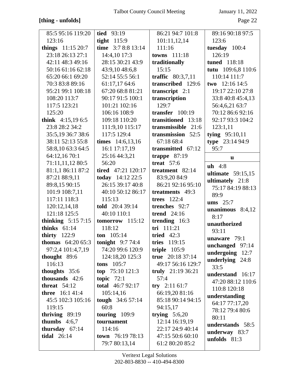# **[thing - unfolds]** Page 22

| 85:5 95:16 119:20         | <b>tied</b> 93:19                 | 86:21 94:7 101:8                    | 89:16 90:18 97:5                  |
|---------------------------|-----------------------------------|-------------------------------------|-----------------------------------|
| 123:16                    | tight $115:9$                     | 101:11,12,14                        | 123:6                             |
| things 11:15 20:7         | time 3:7 8:8 13:14                | 111:16                              | tuesday 100:4                     |
| 23:18 26:13 27:1          | 14:4,10 17:3                      | towns 111:18                        | 126:19                            |
| 42:11 48:3 49:16          | 28:15 30:21 43:9                  | traditionally                       | tuned 118:18                      |
| 50:16 61:16 62:18         | 43:9,10 48:6,8                    | 15:15                               | tutu 109:6,8 110:6                |
| 65:20 66:1 69:20          | 52:14 55:5 56:1                   | traffic 80:3,7,11                   | 110:14 111:7                      |
| 70:3 83:8 89:16           | 61:17,17 64:6                     | transcribed 129:6                   | two $12:1614:5$                   |
| 95:21 99:1 108:18         | 67:20 68:8 81:21                  | transcript $2:1$                    | 19:17 22:10 27:8                  |
| 108:20 113:7              | 90:17 91:5 100:1                  | transcription                       | 33:8 40:8 45:4,13                 |
| 117:5 123:21              | 101:21 102:16                     | 129:7                               | 56:4,6,21 63:7                    |
| 125:20                    | 106:16 108:9                      | transfer $100:19$                   | 70:12 86:6 92:16                  |
| think $4:15,196:5$        | 109:18 110:20                     | transitioned 13:18                  | 92:17 93:3 104:2                  |
| 23:8 28:2 34:2            | 111:9,10 115:17                   | transmissible 21:6                  | 123:1,11                          |
| 35:5,19 36:7 38:6         | 117:5 129:4                       | transmission 52:5                   | tying $95:10,11$                  |
| 38:11 52:13 55:8          | times $14:6,13,16$                | 67:1868:4                           | type 23:14 94:9                   |
| 58:8,10 63:3 64:5         | 16:1 17:17,19                     | transmitted 67:12                   | 95:7                              |
| 64:12,16 70:1             | 25:16 44:3,21                     | trappe $87:19$                      | u                                 |
| 71:11,11,12 80:5          | 56:20                             | treat $57:6$                        | $uh$ 4:8                          |
| 81:1,1 86:11 87:2         | <b>tired</b> 47:21 120:17         | treatment 82:14                     | ultimate $59:15,15$               |
| 87:21 88:9,11             | today 14:12 22:5                  | 83:9,20 84:9                        | ultimately 21:8                   |
| 89:8,15 90:15             | 26:15 39:17 40:8                  | 86:21 92:16 95:10                   | 75:17 84:19 88:13                 |
| 101:9 108:7,11            | 40:10 50:12 86:17                 | treatments 49:3                     | 89:9                              |
| 117:11 118:3              | 115:13                            | trees $122:4$                       | ums $25:7$                        |
| 120:12,14,18              | told 20:4 39:14                   | trenches 92:7                       | unanimous $8:4,12$                |
| 121:18 125:5              | 40:10 110:1                       | <b>trend</b> 24:16                  | 8:17                              |
| thinking $5:157:15$       | $tomorrow$ 115:12                 | trending 16:3                       | unauthorized                      |
| thinks $61:14$            | 118:12                            | tri 111:21                          | 93:11                             |
| thirty $122:9$            | <b>ton</b> $105:14$               |                                     |                                   |
|                           |                                   | tried $42:3$                        |                                   |
| <b>thomas</b> $64:2065:3$ | tonight $9:774:4$                 | tries 119:15                        | unaware $79:1$                    |
| 97:2,4 101:4,7,19         | 74:20 99:6 120:9                  | triple $105:9$                      | unchanged 97:14                   |
| thought 89:6              | 124:18,20 125:3                   | true $20:1837:14$                   | undergoing $12:7$                 |
| 116:13                    | tons $105:7$                      | 49:17 56:16 129:7                   | underlying $24:8$                 |
| thoughts $35:6$           | top $75:10121:3$                  | truly $21:1936:21$                  | 33:5                              |
| thousands 42:6            | topic $72:1$                      | 57:4                                | understand 16:17                  |
| threat $54:12$            | total 46:7 92:17                  | try $2:11\ 61:7$                    | 47:20 88:12 110:6<br>110:8 120:18 |
| <b>three</b> 16:1 41:4    | 105:14,16                         | 66:19,20 81:16                      |                                   |
| 45:5 102:3 105:16         | tough 34:6 57:14                  | 85:18 90:14 94:15                   | understanding                     |
| 119:15                    | 60:8                              | 94:15,17                            | 64:17 77:17,20<br>78:12 79:4 80:6 |
| thriving $89:19$          | touring $109:9$                   | trying $5:6,20$                     | 80:11                             |
| thumbs $4:6,7$            | tournament                        | 12:14 16:19,19                      | understands 58:5                  |
| thursday 67:14            | 114:16                            | 22:17 24:9 40:14                    |                                   |
| <b>tidal</b> 26:14        | town 76:19 78:13<br>79:7 80:13,14 | 47:15 50:6 60:10<br>61:2 80:20 85:2 | underway 83:7<br>unfolds $81:3$   |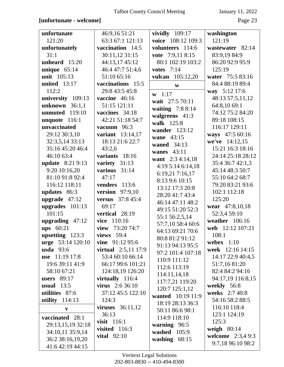## **[unfortunate - welcome]** Page 23

| unfortunate         | 46:9,16 51:21              | vividly $109:17$                    | washington        |
|---------------------|----------------------------|-------------------------------------|-------------------|
| 121:20              | 63:3 67:1 121:13           | voice 108:12 109:3                  | 121:19            |
| unfortunately       | vaccination 14:5           | volunteers 114:6                    | wastewater 82:14  |
| 31:1                | 30:11,12 31:15             | vote 7:9,11 8:15                    | 83:9,19 84:9      |
| unheard $15:20$     | 44:13,17 45:12             | 80:1 102:19 103:2                   | 86:20 92:9 95:9   |
| unique $65:14$      | 46:4 47:7 51:4,6           | votes $7:14$                        | 125:19            |
| unit 105:13         | 51:10 65:16                | <b>vulcan</b> 105:12,20             | water 75:5 83:16  |
| <b>united</b> 13:17 | vaccinations 15:5          | W                                   | 84:4 88:19 89:4   |
| 112:2               | 29:8 43:5 45:8             | $w 1:17$                            | way 5:12 17:6     |
| university 109:13   | vaccine 46:16              | wait 27:5 70:11                     | 48:13 57:5,11,12  |
| unknown $36:1,1$    | 51:15 121:11               | waiting 7:8 8:14                    | 64:8,10 69:1      |
| 119:10<br>unmuted   | vaccines 34:18             | walgreens 41:3                      | 74:12 75:2 84:20  |
| unquote 116:1       | 42:21 51:18 54:7           | walk 125:8                          | 89:18 108:15      |
| unvaccinated        | vacuum 96:3                | wander 123:12                       | 116:17 129:11     |
| 29:12 30:3,10       | variant 13:14,17           | wane 43:15                          | ways 47:5 60:16   |
| 32:3,5,14 33:13     | 18:13 21:6 22:7            | waned 34:13                         | we've 14:12,15    |
| 35:16 45:20 46:4    | 43:2,6                     | wanes $43:11$                       | 15:21 16:3 18:16  |
| 46:10 63:4          | variants 18:16             |                                     | 24:14 25:18 28:12 |
| update 8:21 9:13    | variety 31:13              | want 2:3 4:14,18                    | 35:4 36:7 42:1,3  |
| 9:20 10:16,20       | various 31:14              | 4:19 5:14 6:14,18                   | 45:14 48:3 50:7   |
| 81:10 91:8 92:4     | 47:17                      | 6:19,21 7:16,17<br>8:13 9:6 10:15   | 55:10 64:2 68:7   |
| 116:12 118:11       | 113:6<br>venders           | 13:12 17:3 20:8                     | 79:20 83:21 93:6  |
| updates 86:3        | version $97:9,10$          |                                     | 102:1 112:18      |
| upgrade $47:12$     | <b>versus</b> 37:8 45:4    | 28:20 41:7 43:4<br>46:14 47:11 48:2 | 125:20            |
| upgrades $101:13$   | 69:17                      | 49:15 51:20 52:3                    | wear 47:8,10,18   |
| 101:15              | vertical 28:19             | 55:1 56:2,5,14                      | 52:3,4 59:10      |
| upgrading 47:12     | vice 110:16                | 57:7,10 58:4 60:6                   | weather 106:16    |
| ups 60:21           | view $73:2074:7$           | 64:13 69:21 70:6                    | web 12:12 107:21  |
| upsetting 123:3     | views $59:4$               | 80:8 81:2 91:12                     | 108:1             |
| urge 53:14 120:10   | vine $91:1295:6$           | 91:13 94:13 95:5                    | webex $1:10$      |
| usda $93:6$         | <b>virtual</b> 2:5,11 17:9 | 97:2 101:4 107:18                   | week 12:16 14:15  |
| use 11:19 17:8      | 53:4 60:10 66:14           | 110:9 111:12                        | 14:17 22:9 40:4,5 |
| 19:6 39:11 41:9     | 66:17 99:6 101:21          | 112:6 113:19                        | 51:7,16 81:20     |
| 58:10 67:21         | 124:18,19 126:20           | 114:11,14,18                        | 82:4 84:2 94:16   |
| users $89:17$       | virtually $116:4$          | 117:7,21 119:20                     | 94:17,19 116:8,15 |
| usual $13:5$        | <b>virus</b> 2:6 36:10     | 120:7 125:1,12                      | weekly 56:8       |
| utilities 87:6      | 37:12 45:5 122:10          | wanted 10:19 11:9                   | weeks 2:7 40:8    |
| utility $114:13$    | 124:3                      | 18:19 28:13 36:3                    | 54:16 58:2 88:5   |
| $\mathbf{V}$        | viruses $36:11,12$         | 50:11 86:6 98:1                     | 116:10 118:4      |
| vaccinated 28:1     | 36:13                      | 114:9 118:10                        | 123:1 124:19      |
| 29:13,15,19 32:18   | visit 116:1                | warning 96:5                        | 125:3             |
| 34:10,11 35:9,14    | visited $116:3$            | washed 105:9                        | weigh $80:14$     |
| 36:2 38:16,19,20    | vital $92:10$              | washing $68:15$                     | welcome 2:3,4 9:3 |
| 41:6 42:19 44:15    |                            |                                     | 9:7,18 96:10 98:2 |
|                     |                            |                                     |                   |